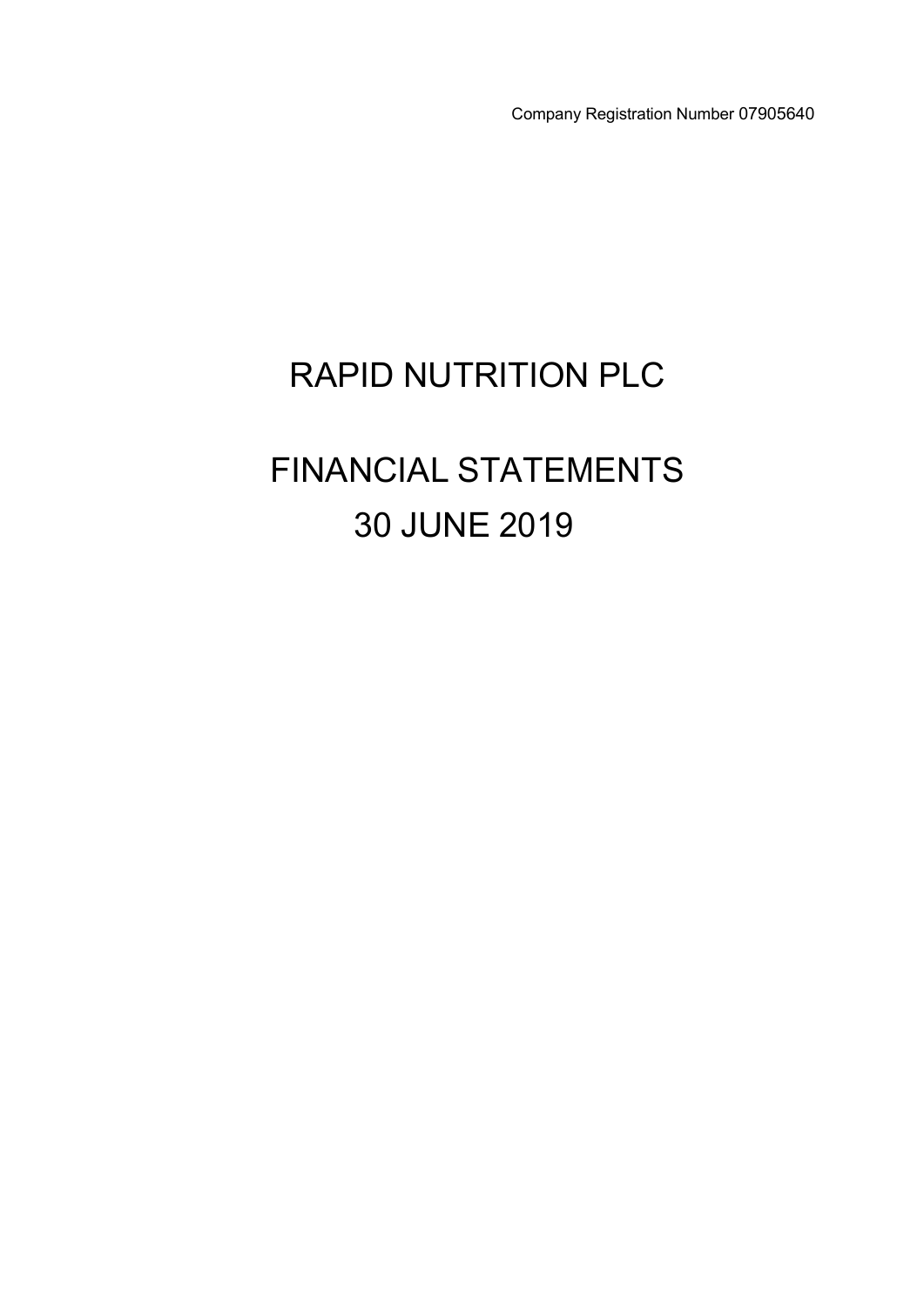Company Registration Number 07905640

# RAPID NUTRITION PLC

# FINANCIAL STATEMENTS 30 JUNE 2019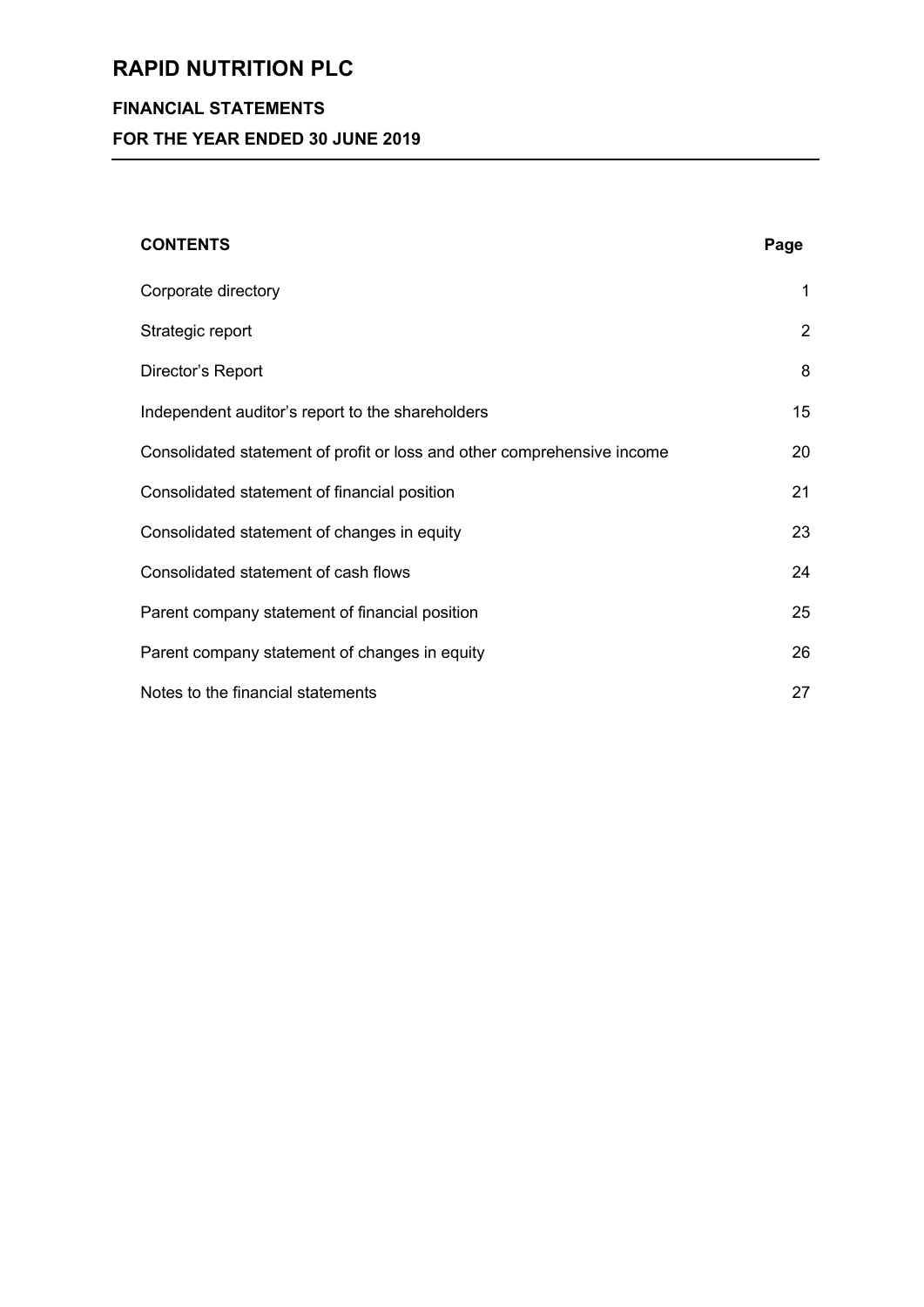# **FINANCIAL STATEMENTS**

**FOR THE YEAR ENDED 30 JUNE 2019**

| <b>CONTENTS</b>                                                         | Page           |
|-------------------------------------------------------------------------|----------------|
| Corporate directory                                                     | 1              |
| Strategic report                                                        | $\overline{2}$ |
| Director's Report                                                       | 8              |
| Independent auditor's report to the shareholders                        | 15             |
| Consolidated statement of profit or loss and other comprehensive income | 20             |
| Consolidated statement of financial position                            | 21             |
| Consolidated statement of changes in equity                             | 23             |
| Consolidated statement of cash flows                                    | 24             |
| Parent company statement of financial position                          | 25             |
| Parent company statement of changes in equity                           | 26             |
| Notes to the financial statements                                       | 27             |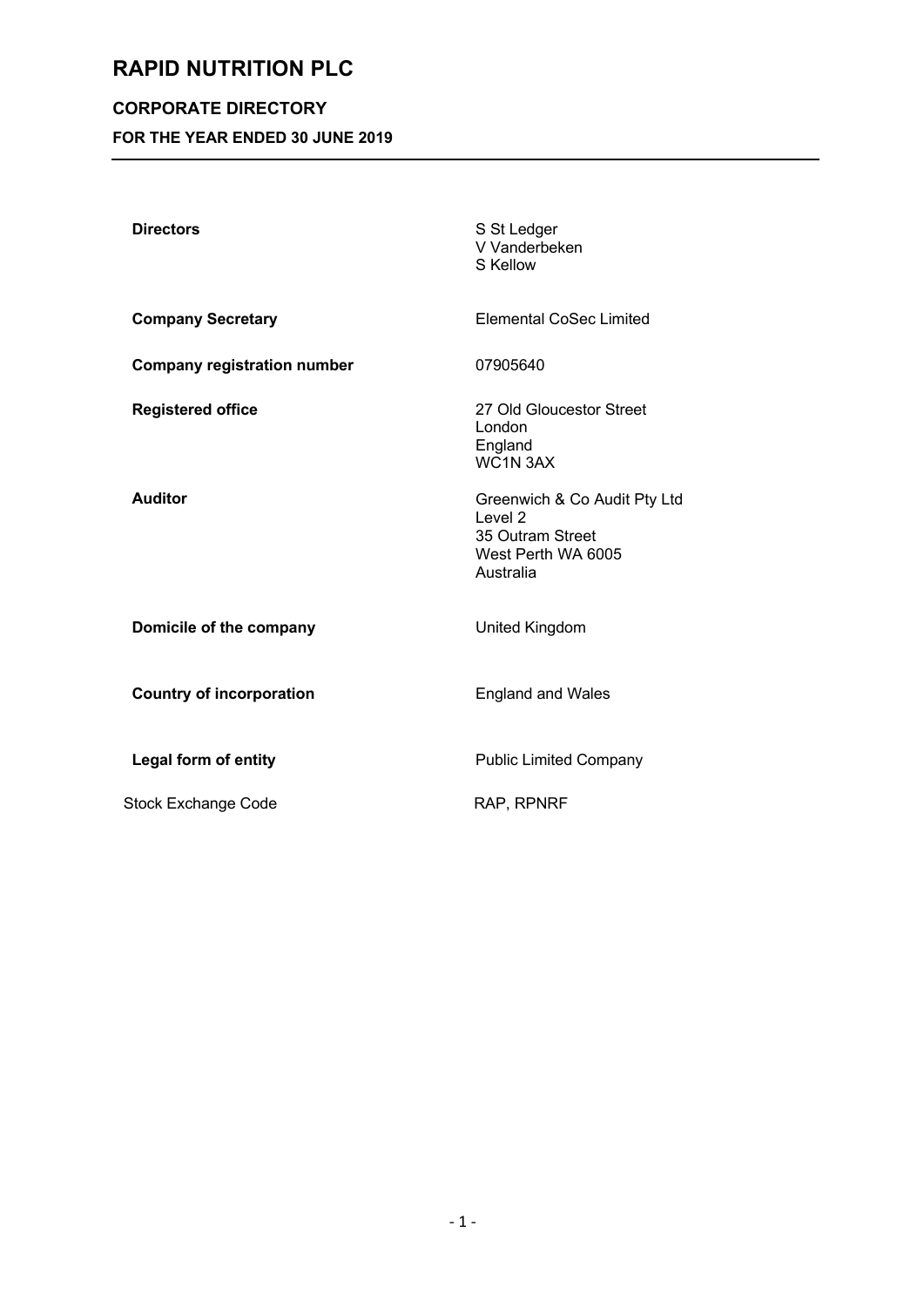# **CORPORATE DIRECTORY**

**FOR THE YEAR ENDED 30 JUNE 2019**

| <b>Directors</b>                   | S St Ledger<br>V Vanderbeken<br>S Kellow                                                                  |
|------------------------------------|-----------------------------------------------------------------------------------------------------------|
| <b>Company Secretary</b>           | <b>Elemental CoSec Limited</b>                                                                            |
| <b>Company registration number</b> | 07905640                                                                                                  |
| <b>Registered office</b>           | 27 Old Gloucestor Street<br>London<br>England<br>WC1N 3AX                                                 |
| <b>Auditor</b>                     | Greenwich & Co Audit Pty Ltd<br>Level <sub>2</sub><br>35 Outram Street<br>West Perth WA 6005<br>Australia |
| Domicile of the company            | United Kingdom                                                                                            |
| <b>Country of incorporation</b>    | <b>England and Wales</b>                                                                                  |
| <b>Legal form of entity</b>        | <b>Public Limited Company</b>                                                                             |
| <b>Stock Exchange Code</b>         | RAP, RPNRF                                                                                                |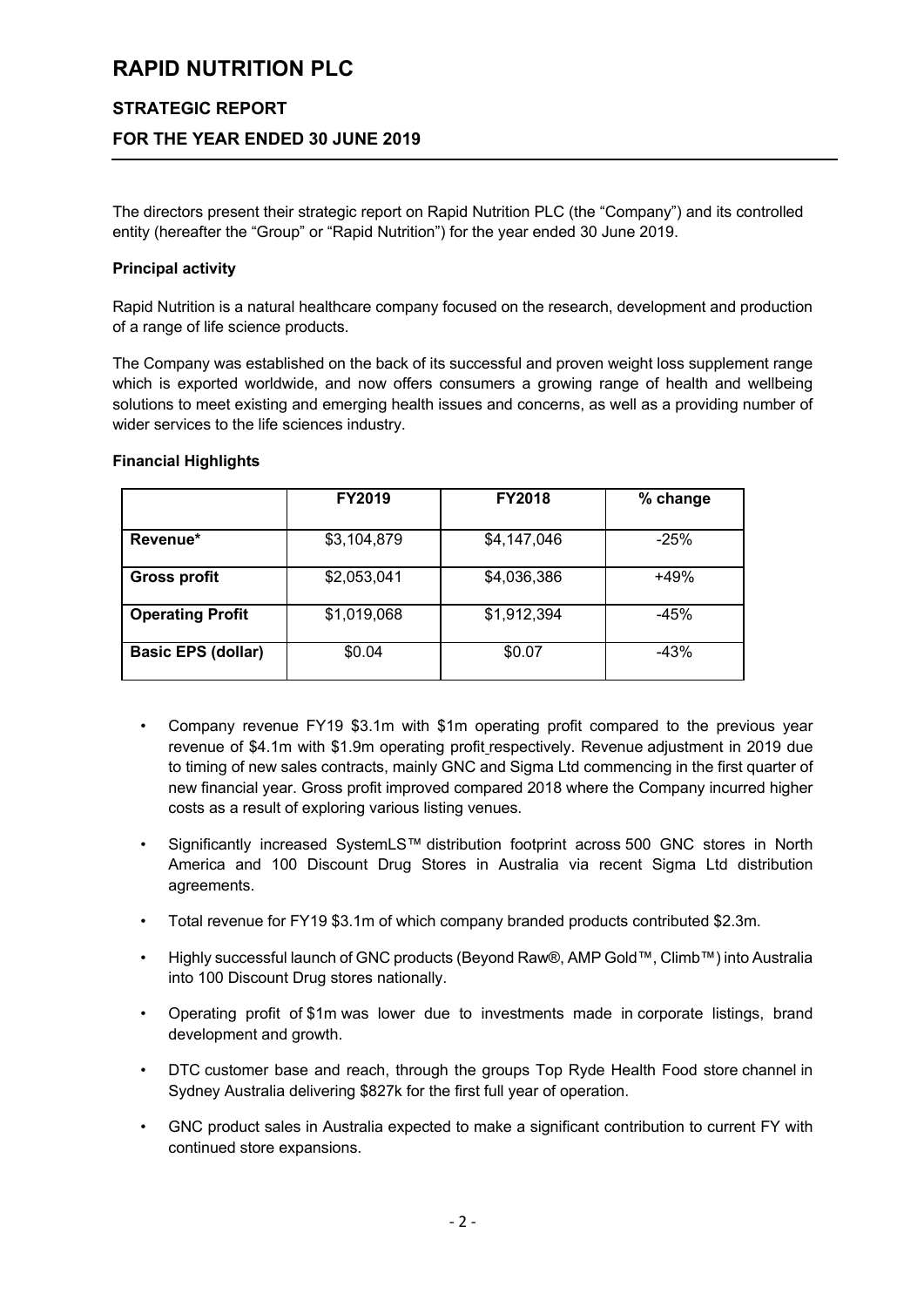#### **STRATEGIC REPORT**

### **FOR THE YEAR ENDED 30 JUNE 2019**

The directors present their strategic report on Rapid Nutrition PLC (the "Company") and its controlled entity (hereafter the "Group" or "Rapid Nutrition") for the year ended 30 June 2019.

#### **Principal activity**

Rapid Nutrition is a natural healthcare company focused on the research, development and production of a range of life science products.

The Company was established on the back of its successful and proven weight loss supplement range which is exported worldwide, and now offers consumers a growing range of health and wellbeing solutions to meet existing and emerging health issues and concerns, as well as a providing number of wider services to the life sciences industry.

#### **Financial Highlights**

|                           | <b>FY2019</b> | <b>FY2018</b> | % change |
|---------------------------|---------------|---------------|----------|
| Revenue*                  | \$3,104,879   | \$4,147,046   | $-25%$   |
| <b>Gross profit</b>       | \$2,053,041   | \$4,036,386   | $+49%$   |
| <b>Operating Profit</b>   | \$1,019,068   | \$1,912,394   | $-45%$   |
| <b>Basic EPS (dollar)</b> | \$0.04        | \$0.07        | $-43%$   |
|                           |               |               |          |

- Company revenue FY19 \$3.1m with \$1m operating profit compared to the previous year revenue of \$4.1m with \$1.9m operating profit respectively. Revenue adjustment in 2019 due to timing of new sales contracts, mainly GNC and Sigma Ltd commencing in the first quarter of new financial year. Gross profit improved compared 2018 where the Company incurred higher costs as a result of exploring various listing venues.
- Significantly increased SystemLS™ distribution footprint across 500 GNC stores in North America and 100 Discount Drug Stores in Australia via recent Sigma Ltd distribution agreements.
- Total revenue for FY19 \$3.1m of which company branded products contributed \$2.3m.
- Highly successful launch of GNC products (Beyond Raw®, AMP Gold™, Climb™) into Australia into 100 Discount Drug stores nationally.
- Operating profit of \$1m was lower due to investments made in corporate listings, brand development and growth.
- DTC customer base and reach, through the groups Top Ryde Health Food store channel in Sydney Australia delivering \$827k for the first full year of operation.
- GNC product sales in Australia expected to make a significant contribution to current FY with continued store expansions.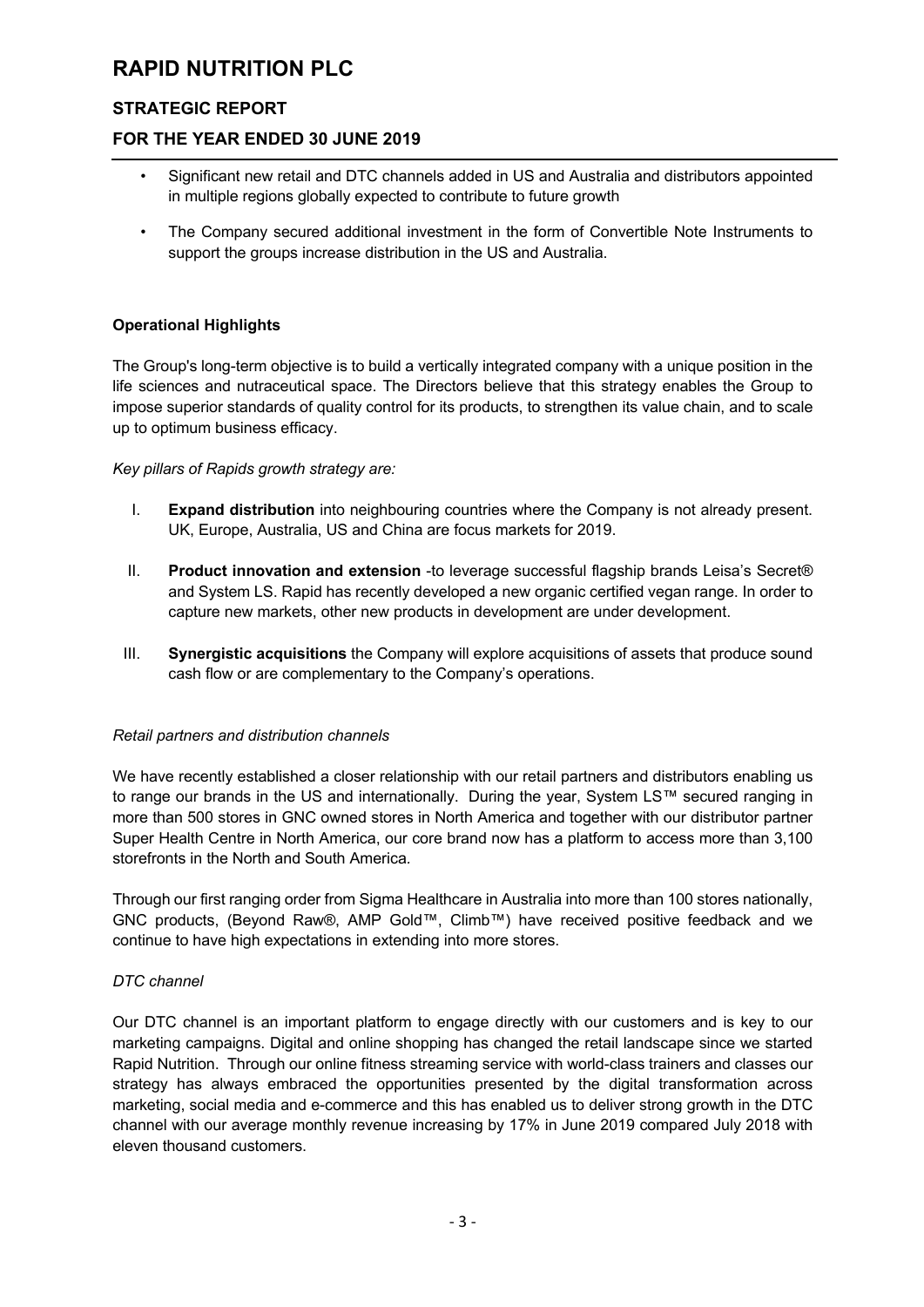# **STRATEGIC REPORT**

### **FOR THE YEAR ENDED 30 JUNE 2019**

- Significant new retail and DTC channels added in US and Australia and distributors appointed in multiple regions globally expected to contribute to future growth
- The Company secured additional investment in the form of Convertible Note Instruments to support the groups increase distribution in the US and Australia.

### **Operational Highlights**

The Group's long-term objective is to build a vertically integrated company with a unique position in the life sciences and nutraceutical space. The Directors believe that this strategy enables the Group to impose superior standards of quality control for its products, to strengthen its value chain, and to scale up to optimum business efficacy.

#### *Key pillars of Rapids growth strategy are:*

- I. **Expand distribution** into neighbouring countries where the Company is not already present. UK, Europe, Australia, US and China are focus markets for 2019.
- II. **Product innovation and extension** -to leverage successful flagship brands Leisa's Secret® and System LS. Rapid has recently developed a new organic certified vegan range. In order to capture new markets, other new products in development are under development.
- III. **Synergistic acquisitions** the Company will explore acquisitions of assets that produce sound cash flow or are complementary to the Company's operations.

#### *Retail partners and distribution channels*

We have recently established a closer relationship with our retail partners and distributors enabling us to range our brands in the US and internationally. During the year, System LS™ secured ranging in more than 500 stores in GNC owned stores in North America and together with our distributor partner Super Health Centre in North America, our core brand now has a platform to access more than 3,100 storefronts in the North and South America*.* 

Through our first ranging order from Sigma Healthcare in Australia into more than 100 stores nationally, GNC products, (Beyond Raw®, AMP Gold™, Climb™) have received positive feedback and we continue to have high expectations in extending into more stores.

### *DTC channel*

Our DTC channel is an important platform to engage directly with our customers and is key to our marketing campaigns. Digital and online shopping has changed the retail landscape since we started Rapid Nutrition. Through our online fitness streaming service with world-class trainers and classes our strategy has always embraced the opportunities presented by the digital transformation across marketing, social media and e-commerce and this has enabled us to deliver strong growth in the DTC channel with our average monthly revenue increasing by 17% in June 2019 compared July 2018 with eleven thousand customers.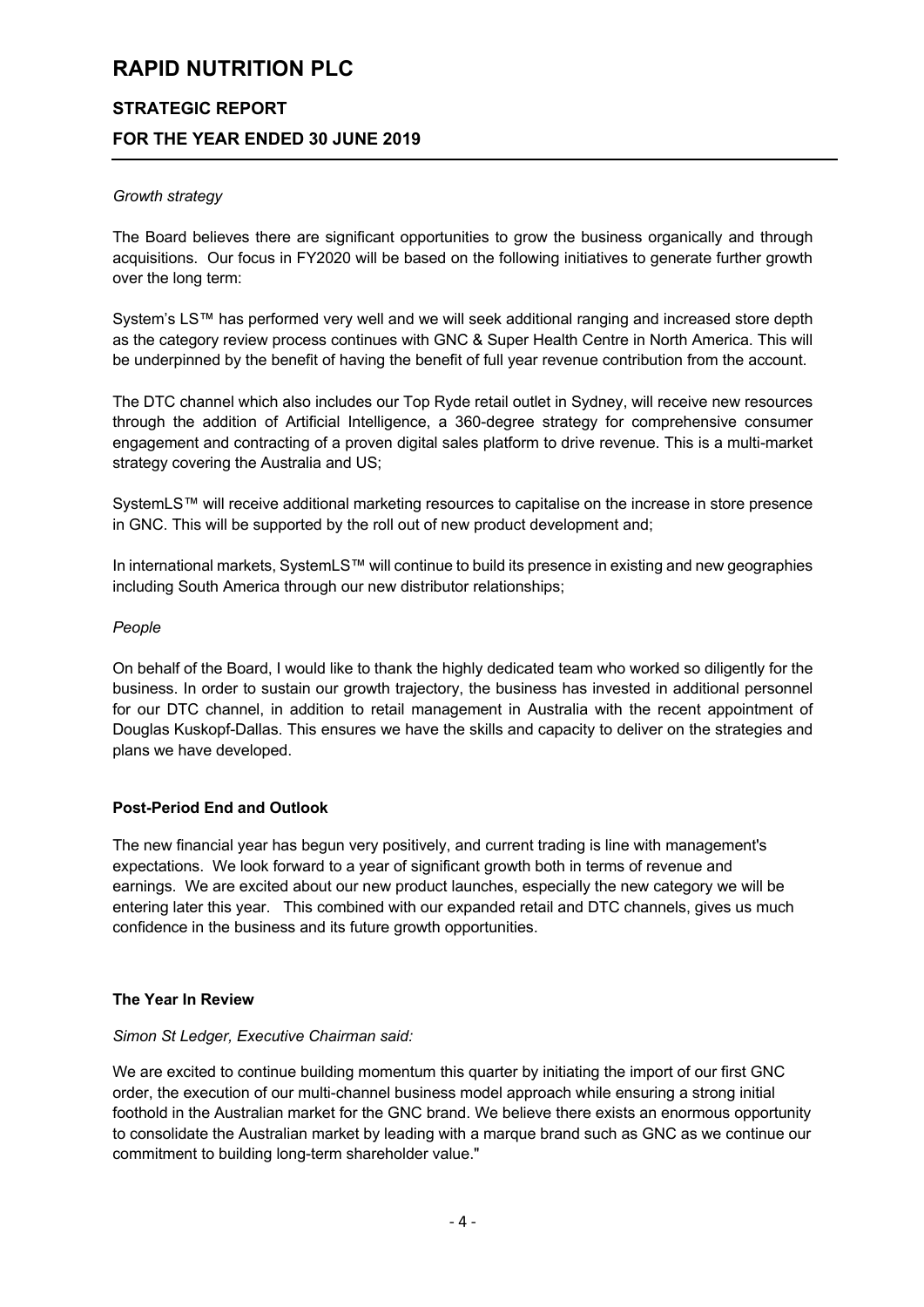# **STRATEGIC REPORT FOR THE YEAR ENDED 30 JUNE 2019**

#### *Growth strategy*

The Board believes there are significant opportunities to grow the business organically and through acquisitions. Our focus in FY2020 will be based on the following initiatives to generate further growth over the long term:

System's LS™ has performed very well and we will seek additional ranging and increased store depth as the category review process continues with GNC & Super Health Centre in North America. This will be underpinned by the benefit of having the benefit of full year revenue contribution from the account.

The DTC channel which also includes our Top Ryde retail outlet in Sydney, will receive new resources through the addition of Artificial Intelligence, a 360-degree strategy for comprehensive consumer engagement and contracting of a proven digital sales platform to drive revenue. This is a multi-market strategy covering the Australia and US;

SystemLS™ will receive additional marketing resources to capitalise on the increase in store presence in GNC. This will be supported by the roll out of new product development and;

In international markets, SystemLS™ will continue to build its presence in existing and new geographies including South America through our new distributor relationships;

#### *People*

On behalf of the Board, I would like to thank the highly dedicated team who worked so diligently for the business. In order to sustain our growth trajectory, the business has invested in additional personnel for our DTC channel, in addition to retail management in Australia with the recent appointment of Douglas Kuskopf-Dallas. This ensures we have the skills and capacity to deliver on the strategies and plans we have developed.

### **Post-Period End and Outlook**

The new financial year has begun very positively, and current trading is line with management's expectations. We look forward to a year of significant growth both in terms of revenue and earnings. We are excited about our new product launches, especially the new category we will be entering later this year. This combined with our expanded retail and DTC channels, gives us much confidence in the business and its future growth opportunities.

#### **The Year In Review**

#### *Simon St Ledger, Executive Chairman said:*

We are excited to continue building momentum this quarter by initiating the import of our first GNC order, the execution of our multi-channel business model approach while ensuring a strong initial foothold in the Australian market for the GNC brand. We believe there exists an enormous opportunity to consolidate the Australian market by leading with a marque brand such as GNC as we continue our commitment to building long-term shareholder value."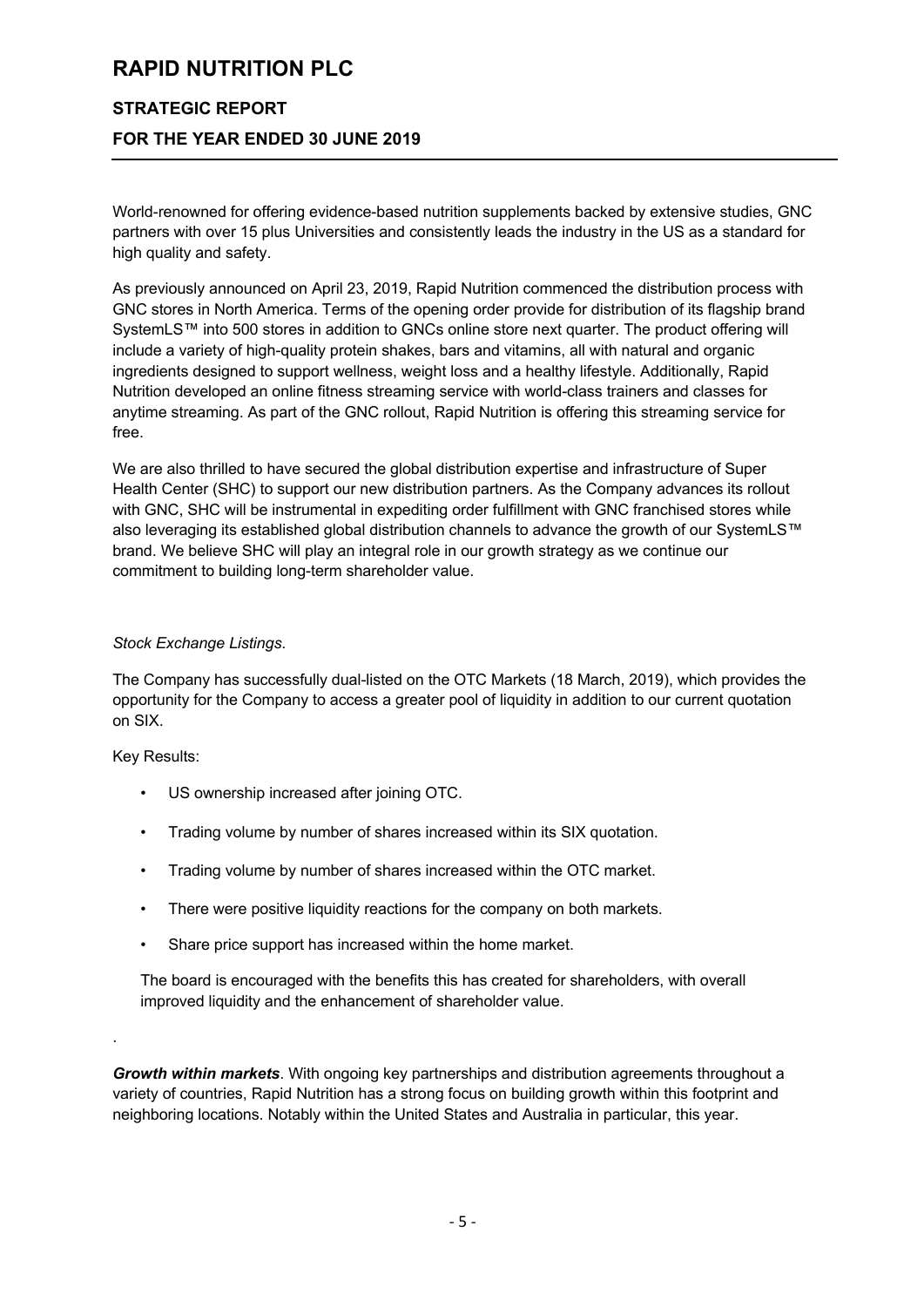# **STRATEGIC REPORT FOR THE YEAR ENDED 30 JUNE 2019**

World-renowned for offering evidence-based nutrition supplements backed by extensive studies, GNC partners with over 15 plus Universities and consistently leads the industry in the US as a standard for high quality and safety.

As previously announced on April 23, 2019, Rapid Nutrition commenced the distribution process with GNC stores in North America. Terms of the opening order provide for distribution of its flagship brand SystemLS™ into 500 stores in addition to GNCs online store next quarter. The product offering will include a variety of high-quality protein shakes, bars and vitamins, all with natural and organic ingredients designed to support wellness, weight loss and a healthy lifestyle. Additionally, Rapid Nutrition developed an online fitness streaming service with world-class trainers and classes for anytime streaming. As part of the GNC rollout, Rapid Nutrition is offering this streaming service for free.

We are also thrilled to have secured the global distribution expertise and infrastructure of Super Health Center (SHC) to support our new distribution partners. As the Company advances its rollout with GNC, SHC will be instrumental in expediting order fulfillment with GNC franchised stores while also leveraging its established global distribution channels to advance the growth of our SystemLS™ brand. We believe SHC will play an integral role in our growth strategy as we continue our commitment to building long-term shareholder value.

#### *Stock Exchange Listings*.

The Company has successfully dual-listed on the OTC Markets (18 March, 2019), which provides the opportunity for the Company to access a greater pool of liquidity in addition to our current quotation on SIX.

Key Results:

.

- US ownership increased after joining OTC.
- Trading volume by number of shares increased within its SIX quotation.
- Trading volume by number of shares increased within the OTC market.
- There were positive liquidity reactions for the company on both markets.
- Share price support has increased within the home market.

The board is encouraged with the benefits this has created for shareholders, with overall improved liquidity and the enhancement of shareholder value.

*Growth within markets*. With ongoing key partnerships and distribution agreements throughout a variety of countries, Rapid Nutrition has a strong focus on building growth within this footprint and neighboring locations. Notably within the United States and Australia in particular, this year.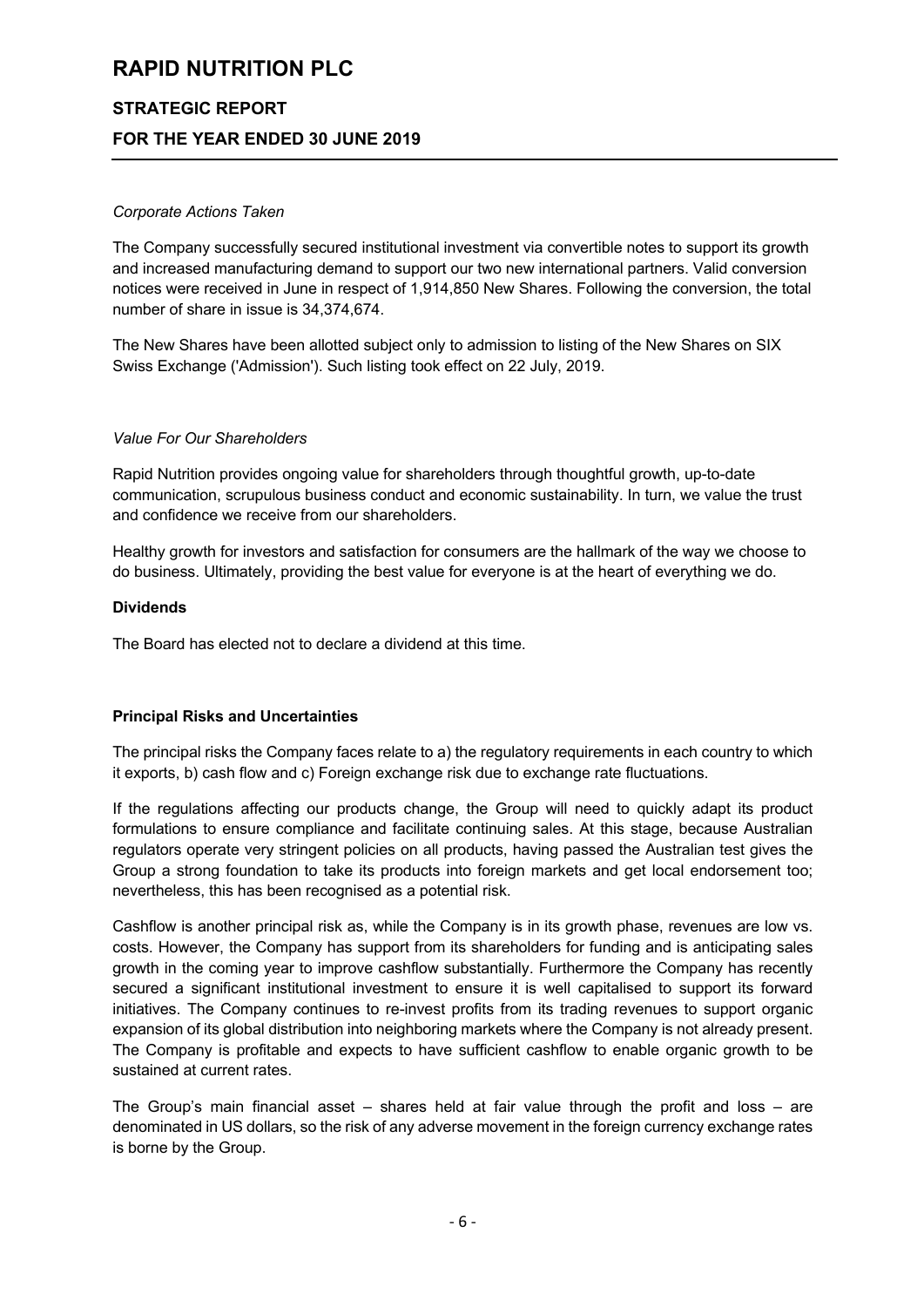# **STRATEGIC REPORT FOR THE YEAR ENDED 30 JUNE 2019**

#### *Corporate Actions Taken*

The Company successfully secured institutional investment via convertible notes to support its growth and increased manufacturing demand to support our two new international partners. Valid conversion notices were received in June in respect of 1,914,850 New Shares. Following the conversion, the total number of share in issue is 34,374,674.

The New Shares have been allotted subject only to admission to listing of the New Shares on SIX Swiss Exchange ('Admission'). Such listing took effect on 22 July, 2019.

#### *Value For Our Shareholders*

Rapid Nutrition provides ongoing value for shareholders through thoughtful growth, up-to-date communication, scrupulous business conduct and economic sustainability. In turn, we value the trust and confidence we receive from our shareholders.

Healthy growth for investors and satisfaction for consumers are the hallmark of the way we choose to do business. Ultimately, providing the best value for everyone is at the heart of everything we do.

#### **Dividends**

The Board has elected not to declare a dividend at this time.

### **Principal Risks and Uncertainties**

The principal risks the Company faces relate to a) the regulatory requirements in each country to which it exports, b) cash flow and c) Foreign exchange risk due to exchange rate fluctuations.

If the regulations affecting our products change, the Group will need to quickly adapt its product formulations to ensure compliance and facilitate continuing sales. At this stage, because Australian regulators operate very stringent policies on all products, having passed the Australian test gives the Group a strong foundation to take its products into foreign markets and get local endorsement too; nevertheless, this has been recognised as a potential risk.

Cashflow is another principal risk as, while the Company is in its growth phase, revenues are low vs. costs. However, the Company has support from its shareholders for funding and is anticipating sales growth in the coming year to improve cashflow substantially. Furthermore the Company has recently secured a significant institutional investment to ensure it is well capitalised to support its forward initiatives. The Company continues to re-invest profits from its trading revenues to support organic expansion of its global distribution into neighboring markets where the Company is not already present. The Company is profitable and expects to have sufficient cashflow to enable organic growth to be sustained at current rates.

The Group's main financial asset – shares held at fair value through the profit and loss – are denominated in US dollars, so the risk of any adverse movement in the foreign currency exchange rates is borne by the Group.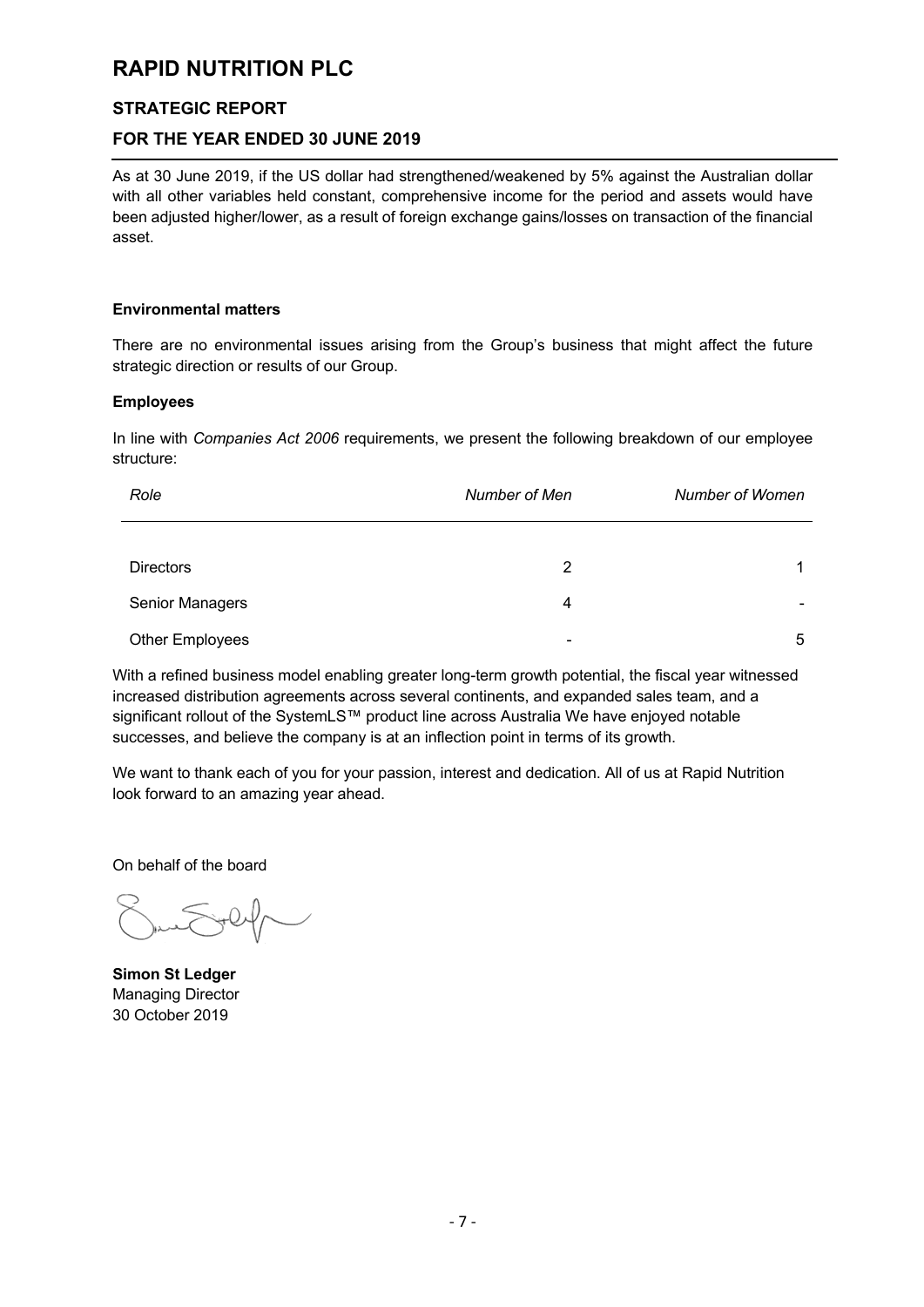### **STRATEGIC REPORT**

### **FOR THE YEAR ENDED 30 JUNE 2019**

As at 30 June 2019, if the US dollar had strengthened/weakened by 5% against the Australian dollar with all other variables held constant, comprehensive income for the period and assets would have been adjusted higher/lower, as a result of foreign exchange gains/losses on transaction of the financial asset.

#### **Environmental matters**

There are no environmental issues arising from the Group's business that might affect the future strategic direction or results of our Group.

#### **Employees**

In line with *Companies Act 2006* requirements, we present the following breakdown of our employee structure:

| Role                   | Number of Men  | Number of Women |
|------------------------|----------------|-----------------|
|                        |                |                 |
| <b>Directors</b>       | 2              | 1               |
| Senior Managers        | 4              |                 |
| <b>Other Employees</b> | $\blacksquare$ | 5               |

With a refined business model enabling greater long-term growth potential, the fiscal year witnessed increased distribution agreements across several continents, and expanded sales team, and a significant rollout of the SystemLS™ product line across Australia We have enjoyed notable successes, and believe the company is at an inflection point in terms of its growth.

We want to thank each of you for your passion, interest and dedication. All of us at Rapid Nutrition look forward to an amazing year ahead.

On behalf of the board

**Simon St Ledger** Managing Director 30 October 2019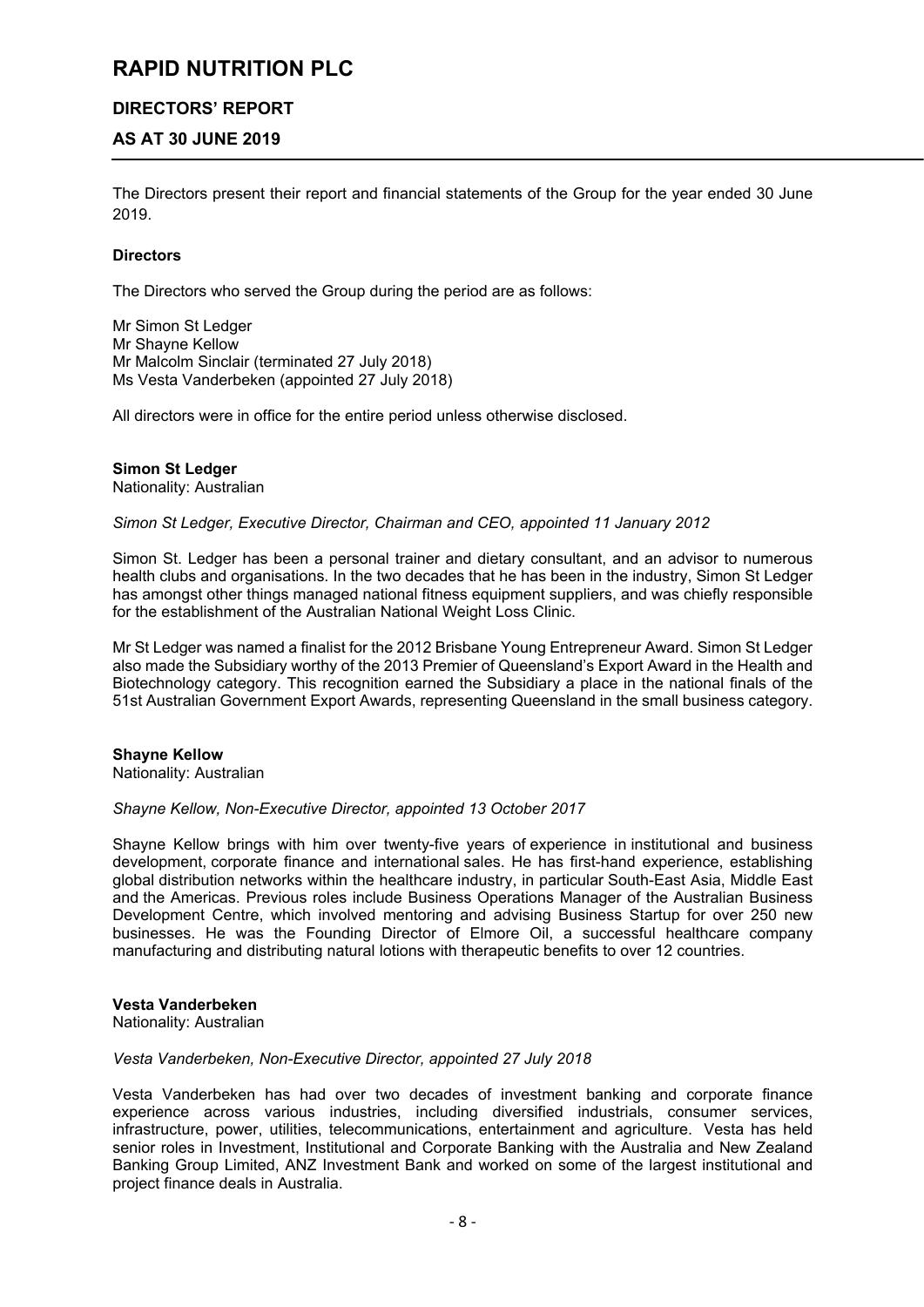### **DIRECTORS' REPORT**

### **AS AT 30 JUNE 2019**

The Directors present their report and financial statements of the Group for the year ended 30 June 2019.

#### **Directors**

The Directors who served the Group during the period are as follows:

Mr Simon St Ledger Mr Shayne Kellow Mr Malcolm Sinclair (terminated 27 July 2018) Ms Vesta Vanderbeken (appointed 27 July 2018)

All directors were in office for the entire period unless otherwise disclosed.

#### **Simon St Ledger**

Nationality: Australian

*Simon St Ledger, Executive Director, Chairman and CEO, appointed 11 January 2012*

Simon St. Ledger has been a personal trainer and dietary consultant, and an advisor to numerous health clubs and organisations. In the two decades that he has been in the industry, Simon St Ledger has amongst other things managed national fitness equipment suppliers, and was chiefly responsible for the establishment of the Australian National Weight Loss Clinic.

Mr St Ledger was named a finalist for the 2012 Brisbane Young Entrepreneur Award. Simon St Ledger also made the Subsidiary worthy of the 2013 Premier of Queensland's Export Award in the Health and Biotechnology category. This recognition earned the Subsidiary a place in the national finals of the 51st Australian Government Export Awards, representing Queensland in the small business category.

#### **Shayne Kellow**

Nationality: Australian

*Shayne Kellow, Non-Executive Director, appointed 13 October 2017* 

Shayne Kellow brings with him over twenty-five years of experience in institutional and business development, corporate finance and international sales. He has first-hand experience, establishing global distribution networks within the healthcare industry, in particular South-East Asia, Middle East and the Americas. Previous roles include Business Operations Manager of the Australian Business Development Centre, which involved mentoring and advising Business Startup for over 250 new businesses. He was the Founding Director of Elmore Oil, a successful healthcare company manufacturing and distributing natural lotions with therapeutic benefits to over 12 countries.

#### **Vesta Vanderbeken**

Nationality: Australian

#### *Vesta Vanderbeken, Non-Executive Director, appointed 27 July 2018*

Vesta Vanderbeken has had over two decades of investment banking and corporate finance experience across various industries, including diversified industrials, consumer services, infrastructure, power, utilities, telecommunications, entertainment and agriculture. Vesta has held senior roles in Investment, Institutional and Corporate Banking with the Australia and New Zealand Banking Group Limited, ANZ Investment Bank and worked on some of the largest institutional and project finance deals in Australia.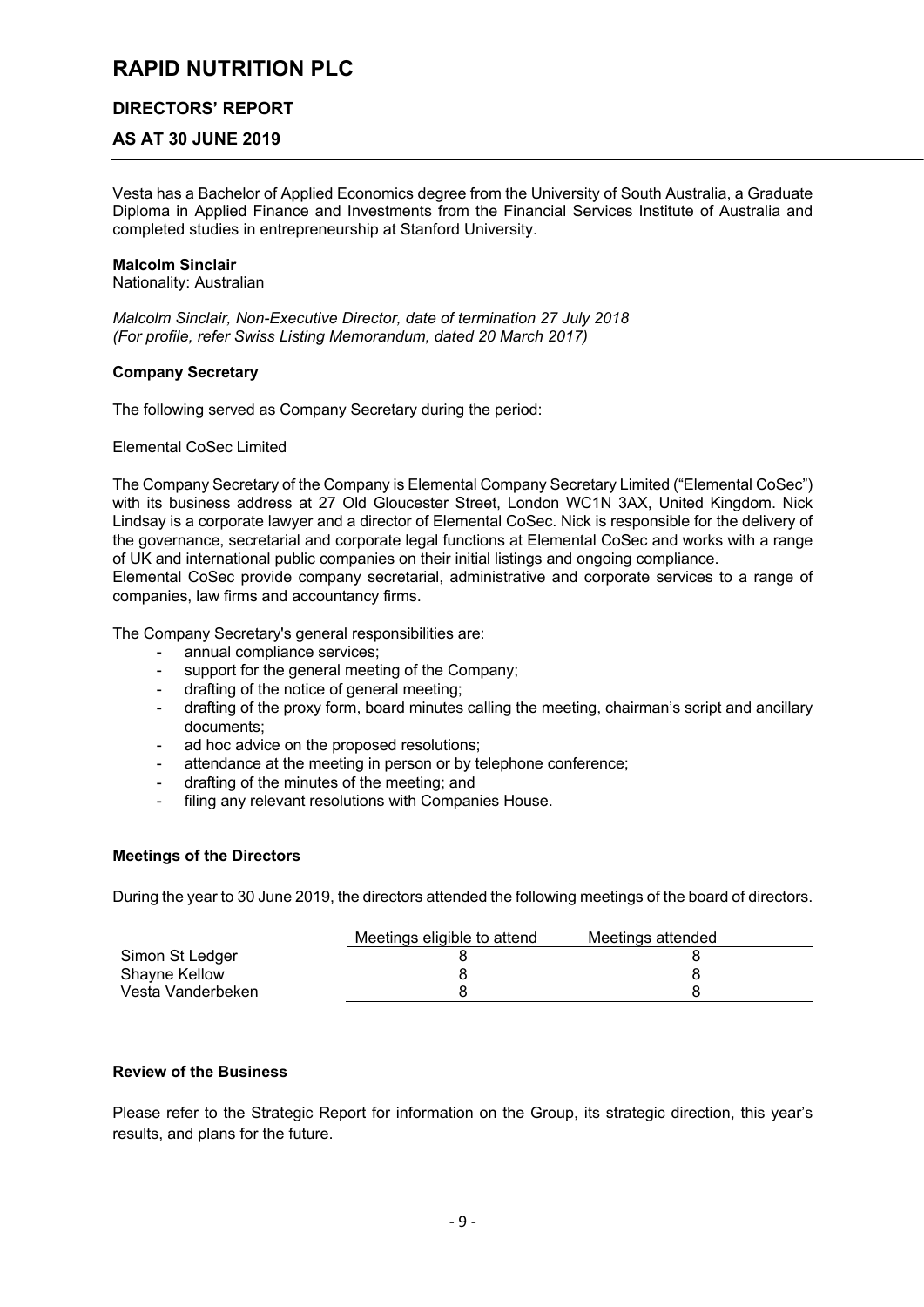### **DIRECTORS' REPORT**

### **AS AT 30 JUNE 2019**

Vesta has a Bachelor of Applied Economics degree from the University of South Australia, a Graduate Diploma in Applied Finance and Investments from the Financial Services Institute of Australia and completed studies in entrepreneurship at Stanford University.

#### **Malcolm Sinclair**

Nationality: Australian

*Malcolm Sinclair, Non-Executive Director, date of termination 27 July 2018 (For profile, refer Swiss Listing Memorandum, dated 20 March 2017)*

#### **Company Secretary**

The following served as Company Secretary during the period:

Elemental CoSec Limited

The Company Secretary of the Company is Elemental Company Secretary Limited ("Elemental CoSec") with its business address at 27 Old Gloucester Street, London WC1N 3AX, United Kingdom. Nick Lindsay is a corporate lawyer and a director of Elemental CoSec. Nick is responsible for the delivery of the governance, secretarial and corporate legal functions at Elemental CoSec and works with a range of UK and international public companies on their initial listings and ongoing compliance.

Elemental CoSec provide company secretarial, administrative and corporate services to a range of companies, law firms and accountancy firms.

The Company Secretary's general responsibilities are:

- annual compliance services;
- support for the general meeting of the Company;
- drafting of the notice of general meeting;
- drafting of the proxy form, board minutes calling the meeting, chairman's script and ancillary documents;
- ad hoc advice on the proposed resolutions:
- attendance at the meeting in person or by telephone conference;
- drafting of the minutes of the meeting; and
- filing any relevant resolutions with Companies House.

#### **Meetings of the Directors**

During the year to 30 June 2019, the directors attended the following meetings of the board of directors.

|                   | Meetings eligible to attend | Meetings attended |
|-------------------|-----------------------------|-------------------|
| Simon St Ledger   |                             |                   |
| Shayne Kellow     |                             |                   |
| Vesta Vanderbeken |                             |                   |

#### **Review of the Business**

Please refer to the Strategic Report for information on the Group, its strategic direction, this year's results, and plans for the future.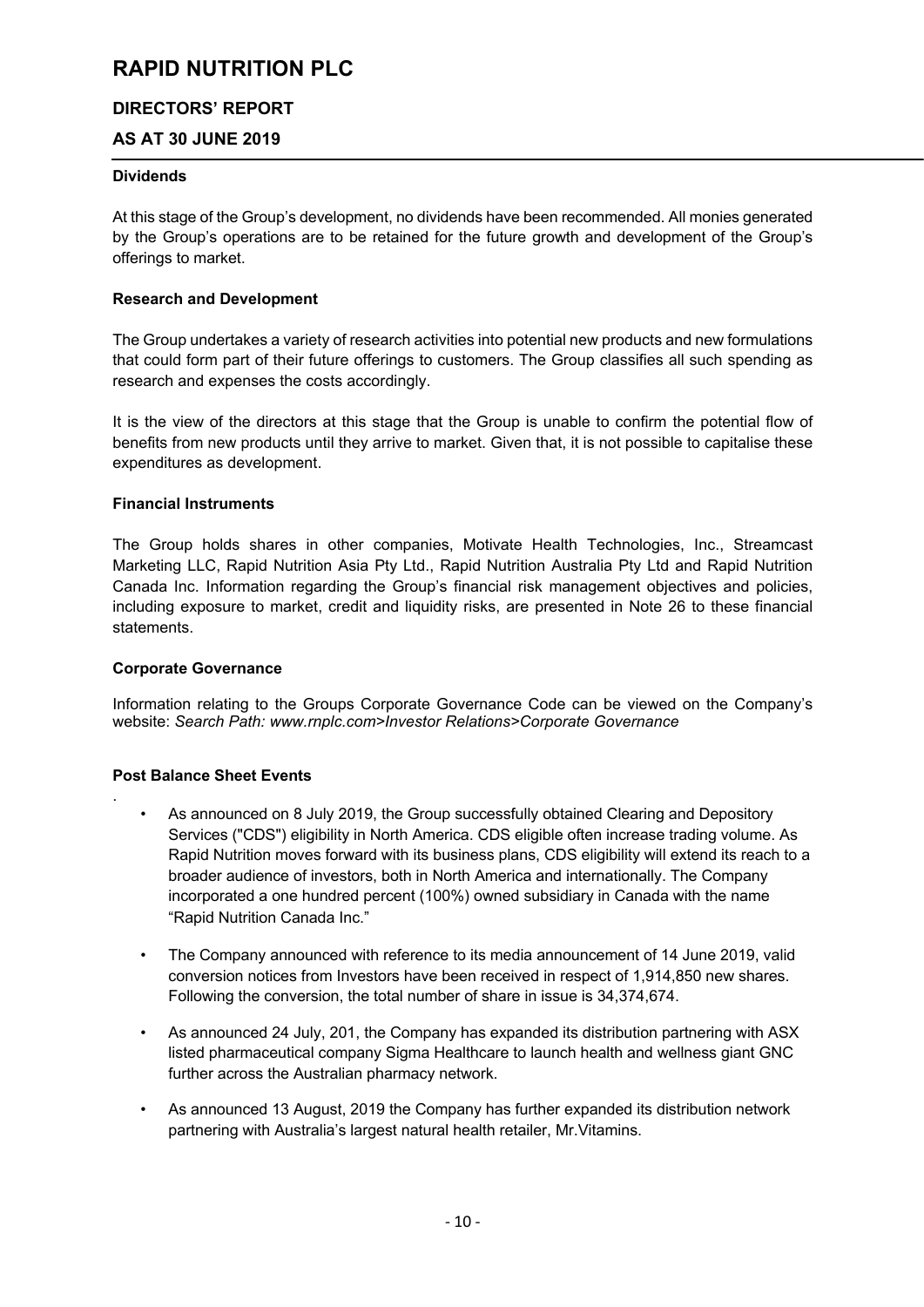## **DIRECTORS' REPORT**

## **AS AT 30 JUNE 2019**

#### **Dividends**

At this stage of the Group's development, no dividends have been recommended. All monies generated by the Group's operations are to be retained for the future growth and development of the Group's offerings to market.

#### **Research and Development**

The Group undertakes a variety of research activities into potential new products and new formulations that could form part of their future offerings to customers. The Group classifies all such spending as research and expenses the costs accordingly.

It is the view of the directors at this stage that the Group is unable to confirm the potential flow of benefits from new products until they arrive to market. Given that, it is not possible to capitalise these expenditures as development.

#### **Financial Instruments**

The Group holds shares in other companies, Motivate Health Technologies, Inc., Streamcast Marketing LLC, Rapid Nutrition Asia Pty Ltd., Rapid Nutrition Australia Pty Ltd and Rapid Nutrition Canada Inc. Information regarding the Group's financial risk management objectives and policies, including exposure to market, credit and liquidity risks, are presented in Note 26 to these financial statements.

#### **Corporate Governance**

Information relating to the Groups Corporate Governance Code can be viewed on the Company's website: *Search Path: www.rnplc.com>Investor Relations>Corporate Governance*

#### **Post Balance Sheet Events**

.

- As announced on 8 July 2019, the Group successfully obtained Clearing and Depository Services ("CDS") eligibility in North America. CDS eligible often increase trading volume. As Rapid Nutrition moves forward with its business plans, CDS eligibility will extend its reach to a broader audience of investors, both in North America and internationally. The Company incorporated a one hundred percent (100%) owned subsidiary in Canada with the name "Rapid Nutrition Canada Inc."
- The Company announced with reference to its media announcement of 14 June 2019, valid conversion notices from Investors have been received in respect of 1,914,850 new shares. Following the conversion, the total number of share in issue is 34,374,674.
- As announced 24 July, 201, the Company has expanded its distribution partnering with ASX listed pharmaceutical company Sigma Healthcare to launch health and wellness giant GNC further across the Australian pharmacy network.
- As announced 13 August, 2019 the Company has further expanded its distribution network partnering with Australia's largest natural health retailer, Mr.Vitamins.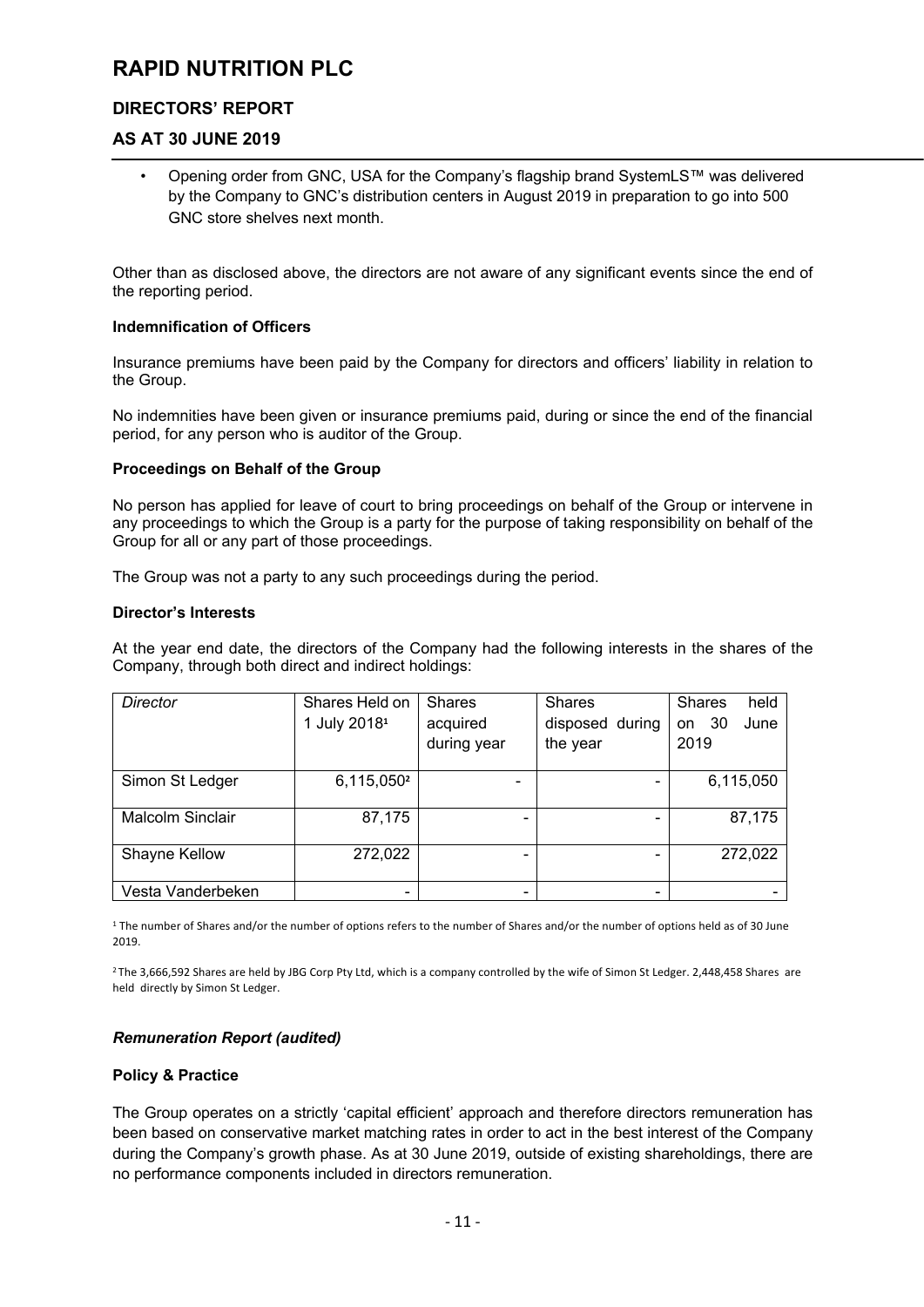# **DIRECTORS' REPORT**

# **AS AT 30 JUNE 2019**

• Opening order from GNC, USA for the Company's flagship brand SystemLS™ was delivered by the Company to GNC's distribution centers in August 2019 in preparation to go into 500 GNC store shelves next month.

Other than as disclosed above, the directors are not aware of any significant events since the end of the reporting period.

#### **Indemnification of Officers**

Insurance premiums have been paid by the Company for directors and officers' liability in relation to the Group.

No indemnities have been given or insurance premiums paid, during or since the end of the financial period, for any person who is auditor of the Group.

#### **Proceedings on Behalf of the Group**

No person has applied for leave of court to bring proceedings on behalf of the Group or intervene in any proceedings to which the Group is a party for the purpose of taking responsibility on behalf of the Group for all or any part of those proceedings.

The Group was not a party to any such proceedings during the period.

#### **Director's Interests**

At the year end date, the directors of the Company had the following interests in the shares of the Company, through both direct and indirect holdings:

| <b>Director</b>   | Shares Held on           | <b>Shares</b> | <b>Shares</b>            | <b>Shares</b><br>held |
|-------------------|--------------------------|---------------|--------------------------|-----------------------|
|                   | 1 July 2018 <sup>1</sup> | acquired      | disposed during          | June<br>-30<br>on     |
|                   |                          | during year   | the year                 | 2019                  |
|                   |                          |               |                          |                       |
| Simon St Ledger   | 6,115,050 <sup>2</sup>   |               | -                        | 6,115,050             |
|                   |                          |               |                          |                       |
| Malcolm Sinclair  | 87,175                   |               | $\overline{\phantom{0}}$ | 87,175                |
|                   |                          |               |                          |                       |
| Shayne Kellow     | 272,022                  |               |                          | 272,022               |
|                   |                          |               |                          |                       |
| Vesta Vanderbeken |                          |               | $\overline{\phantom{0}}$ |                       |

<sup>1</sup> The number of Shares and/or the number of options refers to the number of Shares and/or the number of options held as of 30 June 2019.

<sup>2</sup> The 3,666,592 Shares are held by JBG Corp Pty Ltd, which is a company controlled by the wife of Simon St Ledger. 2,448,458 Shares are held directly by Simon St Ledger.

#### *Remuneration Report (audited)*

#### **Policy & Practice**

The Group operates on a strictly 'capital efficient' approach and therefore directors remuneration has been based on conservative market matching rates in order to act in the best interest of the Company during the Company's growth phase. As at 30 June 2019, outside of existing shareholdings, there are no performance components included in directors remuneration.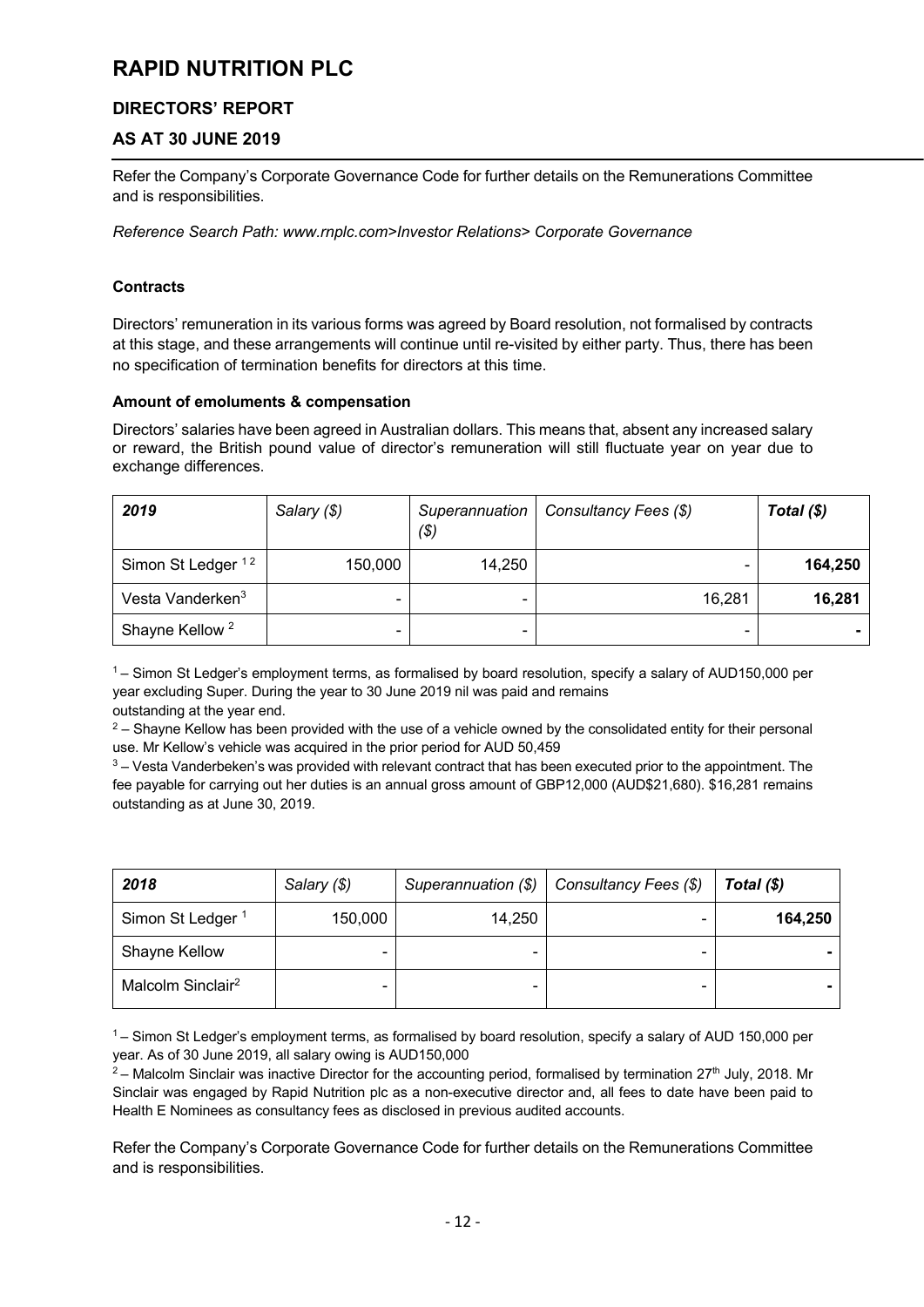# **DIRECTORS' REPORT**

# **AS AT 30 JUNE 2019**

Refer the Company's Corporate Governance Code for further details on the Remunerations Committee and is responsibilities.

*Reference Search Path: www.rnplc.com>Investor Relations> Corporate Governance*

### **Contracts**

Directors' remuneration in its various forms was agreed by Board resolution, not formalised by contracts at this stage, and these arrangements will continue until re-visited by either party. Thus, there has been no specification of termination benefits for directors at this time.

### **Amount of emoluments & compensation**

Directors' salaries have been agreed in Australian dollars. This means that, absent any increased salary or reward, the British pound value of director's remuneration will still fluctuate year on year due to exchange differences.

| 2019                          | Salary (\$) | Superannuation<br>( \$)  | Consultancy Fees (\$)    | Total $(\$)$ |
|-------------------------------|-------------|--------------------------|--------------------------|--------------|
| Simon St Ledger <sup>12</sup> | 150,000     | 14,250                   | $\overline{\phantom{0}}$ | 164,250      |
| Vesta Vanderken <sup>3</sup>  |             | $\overline{\phantom{0}}$ | 16,281                   | 16,281       |
| Shayne Kellow <sup>2</sup>    |             |                          |                          |              |

 $1 -$  Simon St Ledger's employment terms, as formalised by board resolution, specify a salary of AUD150,000 per year excluding Super. During the year to 30 June 2019 nil was paid and remains outstanding at the year end.

 $2 -$  Shayne Kellow has been provided with the use of a vehicle owned by the consolidated entity for their personal use. Mr Kellow's vehicle was acquired in the prior period for AUD 50,459

 $3 - V$ esta Vanderbeken's was provided with relevant contract that has been executed prior to the appointment. The fee payable for carrying out her duties is an annual gross amount of GBP12,000 (AUD\$21,680). \$16,281 remains outstanding as at June 30, 2019.

| 2018                          | Salary (\$) | Superannuation (\$) | Consultancy Fees (\$) | Total $(\$)$ |
|-------------------------------|-------------|---------------------|-----------------------|--------------|
| Simon St Ledger <sup>1</sup>  | 150,000     | 14,250              |                       | 164,250      |
| Shayne Kellow                 | -           |                     |                       |              |
| Malcolm Sinclair <sup>2</sup> |             |                     |                       |              |

 $1 -$  Simon St Ledger's employment terms, as formalised by board resolution, specify a salary of AUD 150,000 per year. As of 30 June 2019, all salary owing is AUD150,000<br><sup>2</sup> – Malcolm Sinclair was inactive Director for the accounting period, formalised by termination 27<sup>th</sup> July, 2018. Mr

Sinclair was engaged by Rapid Nutrition plc as a non-executive director and, all fees to date have been paid to Health E Nominees as consultancy fees as disclosed in previous audited accounts.

Refer the Company's Corporate Governance Code for further details on the Remunerations Committee and is responsibilities.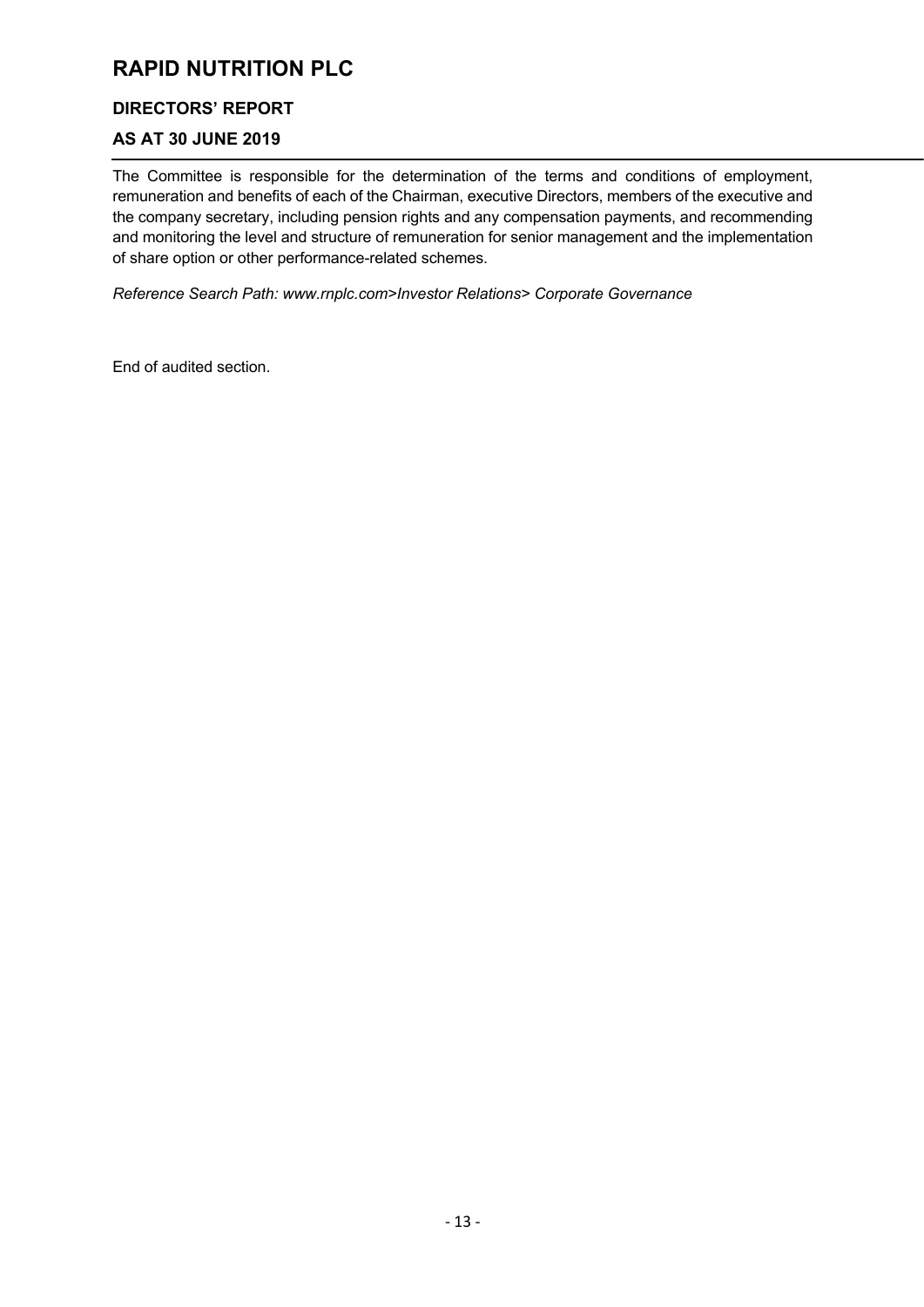# **DIRECTORS' REPORT**

# **AS AT 30 JUNE 2019**

The Committee is responsible for the determination of the terms and conditions of employment, remuneration and benefits of each of the Chairman, executive Directors, members of the executive and the company secretary, including pension rights and any compensation payments, and recommending and monitoring the level and structure of remuneration for senior management and the implementation of share option or other performance-related schemes.

*Reference Search Path: www.rnplc.com>Investor Relations> Corporate Governance*

End of audited section.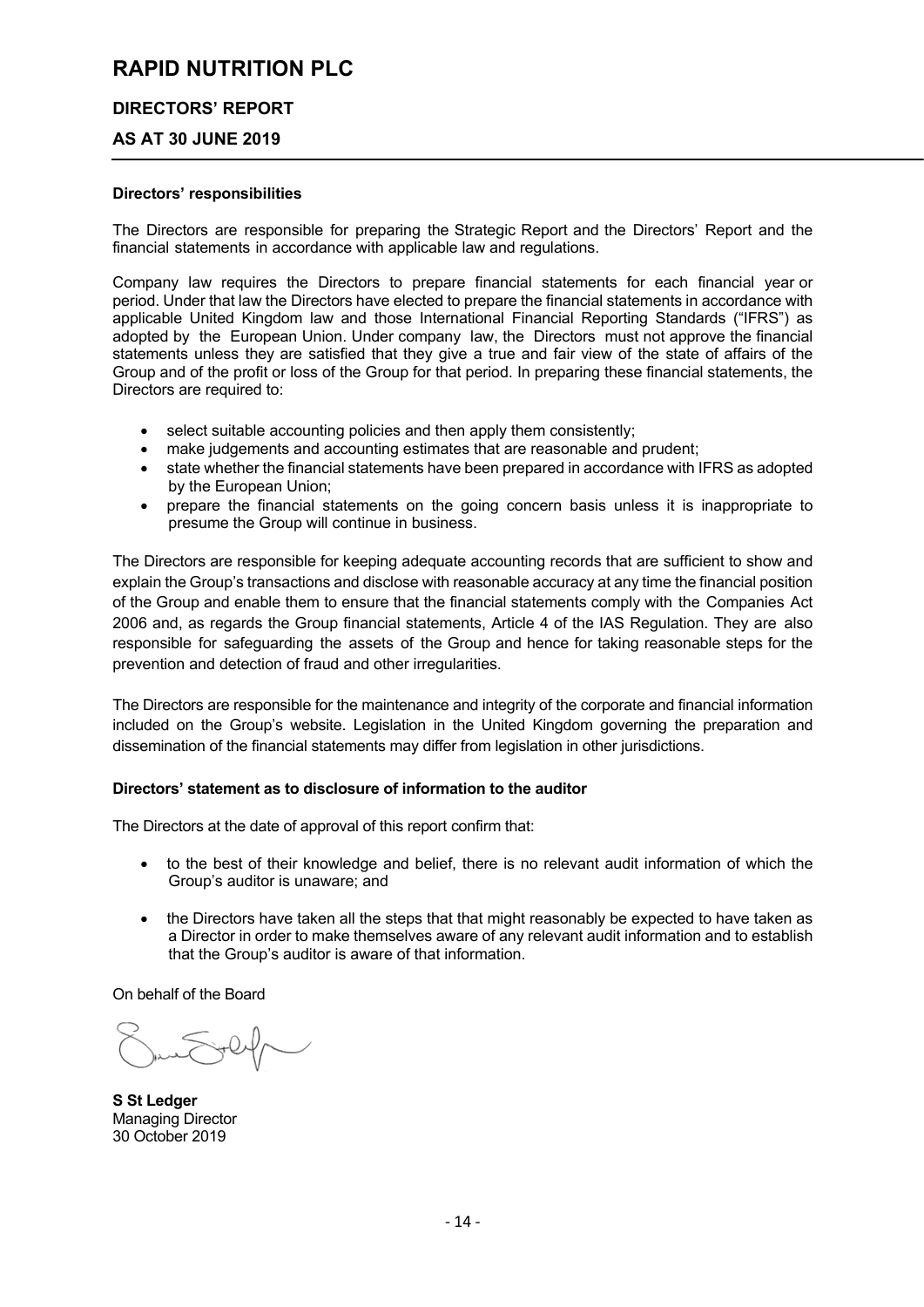#### **DIRECTORS' REPORT**

#### **AS AT 30 JUNE 2019**

#### **Directors' responsibilities**

The Directors are responsible for preparing the Strategic Report and the Directors' Report and the financial statements in accordance with applicable law and regulations.

Company law requires the Directors to prepare financial statements for each financial year or period. Under that law the Directors have elected to prepare the financial statements in accordance with applicable United Kingdom law and those International Financial Reporting Standards ("IFRS") as adopted by the European Union. Under company law, the Directors must not approve the financial statements unless they are satisfied that they give a true and fair view of the state of affairs of the Group and of the profit or loss of the Group for that period. In preparing these financial statements, the Directors are required to:

- select suitable accounting policies and then apply them consistently;
- make judgements and accounting estimates that are reasonable and prudent;
- state whether the financial statements have been prepared in accordance with IFRS as adopted by the European Union;
- prepare the financial statements on the going concern basis unless it is inappropriate to presume the Group will continue in business.

The Directors are responsible for keeping adequate accounting records that are sufficient to show and explain the Group's transactions and disclose with reasonable accuracy at any time the financial position of the Group and enable them to ensure that the financial statements comply with the Companies Act 2006 and, as regards the Group financial statements, Article 4 of the IAS Regulation. They are also responsible for safeguarding the assets of the Group and hence for taking reasonable steps for the prevention and detection of fraud and other irregularities.

The Directors are responsible for the maintenance and integrity of the corporate and financial information included on the Group's website. Legislation in the United Kingdom governing the preparation and dissemination of the financial statements may differ from legislation in other jurisdictions.

#### **Directors' statement as to disclosure of information to the auditor**

The Directors at the date of approval of this report confirm that:

- to the best of their knowledge and belief, there is no relevant audit information of which the Group's auditor is unaware; and
- the Directors have taken all the steps that that might reasonably be expected to have taken as a Director in order to make themselves aware of any relevant audit information and to establish that the Group's auditor is aware of that information.

On behalf of the Board

**S St Ledger** Managing Director 30 October 2019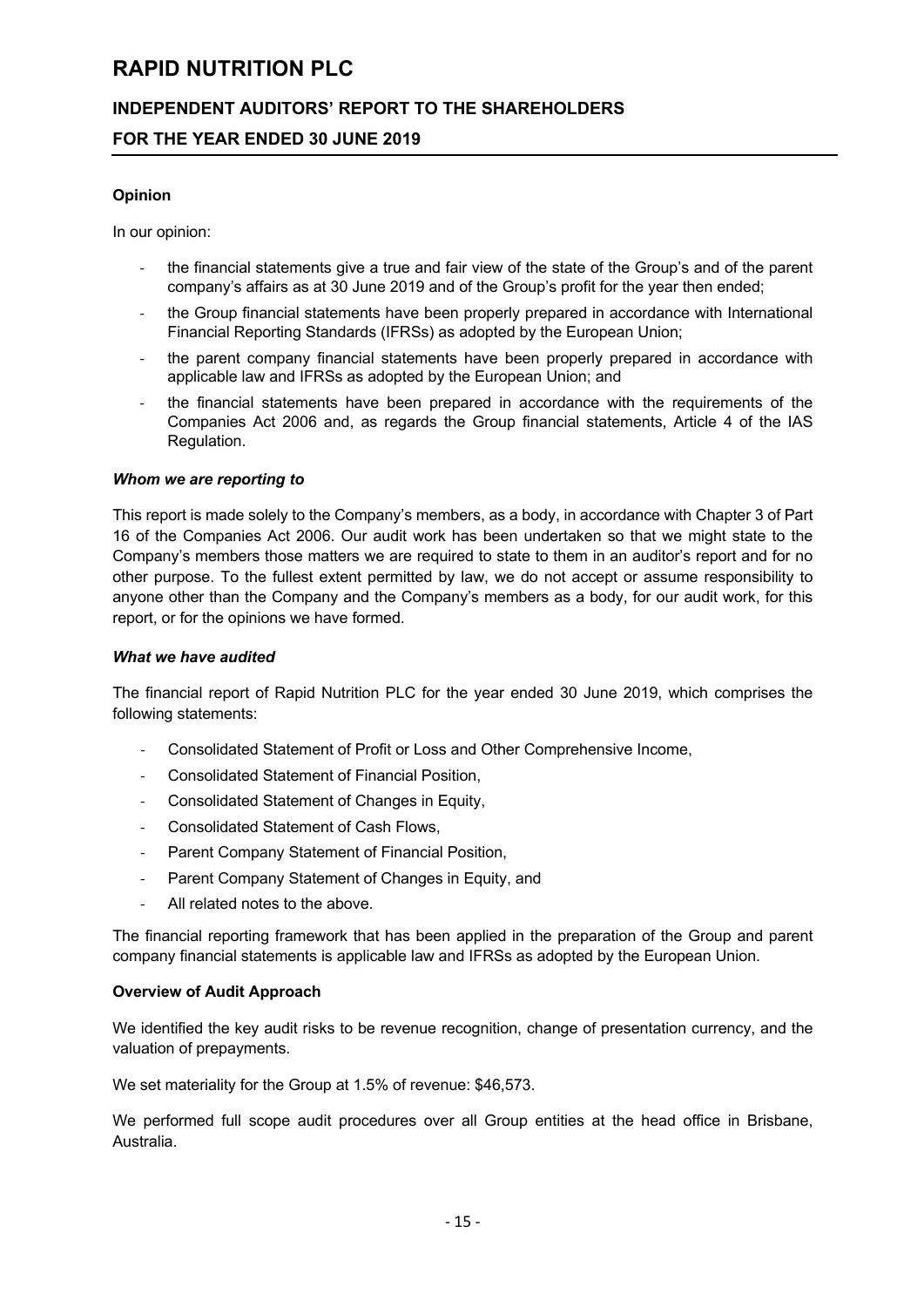# **INDEPENDENT AUDITORS' REPORT TO THE SHAREHOLDERS**

### **FOR THE YEAR ENDED 30 JUNE 2019**

#### **Opinion**

In our opinion:

- the financial statements give a true and fair view of the state of the Group's and of the parent company's affairs as at 30 June 2019 and of the Group's profit for the year then ended;
- the Group financial statements have been properly prepared in accordance with International Financial Reporting Standards (IFRSs) as adopted by the European Union;
- the parent company financial statements have been properly prepared in accordance with applicable law and IFRSs as adopted by the European Union; and
- the financial statements have been prepared in accordance with the requirements of the Companies Act 2006 and, as regards the Group financial statements, Article 4 of the IAS Regulation.

#### *Whom we are reporting to*

This report is made solely to the Company's members, as a body, in accordance with Chapter 3 of Part 16 of the Companies Act 2006. Our audit work has been undertaken so that we might state to the Company's members those matters we are required to state to them in an auditor's report and for no other purpose. To the fullest extent permitted by law, we do not accept or assume responsibility to anyone other than the Company and the Company's members as a body, for our audit work, for this report, or for the opinions we have formed.

#### *What we have audited*

The financial report of Rapid Nutrition PLC for the year ended 30 June 2019, which comprises the following statements:

- Consolidated Statement of Profit or Loss and Other Comprehensive Income,
- Consolidated Statement of Financial Position,
- Consolidated Statement of Changes in Equity,
- Consolidated Statement of Cash Flows,
- Parent Company Statement of Financial Position,
- Parent Company Statement of Changes in Equity, and
- All related notes to the above.

The financial reporting framework that has been applied in the preparation of the Group and parent company financial statements is applicable law and IFRSs as adopted by the European Union.

#### **Overview of Audit Approach**

We identified the key audit risks to be revenue recognition, change of presentation currency, and the valuation of prepayments.

We set materiality for the Group at 1.5% of revenue: \$46,573.

We performed full scope audit procedures over all Group entities at the head office in Brisbane, Australia.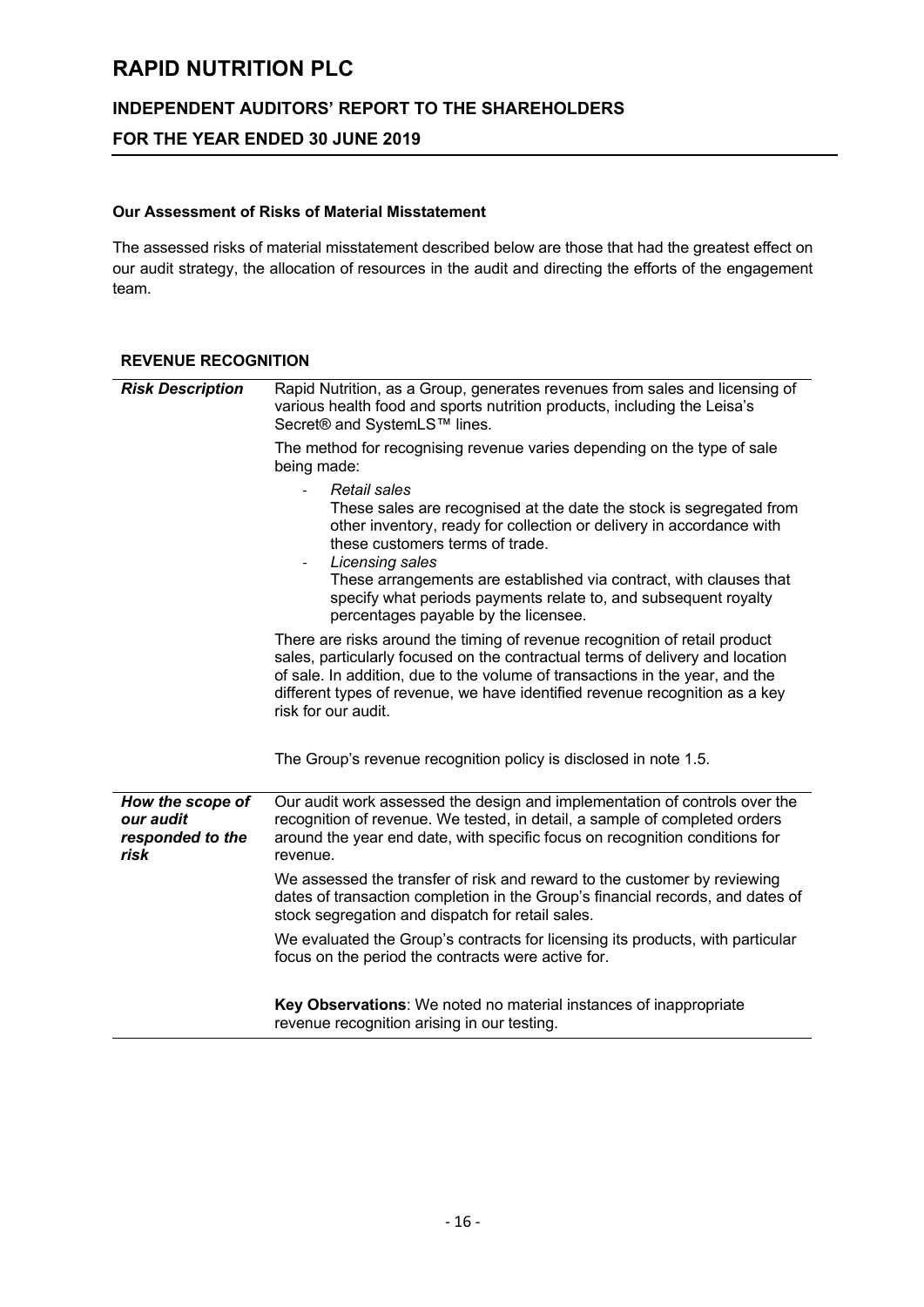# **INDEPENDENT AUDITORS' REPORT TO THE SHAREHOLDERS**

## **FOR THE YEAR ENDED 30 JUNE 2019**

#### **Our Assessment of Risks of Material Misstatement**

The assessed risks of material misstatement described below are those that had the greatest effect on our audit strategy, the allocation of resources in the audit and directing the efforts of the engagement team.

#### **REVENUE RECOGNITION**

| <b>Risk Description</b>                                   | Rapid Nutrition, as a Group, generates revenues from sales and licensing of<br>various health food and sports nutrition products, including the Leisa's<br>Secret® and SystemLS™ lines.                                                                                                                                                                                                            |
|-----------------------------------------------------------|----------------------------------------------------------------------------------------------------------------------------------------------------------------------------------------------------------------------------------------------------------------------------------------------------------------------------------------------------------------------------------------------------|
|                                                           | The method for recognising revenue varies depending on the type of sale<br>being made:                                                                                                                                                                                                                                                                                                             |
|                                                           | Retail sales<br>These sales are recognised at the date the stock is segregated from<br>other inventory, ready for collection or delivery in accordance with<br>these customers terms of trade.<br>Licensing sales<br>These arrangements are established via contract, with clauses that<br>specify what periods payments relate to, and subsequent royalty<br>percentages payable by the licensee. |
|                                                           | There are risks around the timing of revenue recognition of retail product<br>sales, particularly focused on the contractual terms of delivery and location<br>of sale. In addition, due to the volume of transactions in the year, and the<br>different types of revenue, we have identified revenue recognition as a key<br>risk for our audit.                                                  |
|                                                           | The Group's revenue recognition policy is disclosed in note 1.5.                                                                                                                                                                                                                                                                                                                                   |
| How the scope of<br>our audit<br>responded to the<br>risk | Our audit work assessed the design and implementation of controls over the<br>recognition of revenue. We tested, in detail, a sample of completed orders<br>around the year end date, with specific focus on recognition conditions for<br>revenue.                                                                                                                                                |
|                                                           | We assessed the transfer of risk and reward to the customer by reviewing<br>dates of transaction completion in the Group's financial records, and dates of<br>stock segregation and dispatch for retail sales.                                                                                                                                                                                     |
|                                                           | We evaluated the Group's contracts for licensing its products, with particular<br>focus on the period the contracts were active for.                                                                                                                                                                                                                                                               |
|                                                           | Key Observations: We noted no material instances of inappropriate<br>revenue recognition arising in our testing.                                                                                                                                                                                                                                                                                   |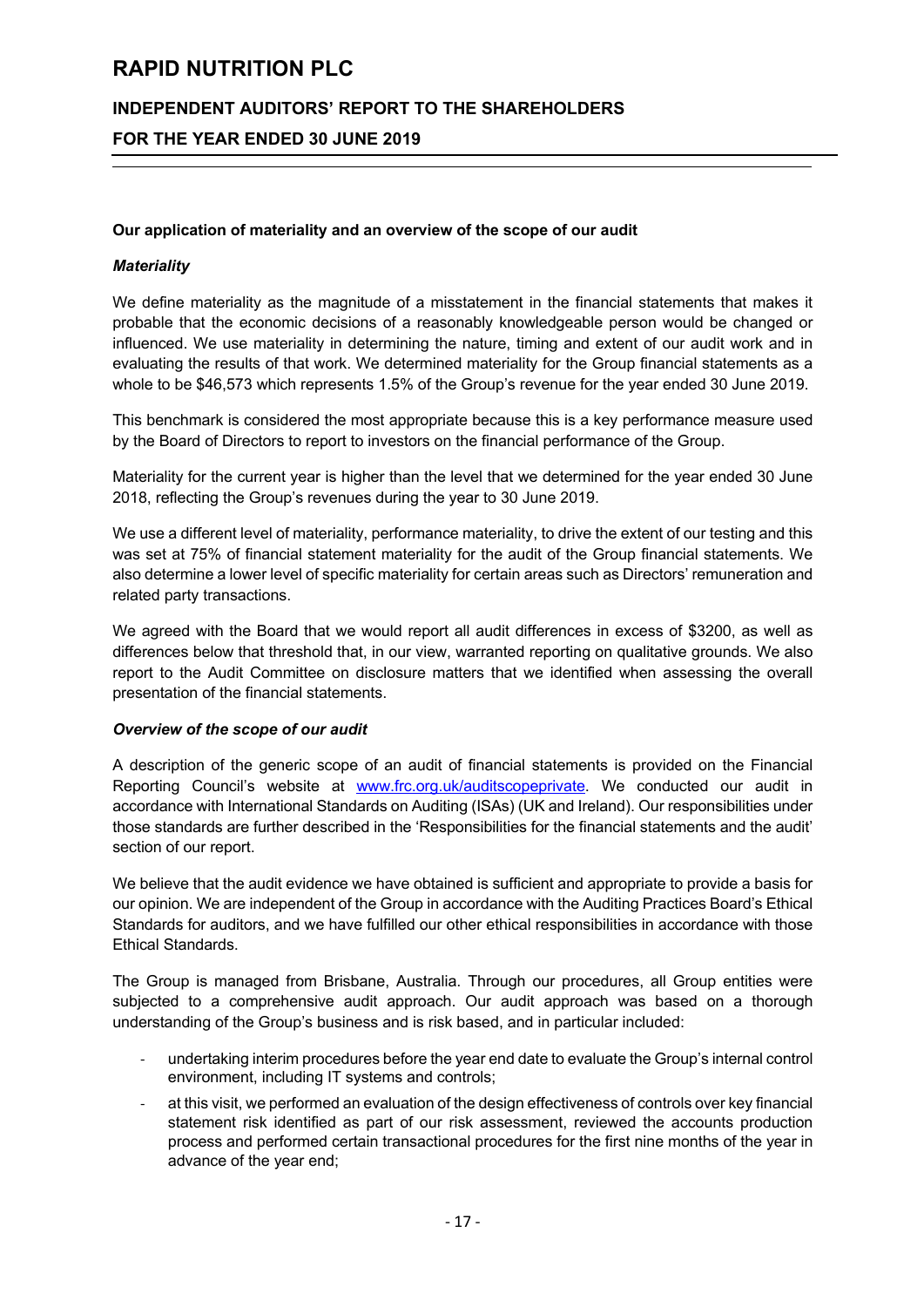## **INDEPENDENT AUDITORS' REPORT TO THE SHAREHOLDERS**

## **FOR THE YEAR ENDED 30 JUNE 2019**

#### **Our application of materiality and an overview of the scope of our audit**

#### *Materiality*

We define materiality as the magnitude of a misstatement in the financial statements that makes it probable that the economic decisions of a reasonably knowledgeable person would be changed or influenced. We use materiality in determining the nature, timing and extent of our audit work and in evaluating the results of that work. We determined materiality for the Group financial statements as a whole to be \$46,573 which represents 1.5% of the Group's revenue for the year ended 30 June 2019.

This benchmark is considered the most appropriate because this is a key performance measure used by the Board of Directors to report to investors on the financial performance of the Group.

Materiality for the current year is higher than the level that we determined for the year ended 30 June 2018, reflecting the Group's revenues during the year to 30 June 2019.

We use a different level of materiality, performance materiality, to drive the extent of our testing and this was set at 75% of financial statement materiality for the audit of the Group financial statements. We also determine a lower level of specific materiality for certain areas such as Directors' remuneration and related party transactions.

We agreed with the Board that we would report all audit differences in excess of \$3200, as well as differences below that threshold that, in our view, warranted reporting on qualitative grounds. We also report to the Audit Committee on disclosure matters that we identified when assessing the overall presentation of the financial statements.

#### *Overview of the scope of our audit*

A description of the generic scope of an audit of financial statements is provided on the Financial Reporting Council's website at www.frc.org.uk/auditscopeprivate. We conducted our audit in accordance with International Standards on Auditing (ISAs) (UK and Ireland). Our responsibilities under those standards are further described in the 'Responsibilities for the financial statements and the audit' section of our report.

We believe that the audit evidence we have obtained is sufficient and appropriate to provide a basis for our opinion. We are independent of the Group in accordance with the Auditing Practices Board's Ethical Standards for auditors, and we have fulfilled our other ethical responsibilities in accordance with those Ethical Standards.

The Group is managed from Brisbane, Australia. Through our procedures, all Group entities were subjected to a comprehensive audit approach. Our audit approach was based on a thorough understanding of the Group's business and is risk based, and in particular included:

- undertaking interim procedures before the year end date to evaluate the Group's internal control environment, including IT systems and controls;
- at this visit, we performed an evaluation of the design effectiveness of controls over key financial statement risk identified as part of our risk assessment, reviewed the accounts production process and performed certain transactional procedures for the first nine months of the year in advance of the year end;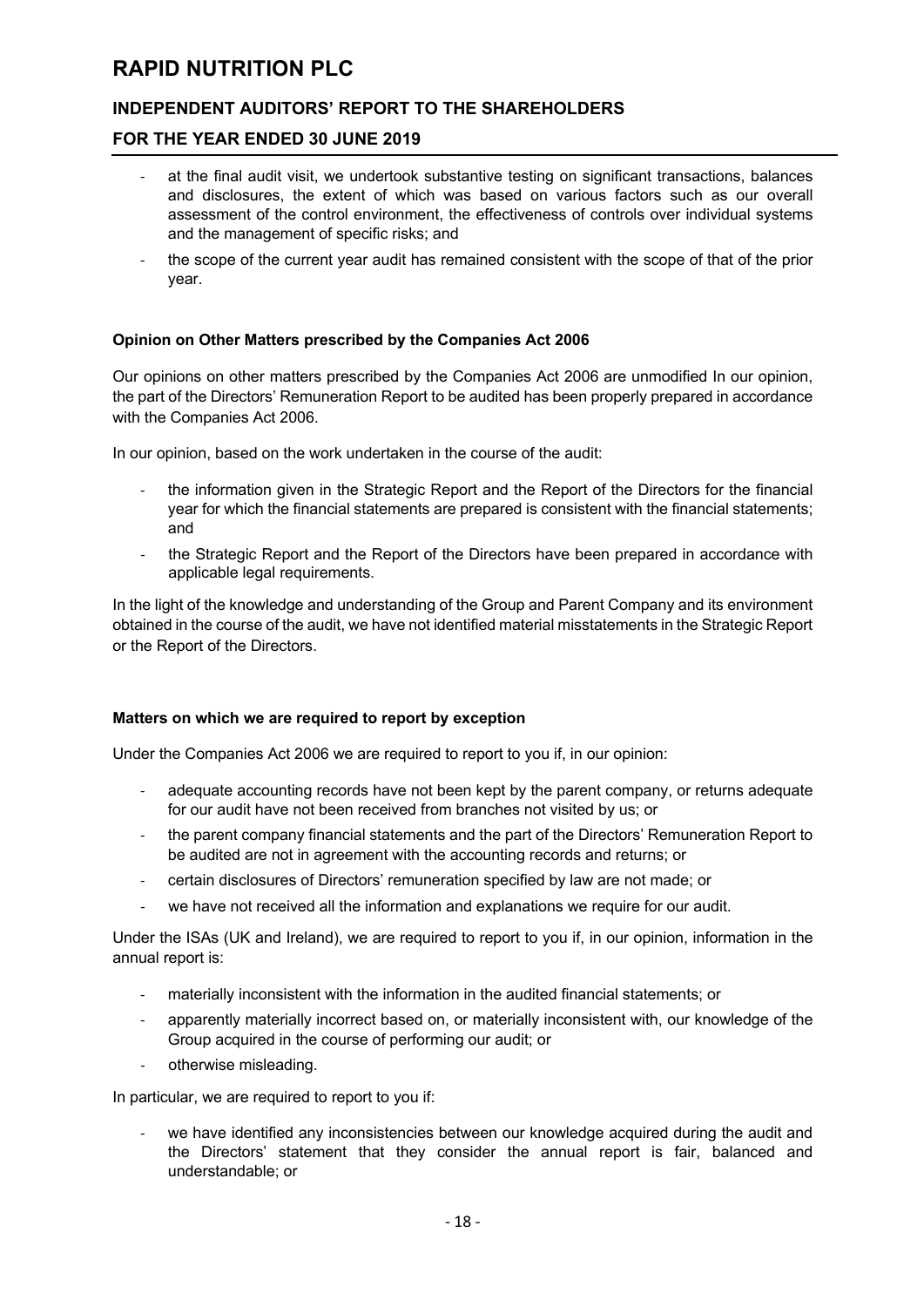# **INDEPENDENT AUDITORS' REPORT TO THE SHAREHOLDERS**

### **FOR THE YEAR ENDED 30 JUNE 2019**

- at the final audit visit, we undertook substantive testing on significant transactions, balances and disclosures, the extent of which was based on various factors such as our overall assessment of the control environment, the effectiveness of controls over individual systems and the management of specific risks; and
- the scope of the current year audit has remained consistent with the scope of that of the prior year.

#### **Opinion on Other Matters prescribed by the Companies Act 2006**

Our opinions on other matters prescribed by the Companies Act 2006 are unmodified In our opinion, the part of the Directors' Remuneration Report to be audited has been properly prepared in accordance with the Companies Act 2006.

In our opinion, based on the work undertaken in the course of the audit:

- the information given in the Strategic Report and the Report of the Directors for the financial year for which the financial statements are prepared is consistent with the financial statements; and
- the Strategic Report and the Report of the Directors have been prepared in accordance with applicable legal requirements.

In the light of the knowledge and understanding of the Group and Parent Company and its environment obtained in the course of the audit, we have not identified material misstatements in the Strategic Report or the Report of the Directors.

#### **Matters on which we are required to report by exception**

Under the Companies Act 2006 we are required to report to you if, in our opinion:

- adequate accounting records have not been kept by the parent company, or returns adequate for our audit have not been received from branches not visited by us; or
- the parent company financial statements and the part of the Directors' Remuneration Report to be audited are not in agreement with the accounting records and returns; or
- certain disclosures of Directors' remuneration specified by law are not made; or
- we have not received all the information and explanations we require for our audit.

Under the ISAs (UK and Ireland), we are required to report to you if, in our opinion, information in the annual report is:

- materially inconsistent with the information in the audited financial statements; or
- apparently materially incorrect based on, or materially inconsistent with, our knowledge of the Group acquired in the course of performing our audit; or
- otherwise misleading.

In particular, we are required to report to you if:

we have identified any inconsistencies between our knowledge acquired during the audit and the Directors' statement that they consider the annual report is fair, balanced and understandable; or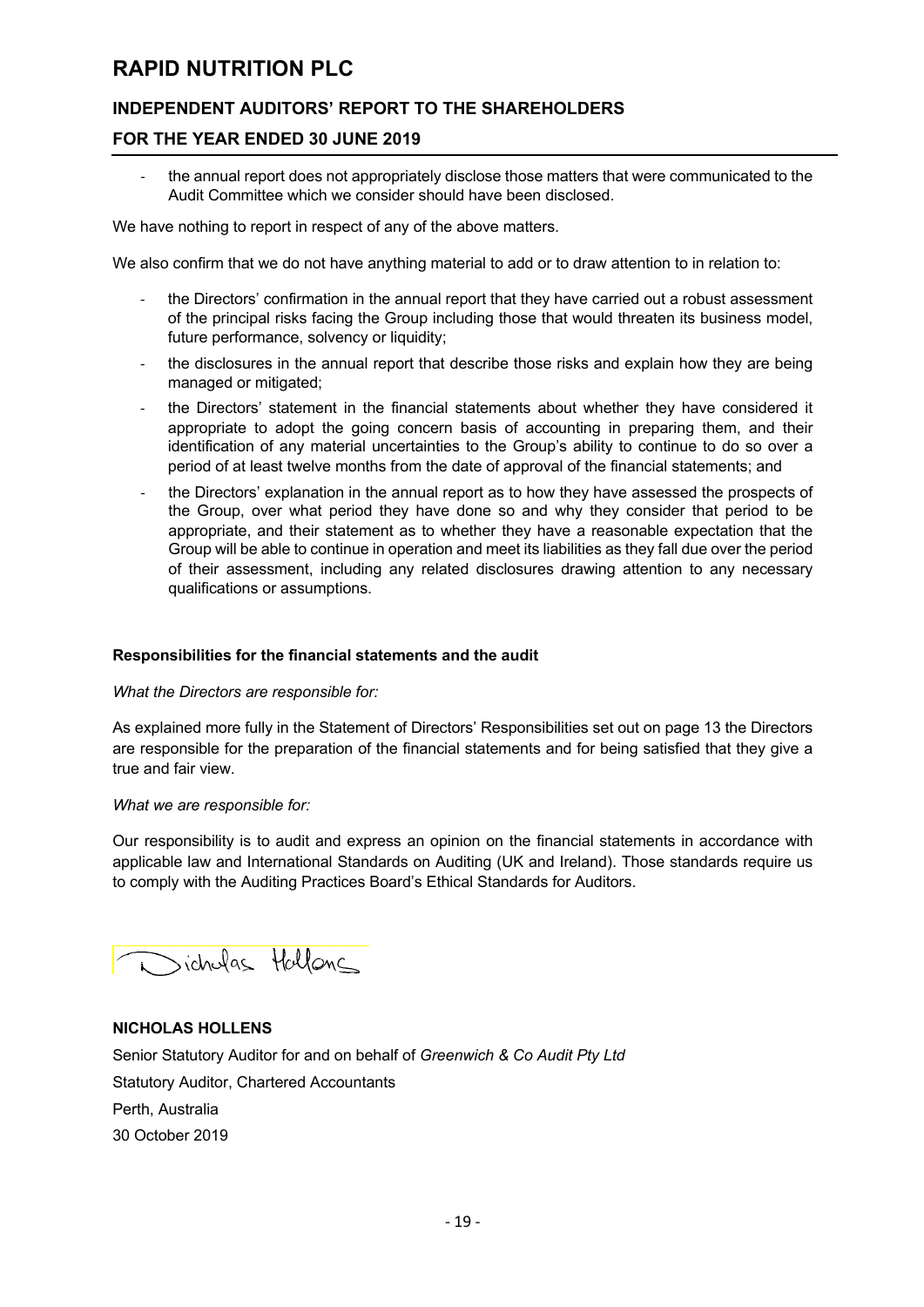# **INDEPENDENT AUDITORS' REPORT TO THE SHAREHOLDERS**

### **FOR THE YEAR ENDED 30 JUNE 2019**

the annual report does not appropriately disclose those matters that were communicated to the Audit Committee which we consider should have been disclosed.

We have nothing to report in respect of any of the above matters.

We also confirm that we do not have anything material to add or to draw attention to in relation to:

- the Directors' confirmation in the annual report that they have carried out a robust assessment of the principal risks facing the Group including those that would threaten its business model, future performance, solvency or liquidity;
- the disclosures in the annual report that describe those risks and explain how they are being managed or mitigated;
- the Directors' statement in the financial statements about whether they have considered it appropriate to adopt the going concern basis of accounting in preparing them, and their identification of any material uncertainties to the Group's ability to continue to do so over a period of at least twelve months from the date of approval of the financial statements; and
- the Directors' explanation in the annual report as to how they have assessed the prospects of the Group, over what period they have done so and why they consider that period to be appropriate, and their statement as to whether they have a reasonable expectation that the Group will be able to continue in operation and meet its liabilities as they fall due over the period of their assessment, including any related disclosures drawing attention to any necessary qualifications or assumptions.

#### **Responsibilities for the financial statements and the audit**

#### *What the Directors are responsible for:*

As explained more fully in the Statement of Directors' Responsibilities set out on page 13 the Directors are responsible for the preparation of the financial statements and for being satisfied that they give a true and fair view.

#### *What we are responsible for:*

Our responsibility is to audit and express an opinion on the financial statements in accordance with applicable law and International Standards on Auditing (UK and Ireland). Those standards require us to comply with the Auditing Practices Board's Ethical Standards for Auditors.

inichalas Hallonc

### **NICHOLAS HOLLENS**

Senior Statutory Auditor for and on behalf of *Greenwich & Co Audit Pty Ltd* Statutory Auditor, Chartered Accountants Perth, Australia 30 October 2019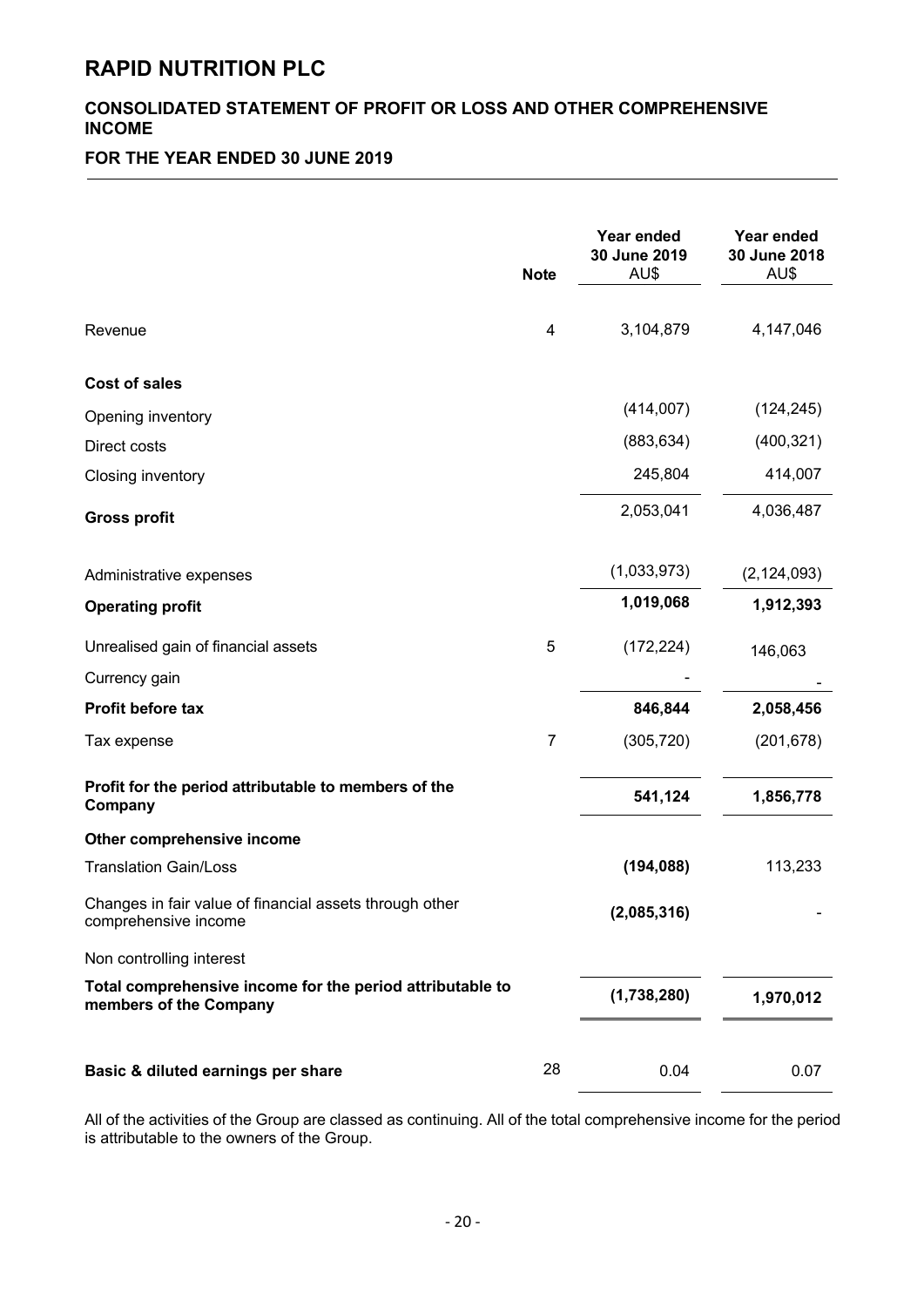# **CONSOLIDATED STATEMENT OF PROFIT OR LOSS AND OTHER COMPREHENSIVE INCOME**

# **FOR THE YEAR ENDED 30 JUNE 2019**

|                                                                                     | <b>Note</b>    | Year ended<br>30 June 2019<br>AU\$ | Year ended<br>30 June 2018<br>AU\$ |
|-------------------------------------------------------------------------------------|----------------|------------------------------------|------------------------------------|
| Revenue                                                                             | $\overline{4}$ | 3,104,879                          | 4,147,046                          |
| <b>Cost of sales</b>                                                                |                |                                    |                                    |
| Opening inventory                                                                   |                | (414,007)                          | (124, 245)                         |
| Direct costs                                                                        |                | (883, 634)                         | (400, 321)                         |
| Closing inventory                                                                   |                | 245,804                            | 414,007                            |
| <b>Gross profit</b>                                                                 |                | 2,053,041                          | 4,036,487                          |
| Administrative expenses                                                             |                | (1,033,973)                        | (2, 124, 093)                      |
| <b>Operating profit</b>                                                             |                | 1,019,068                          | 1,912,393                          |
| Unrealised gain of financial assets                                                 | 5              | (172, 224)                         | 146,063                            |
| Currency gain                                                                       |                |                                    |                                    |
| Profit before tax                                                                   |                | 846,844                            | 2,058,456                          |
| Tax expense                                                                         | 7              | (305, 720)                         | (201, 678)                         |
| Profit for the period attributable to members of the<br>Company                     |                | 541,124                            | 1,856,778                          |
| Other comprehensive income                                                          |                |                                    |                                    |
| <b>Translation Gain/Loss</b>                                                        |                | (194, 088)                         | 113,233                            |
| Changes in fair value of financial assets through other<br>comprehensive income     |                | (2,085,316)                        |                                    |
| Non controlling interest                                                            |                |                                    |                                    |
| Total comprehensive income for the period attributable to<br>members of the Company |                | (1,738,280)                        | 1,970,012                          |
| Basic & diluted earnings per share                                                  | 28             | 0.04                               | 0.07                               |

All of the activities of the Group are classed as continuing. All of the total comprehensive income for the period is attributable to the owners of the Group.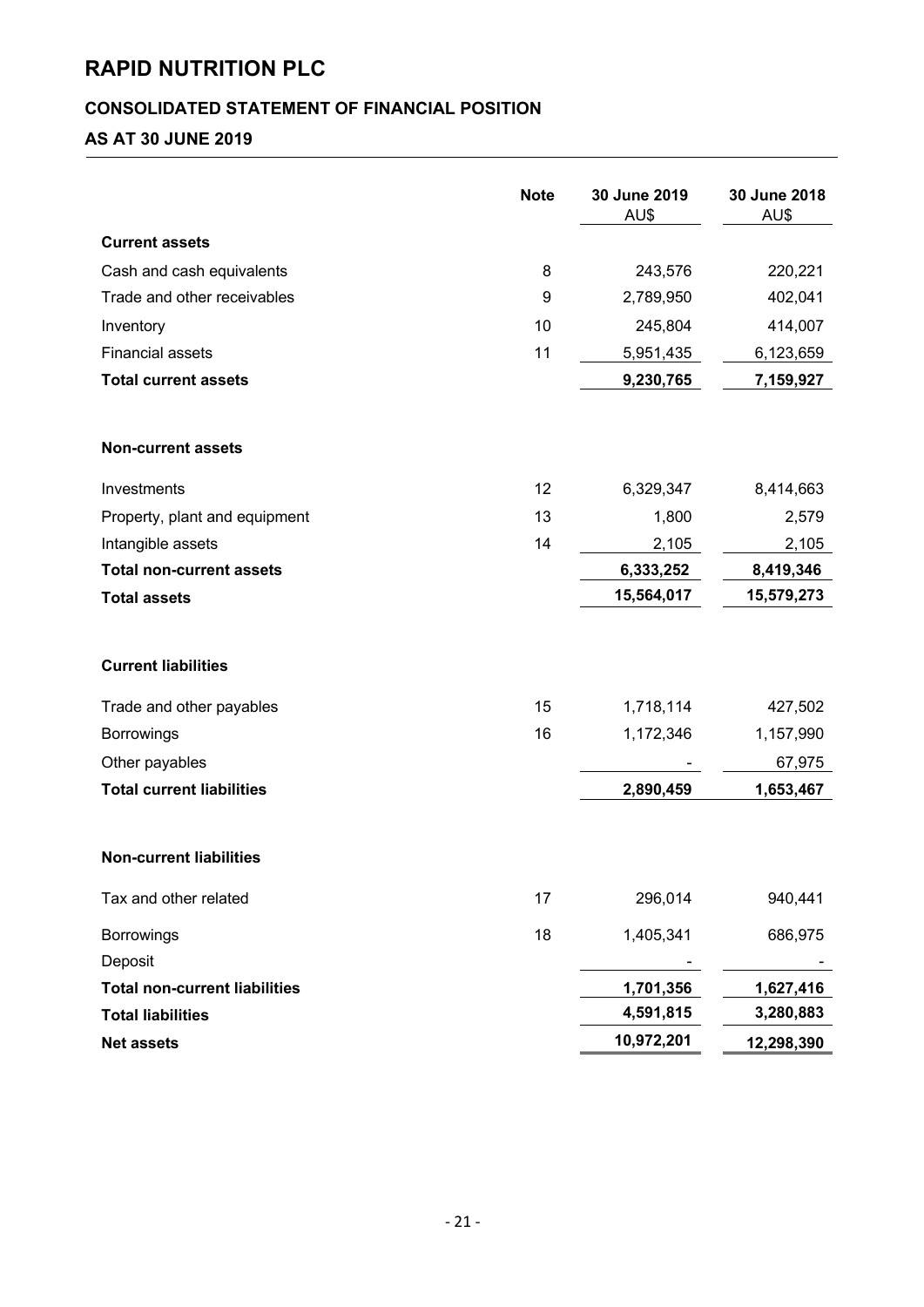# **CONSOLIDATED STATEMENT OF FINANCIAL POSITION**

# **AS AT 30 JUNE 2019**

|                                      | <b>Note</b> | 30 June 2019<br>AU\$ | 30 June 2018<br>AU\$ |
|--------------------------------------|-------------|----------------------|----------------------|
| <b>Current assets</b>                |             |                      |                      |
| Cash and cash equivalents            | 8           | 243,576              | 220,221              |
| Trade and other receivables          | 9           | 2,789,950            | 402,041              |
| Inventory                            | 10          | 245,804              | 414,007              |
| <b>Financial assets</b>              | 11          | 5,951,435            | 6,123,659            |
| <b>Total current assets</b>          |             | 9,230,765            | 7,159,927            |
| <b>Non-current assets</b>            |             |                      |                      |
| Investments                          | 12          | 6,329,347            | 8,414,663            |
| Property, plant and equipment        | 13          | 1,800                | 2,579                |
| Intangible assets                    | 14          | 2,105                | 2,105                |
| <b>Total non-current assets</b>      |             | 6,333,252            | 8,419,346            |
| <b>Total assets</b>                  |             | 15,564,017           | 15,579,273           |
| <b>Current liabilities</b>           |             |                      |                      |
| Trade and other payables             | 15          | 1,718,114            | 427,502              |
| Borrowings                           | 16          | 1,172,346            | 1,157,990            |
| Other payables                       |             |                      | 67,975               |
| <b>Total current liabilities</b>     |             | 2,890,459            | 1,653,467            |
| <b>Non-current liabilities</b>       |             |                      |                      |
| Tax and other related                | 17          | 296,014              | 940,441              |
| <b>Borrowings</b>                    | 18          | 1,405,341            | 686,975              |
| Deposit                              |             |                      |                      |
| <b>Total non-current liabilities</b> |             | 1,701,356            | 1,627,416            |
| <b>Total liabilities</b>             |             | 4,591,815            | 3,280,883            |
| <b>Net assets</b>                    |             | 10,972,201           | 12,298,390           |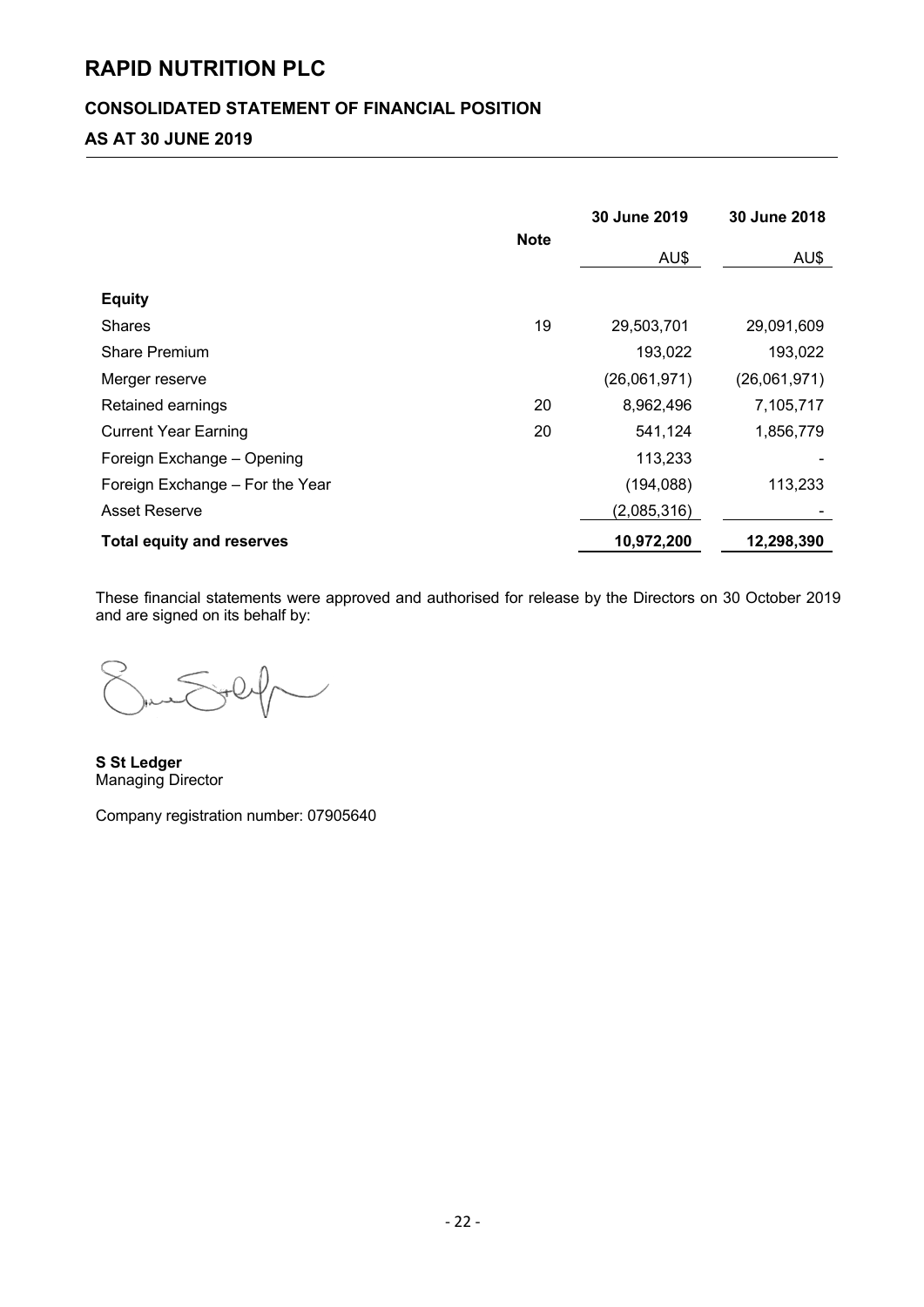# **CONSOLIDATED STATEMENT OF FINANCIAL POSITION**

# **AS AT 30 JUNE 2019**

|                                  |             | 30 June 2019 | 30 June 2018 |
|----------------------------------|-------------|--------------|--------------|
|                                  | <b>Note</b> | AU\$         | AU\$         |
| <b>Equity</b>                    |             |              |              |
| <b>Shares</b>                    | 19          | 29,503,701   | 29,091,609   |
| <b>Share Premium</b>             |             | 193,022      | 193,022      |
| Merger reserve                   |             | (26,061,971) | (26,061,971) |
| Retained earnings                | 20          | 8,962,496    | 7,105,717    |
| <b>Current Year Earning</b>      | 20          | 541,124      | 1,856,779    |
| Foreign Exchange - Opening       |             | 113,233      |              |
| Foreign Exchange - For the Year  |             | (194, 088)   | 113,233      |
| <b>Asset Reserve</b>             |             | (2,085,316)  |              |
| <b>Total equity and reserves</b> |             | 10,972,200   | 12,298,390   |

These financial statements were approved and authorised for release by the Directors on 30 October 2019 and are signed on its behalf by:

**S St Ledger** Managing Director

Company registration number: 07905640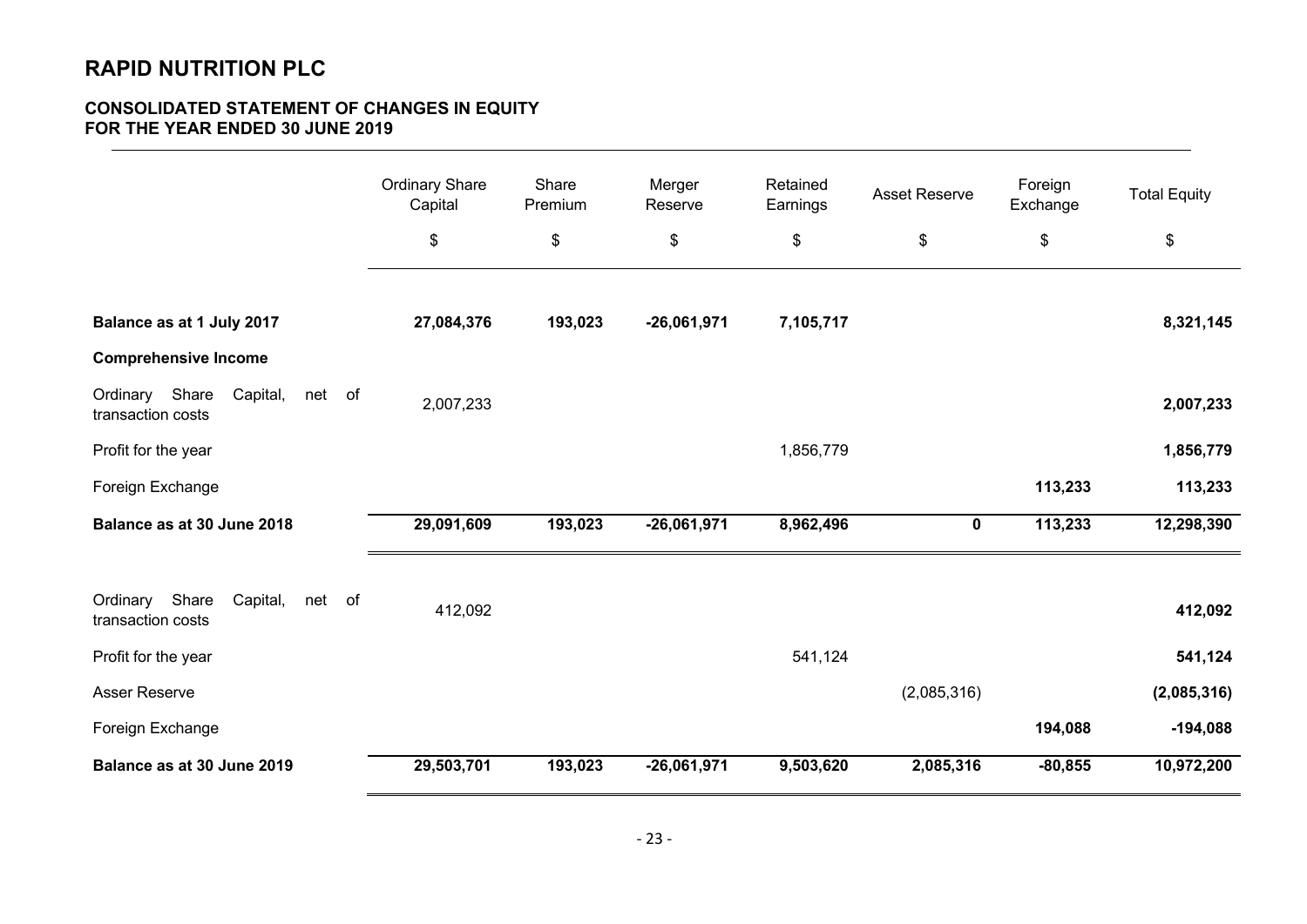# **CONSOLIDATED STATEMENT OF CHANGES IN EQUITY FOR THE YEAR ENDED 30 JUNE 2019**

| $\,$<br>$\,$<br>\$<br>\$<br>\$<br>\$<br>\$<br>Balance as at 1 July 2017<br>27,084,376<br>193,023<br>$-26,061,971$<br>7,105,717<br><b>Comprehensive Income</b><br>Ordinary Share<br>Capital,<br>net of<br>2,007,233<br>transaction costs<br>Profit for the year<br>1,856,779<br>113,233<br>Foreign Exchange<br>193,023<br>8,962,496<br>113,233<br>Balance as at 30 June 2018<br>29,091,609<br>$-26,061,971$<br>$\mathbf 0$<br>Share<br>Ordinary<br>Capital,<br>net of<br>412,092<br>transaction costs<br>541,124<br>Profit for the year<br>Asser Reserve<br>(2,085,316)<br>Foreign Exchange<br>194,088 | <b>Ordinary Share</b><br>Capital | Share<br>Premium | Merger<br>Reserve | Retained<br>Earnings | <b>Asset Reserve</b> | Foreign<br>Exchange | <b>Total Equity</b> |
|-------------------------------------------------------------------------------------------------------------------------------------------------------------------------------------------------------------------------------------------------------------------------------------------------------------------------------------------------------------------------------------------------------------------------------------------------------------------------------------------------------------------------------------------------------------------------------------------------------|----------------------------------|------------------|-------------------|----------------------|----------------------|---------------------|---------------------|
|                                                                                                                                                                                                                                                                                                                                                                                                                                                                                                                                                                                                       |                                  |                  |                   |                      |                      |                     |                     |
|                                                                                                                                                                                                                                                                                                                                                                                                                                                                                                                                                                                                       |                                  |                  |                   |                      |                      |                     |                     |
|                                                                                                                                                                                                                                                                                                                                                                                                                                                                                                                                                                                                       |                                  |                  |                   |                      |                      |                     | 8,321,145           |
|                                                                                                                                                                                                                                                                                                                                                                                                                                                                                                                                                                                                       |                                  |                  |                   |                      |                      |                     |                     |
|                                                                                                                                                                                                                                                                                                                                                                                                                                                                                                                                                                                                       |                                  |                  |                   |                      |                      |                     | 2,007,233           |
|                                                                                                                                                                                                                                                                                                                                                                                                                                                                                                                                                                                                       |                                  |                  |                   |                      |                      |                     | 1,856,779           |
|                                                                                                                                                                                                                                                                                                                                                                                                                                                                                                                                                                                                       |                                  |                  |                   |                      |                      |                     | 113,233             |
|                                                                                                                                                                                                                                                                                                                                                                                                                                                                                                                                                                                                       |                                  |                  |                   |                      |                      |                     | 12,298,390          |
|                                                                                                                                                                                                                                                                                                                                                                                                                                                                                                                                                                                                       |                                  |                  |                   |                      |                      |                     |                     |
|                                                                                                                                                                                                                                                                                                                                                                                                                                                                                                                                                                                                       |                                  |                  |                   |                      |                      |                     | 412,092             |
|                                                                                                                                                                                                                                                                                                                                                                                                                                                                                                                                                                                                       |                                  |                  |                   |                      |                      |                     | 541,124             |
|                                                                                                                                                                                                                                                                                                                                                                                                                                                                                                                                                                                                       |                                  |                  |                   |                      |                      |                     | (2,085,316)         |
|                                                                                                                                                                                                                                                                                                                                                                                                                                                                                                                                                                                                       |                                  |                  |                   |                      |                      |                     | $-194,088$          |
| 29,503,701<br>193,023<br>$-26,061,971$<br>9,503,620<br>2,085,316<br>$-80,855$<br>Balance as at 30 June 2019                                                                                                                                                                                                                                                                                                                                                                                                                                                                                           |                                  |                  |                   |                      |                      |                     | 10,972,200          |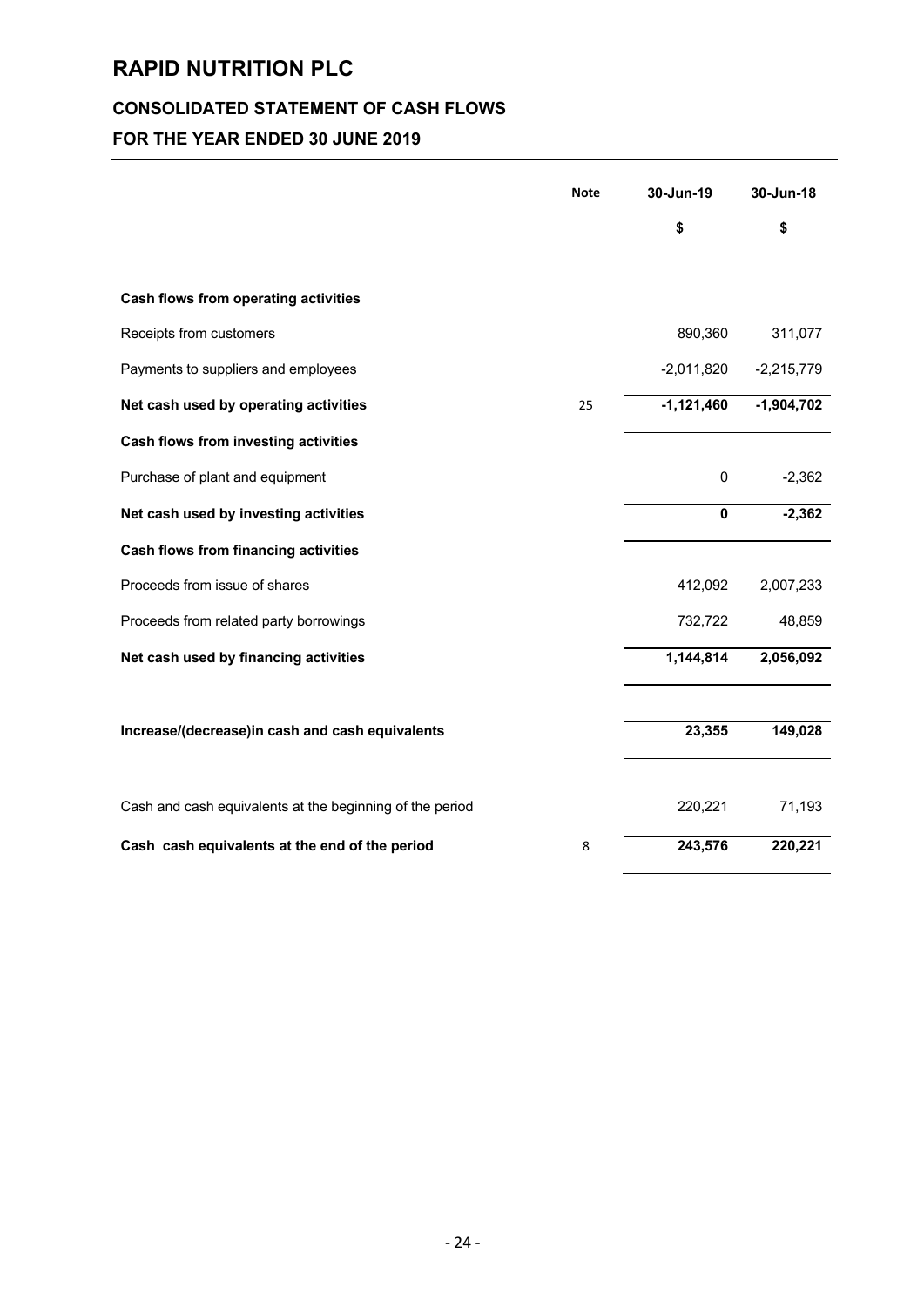# **CONSOLIDATED STATEMENT OF CASH FLOWS**

# **FOR THE YEAR ENDED 30 JUNE 2019**

|                                                          | <b>Note</b> | 30-Jun-19    | 30-Jun-18    |
|----------------------------------------------------------|-------------|--------------|--------------|
|                                                          |             | \$           | \$           |
|                                                          |             |              |              |
| <b>Cash flows from operating activities</b>              |             |              |              |
| Receipts from customers                                  |             | 890,360      | 311,077      |
| Payments to suppliers and employees                      |             | $-2,011,820$ | $-2,215,779$ |
| Net cash used by operating activities                    | 25          | $-1,121,460$ | $-1,904,702$ |
| Cash flows from investing activities                     |             |              |              |
| Purchase of plant and equipment                          |             | 0            | $-2,362$     |
| Net cash used by investing activities                    |             | $\pmb{0}$    | $-2,362$     |
| <b>Cash flows from financing activities</b>              |             |              |              |
| Proceeds from issue of shares                            |             | 412,092      | 2,007,233    |
| Proceeds from related party borrowings                   |             | 732,722      | 48,859       |
| Net cash used by financing activities                    |             | 1,144,814    | 2,056,092    |
|                                                          |             |              |              |
| Increase/(decrease)in cash and cash equivalents          |             | 23,355       | 149,028      |
|                                                          |             |              |              |
| Cash and cash equivalents at the beginning of the period |             | 220,221      | 71,193       |
| Cash cash equivalents at the end of the period           | 8           | 243,576      | 220,221      |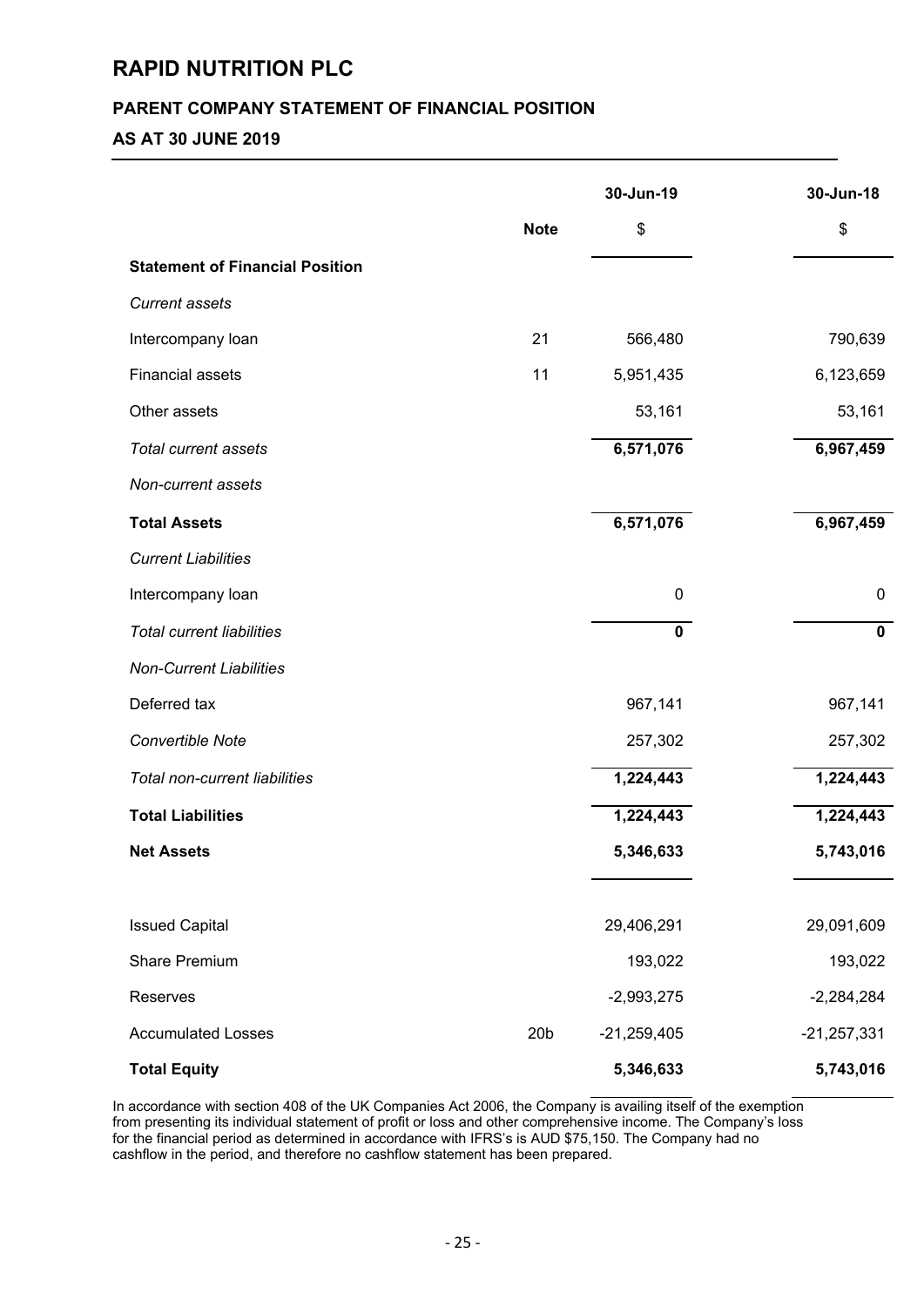# **PARENT COMPANY STATEMENT OF FINANCIAL POSITION**

# **AS AT 30 JUNE 2019**

|                                        |                 | 30-Jun-19     | 30-Jun-18     |
|----------------------------------------|-----------------|---------------|---------------|
|                                        | <b>Note</b>     | \$            | \$            |
| <b>Statement of Financial Position</b> |                 |               |               |
| <b>Current assets</b>                  |                 |               |               |
| Intercompany loan                      | 21              | 566,480       | 790,639       |
| <b>Financial assets</b>                | 11              | 5,951,435     | 6,123,659     |
| Other assets                           |                 | 53,161        | 53,161        |
| <b>Total current assets</b>            |                 | 6,571,076     | 6,967,459     |
| Non-current assets                     |                 |               |               |
| <b>Total Assets</b>                    |                 | 6,571,076     | 6,967,459     |
| <b>Current Liabilities</b>             |                 |               |               |
| Intercompany loan                      |                 | $\pmb{0}$     | $\mathbf 0$   |
| <b>Total current liabilities</b>       |                 | $\mathbf 0$   | $\mathbf 0$   |
| <b>Non-Current Liabilities</b>         |                 |               |               |
| Deferred tax                           |                 | 967,141       | 967,141       |
| Convertible Note                       |                 | 257,302       | 257,302       |
| Total non-current liabilities          |                 | 1,224,443     | 1,224,443     |
| <b>Total Liabilities</b>               |                 | 1,224,443     | 1,224,443     |
| <b>Net Assets</b>                      |                 | 5,346,633     | 5,743,016     |
|                                        |                 |               |               |
| <b>Issued Capital</b>                  |                 | 29,406,291    | 29,091,609    |
| <b>Share Premium</b>                   |                 | 193,022       | 193,022       |
| Reserves                               |                 | $-2,993,275$  | $-2,284,284$  |
| <b>Accumulated Losses</b>              | 20 <sub>b</sub> | $-21,259,405$ | $-21,257,331$ |
| <b>Total Equity</b>                    |                 | 5,346,633     | 5,743,016     |

In accordance with section 408 of the UK Companies Act 2006, the Company is availing itself of the exemption from presenting its individual statement of profit or loss and other comprehensive income. The Company's loss for the financial period as determined in accordance with IFRS's is AUD \$75,150. The Company had no cashflow in the period, and therefore no cashflow statement has been prepared.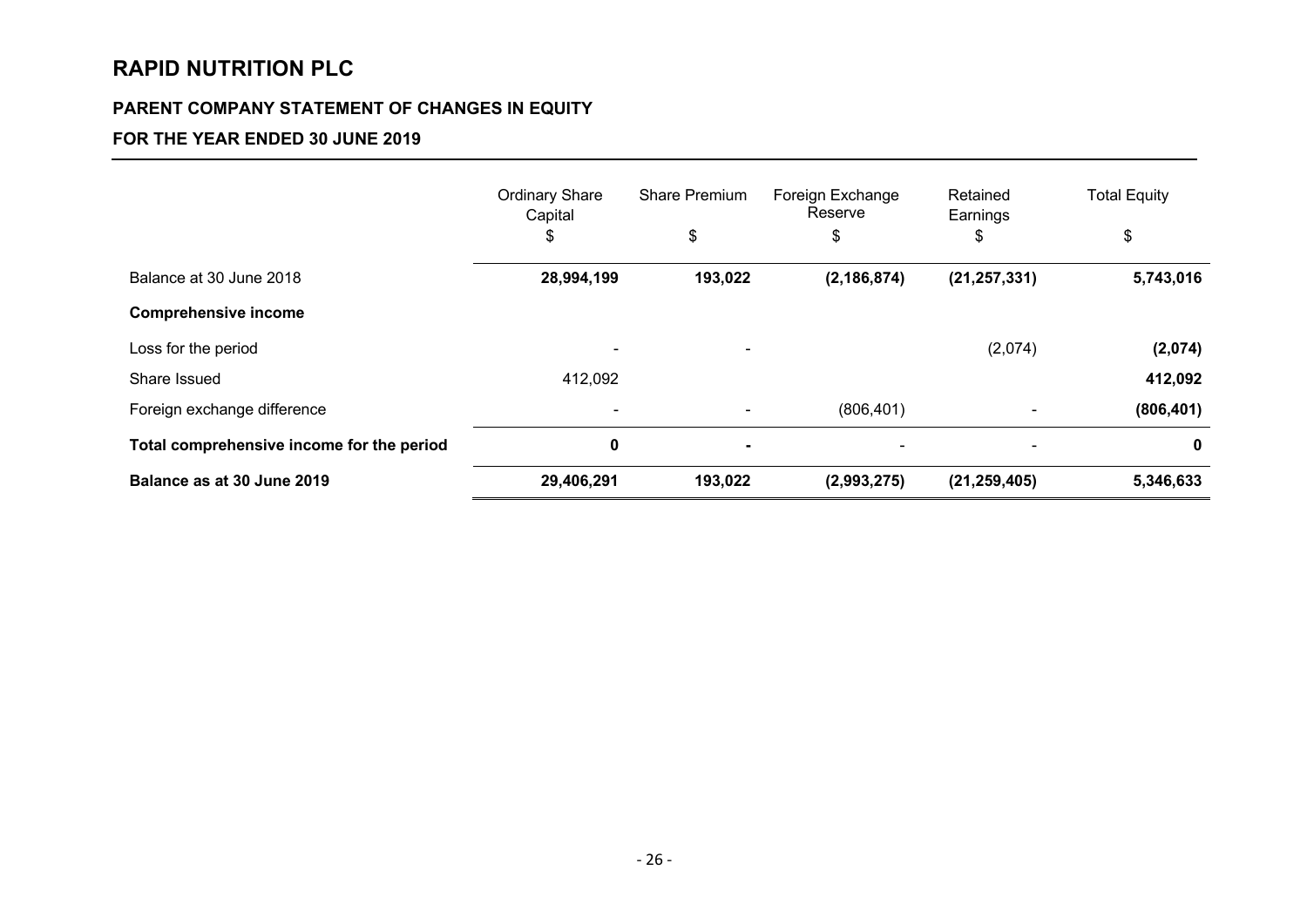# **PARENT COMPANY STATEMENT OF CHANGES IN EQUITY**

# **FOR THE YEAR ENDED 30 JUNE 2019**

|                                           | <b>Ordinary Share</b><br>Capital | <b>Share Premium</b>     | Foreign Exchange<br>Reserve | Retained<br>Earnings | <b>Total Equity</b> |
|-------------------------------------------|----------------------------------|--------------------------|-----------------------------|----------------------|---------------------|
|                                           | \$                               | \$                       | \$                          | \$                   | \$                  |
| Balance at 30 June 2018                   | 28,994,199                       | 193,022                  | (2, 186, 874)               | (21, 257, 331)       | 5,743,016           |
| <b>Comprehensive income</b>               |                                  |                          |                             |                      |                     |
| Loss for the period                       |                                  | $\overline{\phantom{a}}$ |                             | (2,074)              | (2,074)             |
| Share Issued                              | 412,092                          |                          |                             |                      | 412,092             |
| Foreign exchange difference               |                                  |                          | (806, 401)                  |                      | (806, 401)          |
| Total comprehensive income for the period | $\bf{0}$                         | ۰                        |                             |                      | 0                   |
| Balance as at 30 June 2019                | 29,406,291                       | 193,022                  | (2,993,275)                 | (21, 259, 405)       | 5,346,633           |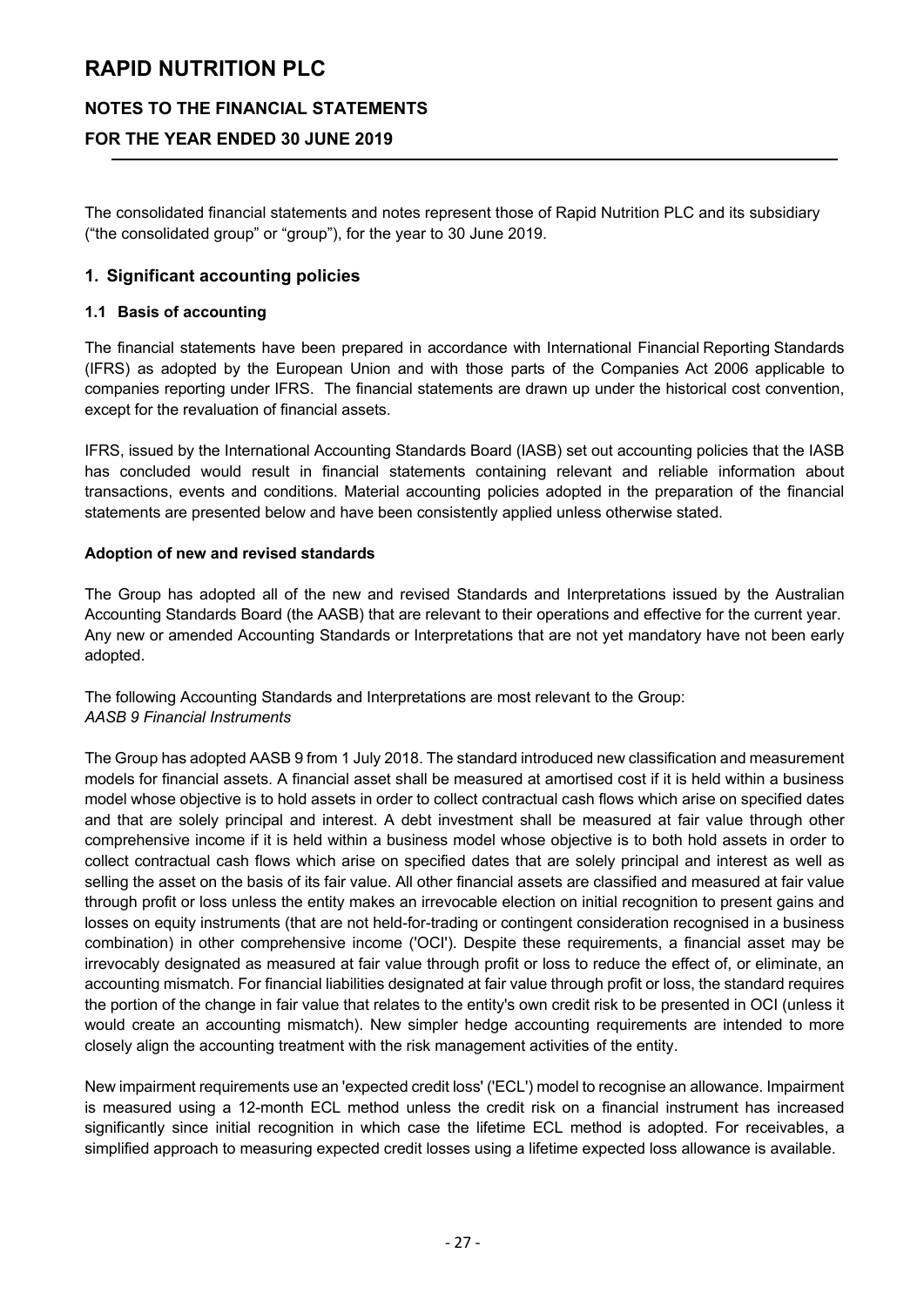# **NOTES TO THE FINANCIAL STATEMENTS**

# **FOR THE YEAR ENDED 30 JUNE 2019**

The consolidated financial statements and notes represent those of Rapid Nutrition PLC and its subsidiary ("the consolidated group" or "group"), for the year to 30 June 2019.

### **1. Significant accounting policies**

#### **1.1 Basis of accounting**

The financial statements have been prepared in accordance with International Financial Reporting Standards (IFRS) as adopted by the European Union and with those parts of the Companies Act 2006 applicable to companies reporting under IFRS. The financial statements are drawn up under the historical cost convention, except for the revaluation of financial assets.

IFRS, issued by the International Accounting Standards Board (IASB) set out accounting policies that the IASB has concluded would result in financial statements containing relevant and reliable information about transactions, events and conditions. Material accounting policies adopted in the preparation of the financial statements are presented below and have been consistently applied unless otherwise stated.

#### **Adoption of new and revised standards**

The Group has adopted all of the new and revised Standards and Interpretations issued by the Australian Accounting Standards Board (the AASB) that are relevant to their operations and effective for the current year. Any new or amended Accounting Standards or Interpretations that are not yet mandatory have not been early adopted.

The following Accounting Standards and Interpretations are most relevant to the Group: *AASB 9 Financial Instruments*

The Group has adopted AASB 9 from 1 July 2018. The standard introduced new classification and measurement models for financial assets. A financial asset shall be measured at amortised cost if it is held within a business model whose objective is to hold assets in order to collect contractual cash flows which arise on specified dates and that are solely principal and interest. A debt investment shall be measured at fair value through other comprehensive income if it is held within a business model whose objective is to both hold assets in order to collect contractual cash flows which arise on specified dates that are solely principal and interest as well as selling the asset on the basis of its fair value. All other financial assets are classified and measured at fair value through profit or loss unless the entity makes an irrevocable election on initial recognition to present gains and losses on equity instruments (that are not held-for-trading or contingent consideration recognised in a business combination) in other comprehensive income ('OCI'). Despite these requirements, a financial asset may be irrevocably designated as measured at fair value through profit or loss to reduce the effect of, or eliminate, an accounting mismatch. For financial liabilities designated at fair value through profit or loss, the standard requires the portion of the change in fair value that relates to the entity's own credit risk to be presented in OCI (unless it would create an accounting mismatch). New simpler hedge accounting requirements are intended to more closely align the accounting treatment with the risk management activities of the entity.

New impairment requirements use an 'expected credit loss' ('ECL') model to recognise an allowance. Impairment is measured using a 12-month ECL method unless the credit risk on a financial instrument has increased significantly since initial recognition in which case the lifetime ECL method is adopted. For receivables, a simplified approach to measuring expected credit losses using a lifetime expected loss allowance is available.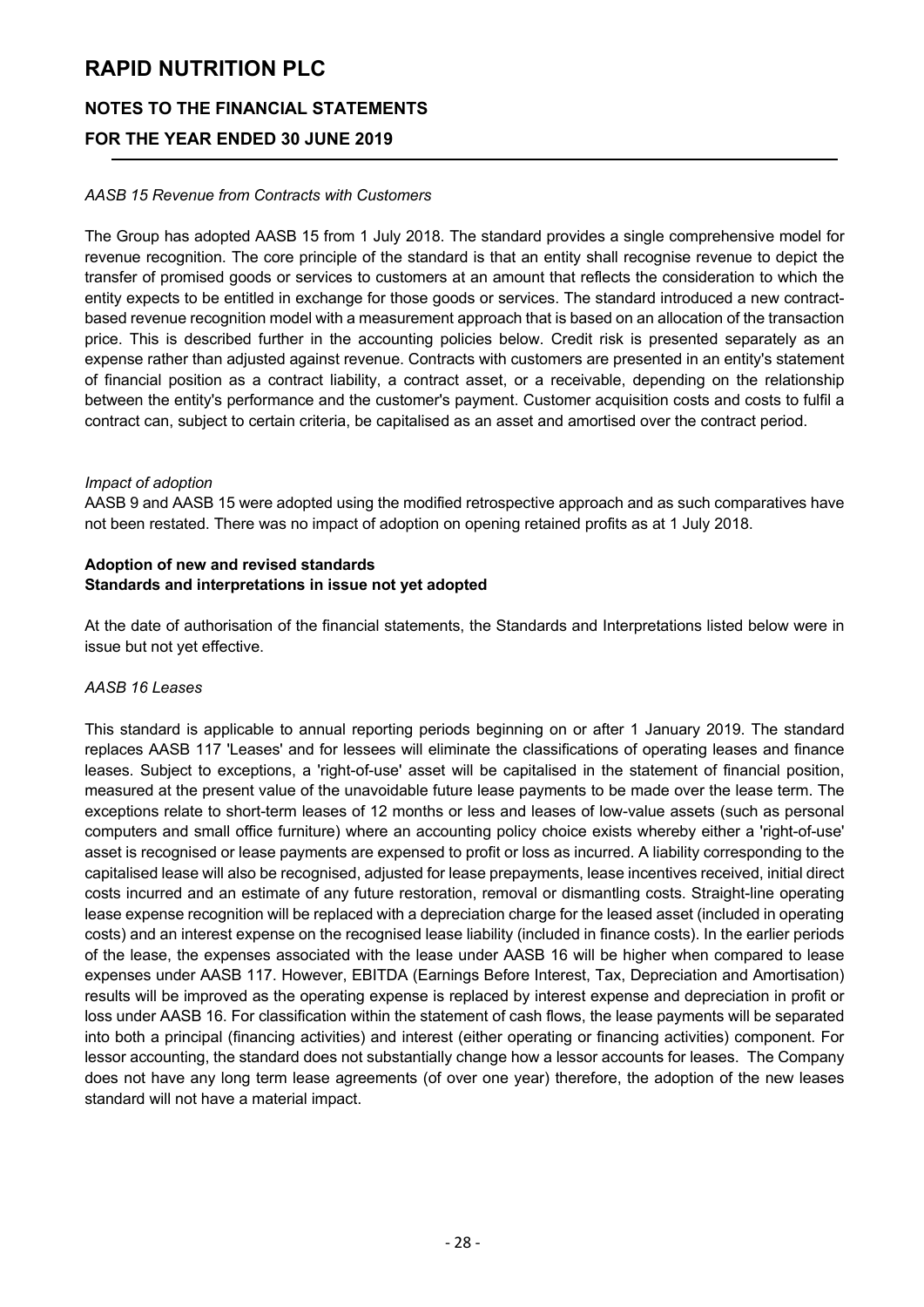# **NOTES TO THE FINANCIAL STATEMENTS**

# **FOR THE YEAR ENDED 30 JUNE 2019**

#### *AASB 15 Revenue from Contracts with Customers*

The Group has adopted AASB 15 from 1 July 2018. The standard provides a single comprehensive model for revenue recognition. The core principle of the standard is that an entity shall recognise revenue to depict the transfer of promised goods or services to customers at an amount that reflects the consideration to which the entity expects to be entitled in exchange for those goods or services. The standard introduced a new contractbased revenue recognition model with a measurement approach that is based on an allocation of the transaction price. This is described further in the accounting policies below. Credit risk is presented separately as an expense rather than adjusted against revenue. Contracts with customers are presented in an entity's statement of financial position as a contract liability, a contract asset, or a receivable, depending on the relationship between the entity's performance and the customer's payment. Customer acquisition costs and costs to fulfil a contract can, subject to certain criteria, be capitalised as an asset and amortised over the contract period.

#### *Impact of adoption*

AASB 9 and AASB 15 were adopted using the modified retrospective approach and as such comparatives have not been restated. There was no impact of adoption on opening retained profits as at 1 July 2018.

### **Adoption of new and revised standards Standards and interpretations in issue not yet adopted**

At the date of authorisation of the financial statements, the Standards and Interpretations listed below were in issue but not yet effective.

#### *AASB 16 Leases*

This standard is applicable to annual reporting periods beginning on or after 1 January 2019. The standard replaces AASB 117 'Leases' and for lessees will eliminate the classifications of operating leases and finance leases. Subject to exceptions, a 'right-of-use' asset will be capitalised in the statement of financial position, measured at the present value of the unavoidable future lease payments to be made over the lease term. The exceptions relate to short-term leases of 12 months or less and leases of low-value assets (such as personal computers and small office furniture) where an accounting policy choice exists whereby either a 'right-of-use' asset is recognised or lease payments are expensed to profit or loss as incurred. A liability corresponding to the capitalised lease will also be recognised, adjusted for lease prepayments, lease incentives received, initial direct costs incurred and an estimate of any future restoration, removal or dismantling costs. Straight-line operating lease expense recognition will be replaced with a depreciation charge for the leased asset (included in operating costs) and an interest expense on the recognised lease liability (included in finance costs). In the earlier periods of the lease, the expenses associated with the lease under AASB 16 will be higher when compared to lease expenses under AASB 117. However, EBITDA (Earnings Before Interest, Tax, Depreciation and Amortisation) results will be improved as the operating expense is replaced by interest expense and depreciation in profit or loss under AASB 16. For classification within the statement of cash flows, the lease payments will be separated into both a principal (financing activities) and interest (either operating or financing activities) component. For lessor accounting, the standard does not substantially change how a lessor accounts for leases. The Company does not have any long term lease agreements (of over one year) therefore, the adoption of the new leases standard will not have a material impact.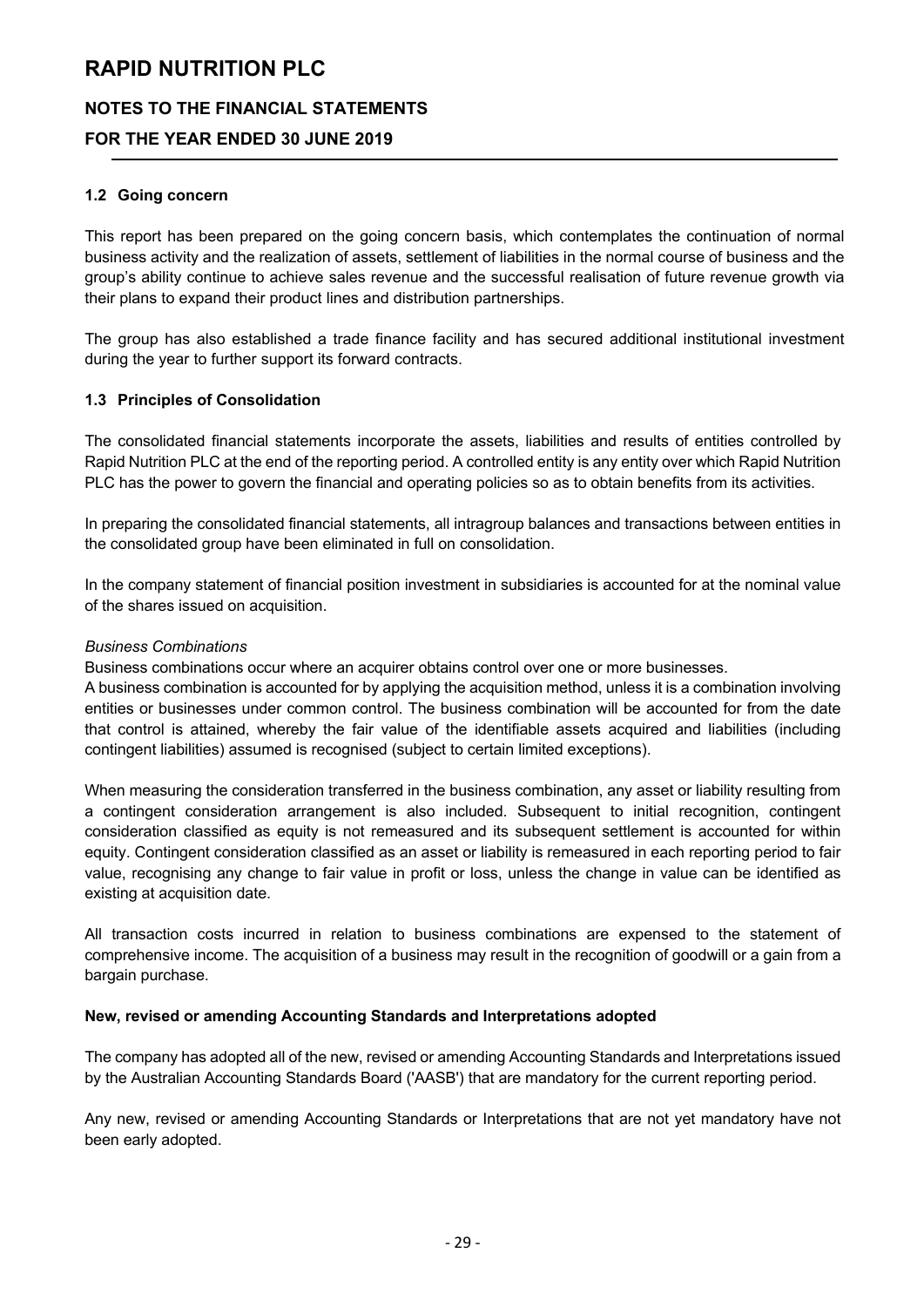# **NOTES TO THE FINANCIAL STATEMENTS**

# **FOR THE YEAR ENDED 30 JUNE 2019**

#### **1.2 Going concern**

This report has been prepared on the going concern basis, which contemplates the continuation of normal business activity and the realization of assets, settlement of liabilities in the normal course of business and the group's ability continue to achieve sales revenue and the successful realisation of future revenue growth via their plans to expand their product lines and distribution partnerships.

The group has also established a trade finance facility and has secured additional institutional investment during the year to further support its forward contracts.

#### **1.3 Principles of Consolidation**

The consolidated financial statements incorporate the assets, liabilities and results of entities controlled by Rapid Nutrition PLC at the end of the reporting period. A controlled entity is any entity over which Rapid Nutrition PLC has the power to govern the financial and operating policies so as to obtain benefits from its activities.

In preparing the consolidated financial statements, all intragroup balances and transactions between entities in the consolidated group have been eliminated in full on consolidation.

In the company statement of financial position investment in subsidiaries is accounted for at the nominal value of the shares issued on acquisition.

#### *Business Combinations*

Business combinations occur where an acquirer obtains control over one or more businesses.

A business combination is accounted for by applying the acquisition method, unless it is a combination involving entities or businesses under common control. The business combination will be accounted for from the date that control is attained, whereby the fair value of the identifiable assets acquired and liabilities (including contingent liabilities) assumed is recognised (subject to certain limited exceptions).

When measuring the consideration transferred in the business combination, any asset or liability resulting from a contingent consideration arrangement is also included. Subsequent to initial recognition, contingent consideration classified as equity is not remeasured and its subsequent settlement is accounted for within equity. Contingent consideration classified as an asset or liability is remeasured in each reporting period to fair value, recognising any change to fair value in profit or loss, unless the change in value can be identified as existing at acquisition date.

All transaction costs incurred in relation to business combinations are expensed to the statement of comprehensive income. The acquisition of a business may result in the recognition of goodwill or a gain from a bargain purchase.

#### **New, revised or amending Accounting Standards and Interpretations adopted**

The company has adopted all of the new, revised or amending Accounting Standards and Interpretations issued by the Australian Accounting Standards Board ('AASB') that are mandatory for the current reporting period.

Any new, revised or amending Accounting Standards or Interpretations that are not yet mandatory have not been early adopted.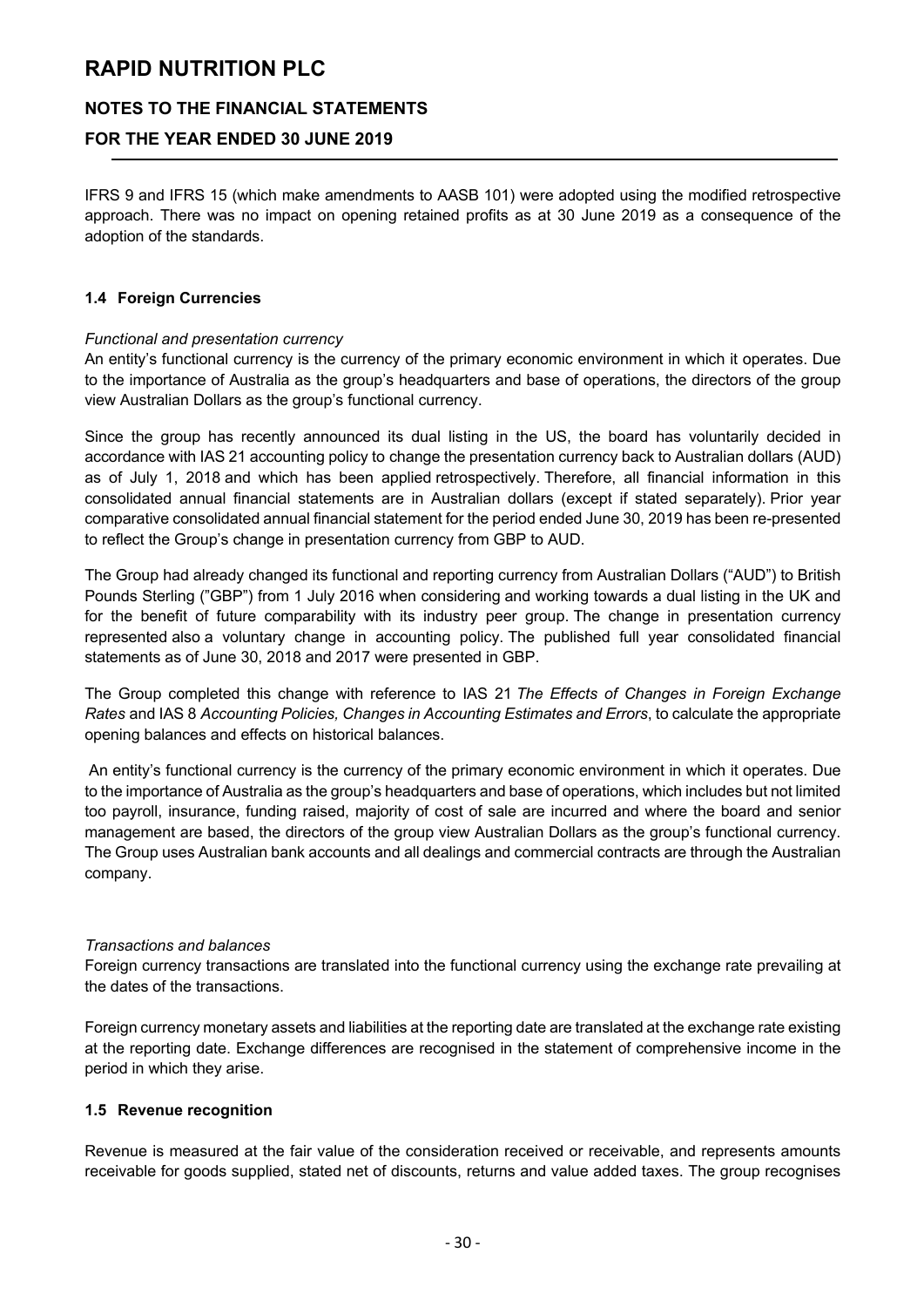## **NOTES TO THE FINANCIAL STATEMENTS**

# **FOR THE YEAR ENDED 30 JUNE 2019**

IFRS 9 and IFRS 15 (which make amendments to AASB 101) were adopted using the modified retrospective approach. There was no impact on opening retained profits as at 30 June 2019 as a consequence of the adoption of the standards.

#### **1.4 Foreign Currencies**

#### *Functional and presentation currency*

An entity's functional currency is the currency of the primary economic environment in which it operates. Due to the importance of Australia as the group's headquarters and base of operations, the directors of the group view Australian Dollars as the group's functional currency.

Since the group has recently announced its dual listing in the US, the board has voluntarily decided in accordance with IAS 21 accounting policy to change the presentation currency back to Australian dollars (AUD) as of July 1, 2018 and which has been applied retrospectively. Therefore, all financial information in this consolidated annual financial statements are in Australian dollars (except if stated separately). Prior year comparative consolidated annual financial statement for the period ended June 30, 2019 has been re-presented to reflect the Group's change in presentation currency from GBP to AUD.

The Group had already changed its functional and reporting currency from Australian Dollars ("AUD") to British Pounds Sterling ("GBP") from 1 July 2016 when considering and working towards a dual listing in the UK and for the benefit of future comparability with its industry peer group. The change in presentation currency represented also a voluntary change in accounting policy. The published full year consolidated financial statements as of June 30, 2018 and 2017 were presented in GBP.

The Group completed this change with reference to IAS 21 *The Effects of Changes in Foreign Exchange Rates* and IAS 8 *Accounting Policies, Changes in Accounting Estimates and Errors*, to calculate the appropriate opening balances and effects on historical balances.

An entity's functional currency is the currency of the primary economic environment in which it operates. Due to the importance of Australia as the group's headquarters and base of operations, which includes but not limited too payroll, insurance, funding raised, majority of cost of sale are incurred and where the board and senior management are based, the directors of the group view Australian Dollars as the group's functional currency. The Group uses Australian bank accounts and all dealings and commercial contracts are through the Australian company.

#### *Transactions and balances*

Foreign currency transactions are translated into the functional currency using the exchange rate prevailing at the dates of the transactions.

Foreign currency monetary assets and liabilities at the reporting date are translated at the exchange rate existing at the reporting date. Exchange differences are recognised in the statement of comprehensive income in the period in which they arise.

#### **1.5 Revenue recognition**

Revenue is measured at the fair value of the consideration received or receivable, and represents amounts receivable for goods supplied, stated net of discounts, returns and value added taxes. The group recognises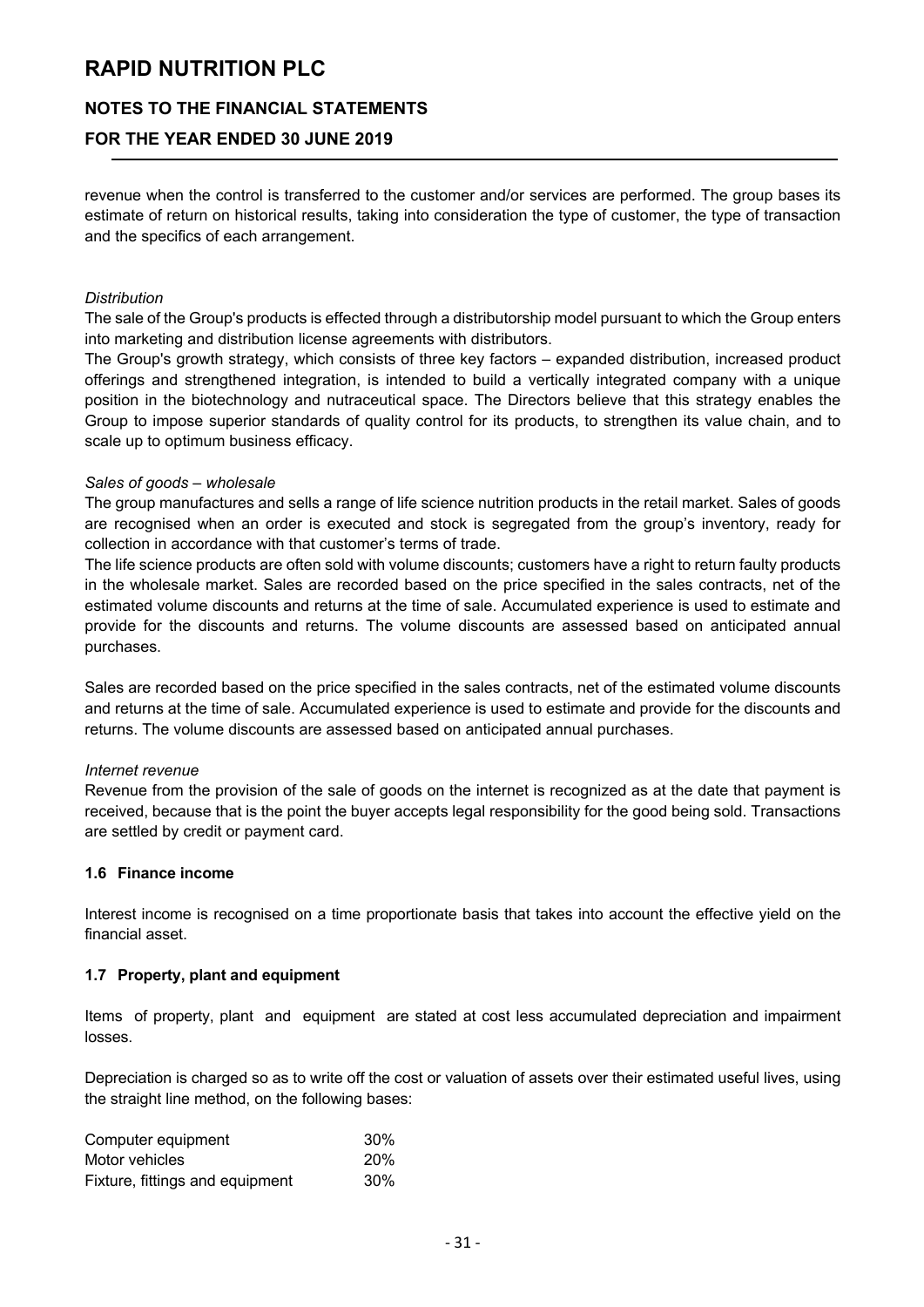## **NOTES TO THE FINANCIAL STATEMENTS**

# **FOR THE YEAR ENDED 30 JUNE 2019**

revenue when the control is transferred to the customer and/or services are performed. The group bases its estimate of return on historical results, taking into consideration the type of customer, the type of transaction and the specifics of each arrangement.

#### *Distribution*

The sale of the Group's products is effected through a distributorship model pursuant to which the Group enters into marketing and distribution license agreements with distributors.

The Group's growth strategy, which consists of three key factors – expanded distribution, increased product offerings and strengthened integration, is intended to build a vertically integrated company with a unique position in the biotechnology and nutraceutical space. The Directors believe that this strategy enables the Group to impose superior standards of quality control for its products, to strengthen its value chain, and to scale up to optimum business efficacy.

#### *Sales of goods – wholesale*

The group manufactures and sells a range of life science nutrition products in the retail market. Sales of goods are recognised when an order is executed and stock is segregated from the group's inventory, ready for collection in accordance with that customer's terms of trade.

The life science products are often sold with volume discounts; customers have a right to return faulty products in the wholesale market. Sales are recorded based on the price specified in the sales contracts, net of the estimated volume discounts and returns at the time of sale. Accumulated experience is used to estimate and provide for the discounts and returns. The volume discounts are assessed based on anticipated annual purchases.

Sales are recorded based on the price specified in the sales contracts, net of the estimated volume discounts and returns at the time of sale. Accumulated experience is used to estimate and provide for the discounts and returns. The volume discounts are assessed based on anticipated annual purchases.

#### *Internet revenue*

Revenue from the provision of the sale of goods on the internet is recognized as at the date that payment is received, because that is the point the buyer accepts legal responsibility for the good being sold. Transactions are settled by credit or payment card.

#### **1.6 Finance income**

Interest income is recognised on a time proportionate basis that takes into account the effective yield on the financial asset.

#### **1.7 Property, plant and equipment**

Items of property, plant and equipment are stated at cost less accumulated depreciation and impairment losses.

Depreciation is charged so as to write off the cost or valuation of assets over their estimated useful lives, using the straight line method, on the following bases:

| Computer equipment              | $30\%$     |
|---------------------------------|------------|
| Motor vehicles                  | <b>20%</b> |
| Fixture, fittings and equipment | $30\%$     |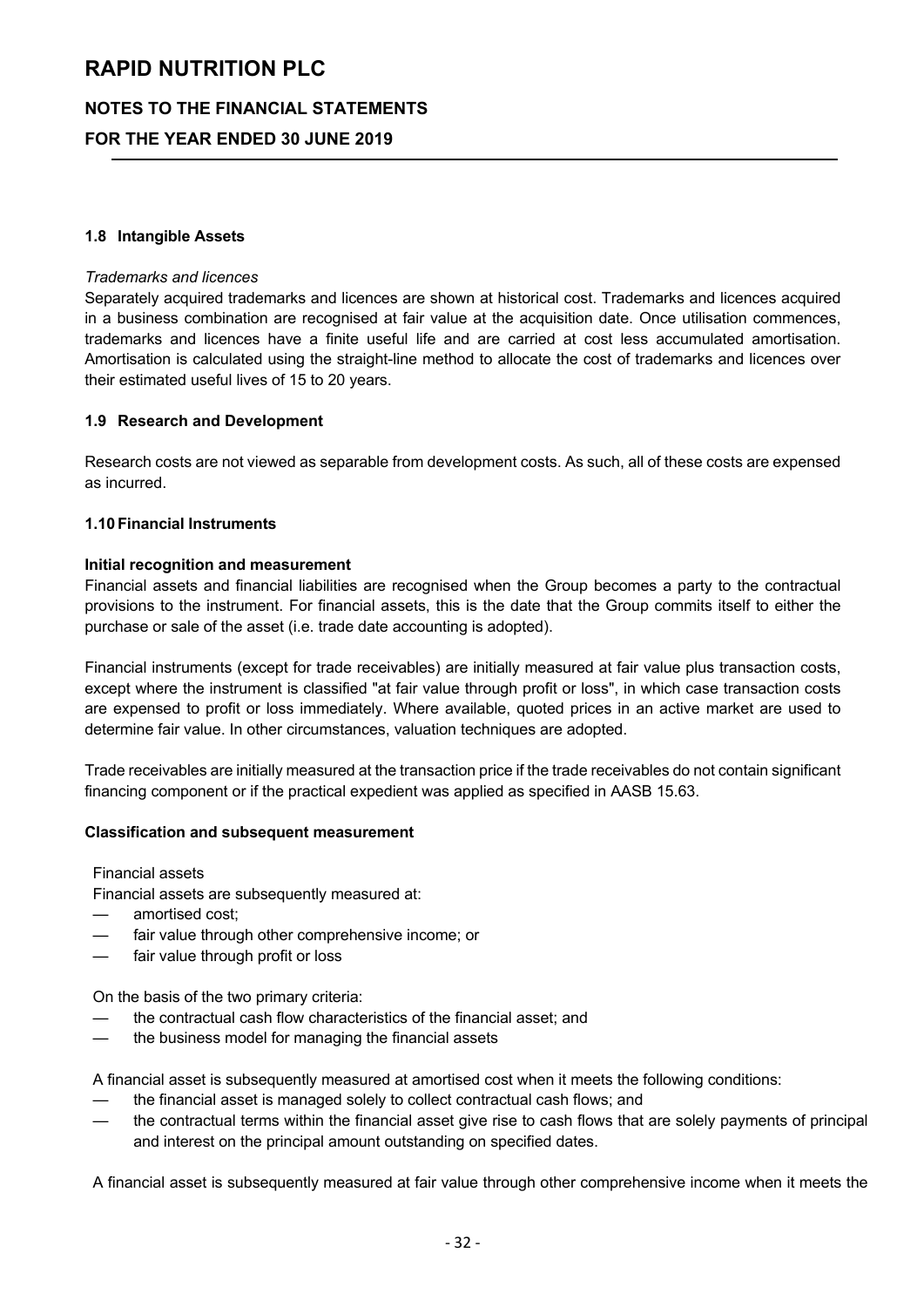# **NOTES TO THE FINANCIAL STATEMENTS**

**FOR THE YEAR ENDED 30 JUNE 2019**

#### **1.8 Intangible Assets**

#### *Trademarks and licences*

Separately acquired trademarks and licences are shown at historical cost. Trademarks and licences acquired in a business combination are recognised at fair value at the acquisition date. Once utilisation commences, trademarks and licences have a finite useful life and are carried at cost less accumulated amortisation. Amortisation is calculated using the straight-line method to allocate the cost of trademarks and licences over their estimated useful lives of 15 to 20 years.

#### **1.9 Research and Development**

Research costs are not viewed as separable from development costs. As such, all of these costs are expensed as incurred.

#### **1.10 Financial Instruments**

#### **Initial recognition and measurement**

Financial assets and financial liabilities are recognised when the Group becomes a party to the contractual provisions to the instrument. For financial assets, this is the date that the Group commits itself to either the purchase or sale of the asset (i.e. trade date accounting is adopted).

Financial instruments (except for trade receivables) are initially measured at fair value plus transaction costs, except where the instrument is classified "at fair value through profit or loss", in which case transaction costs are expensed to profit or loss immediately. Where available, quoted prices in an active market are used to determine fair value. In other circumstances, valuation techniques are adopted.

Trade receivables are initially measured at the transaction price if the trade receivables do not contain significant financing component or if the practical expedient was applied as specified in AASB 15.63.

#### **Classification and subsequent measurement**

Financial assets

Financial assets are subsequently measured at:

- amortised cost:
- fair value through other comprehensive income; or
- fair value through profit or loss

On the basis of the two primary criteria:

- the contractual cash flow characteristics of the financial asset; and
- the business model for managing the financial assets

A financial asset is subsequently measured at amortised cost when it meets the following conditions:

- the financial asset is managed solely to collect contractual cash flows; and
- the contractual terms within the financial asset give rise to cash flows that are solely payments of principal and interest on the principal amount outstanding on specified dates.

A financial asset is subsequently measured at fair value through other comprehensive income when it meets the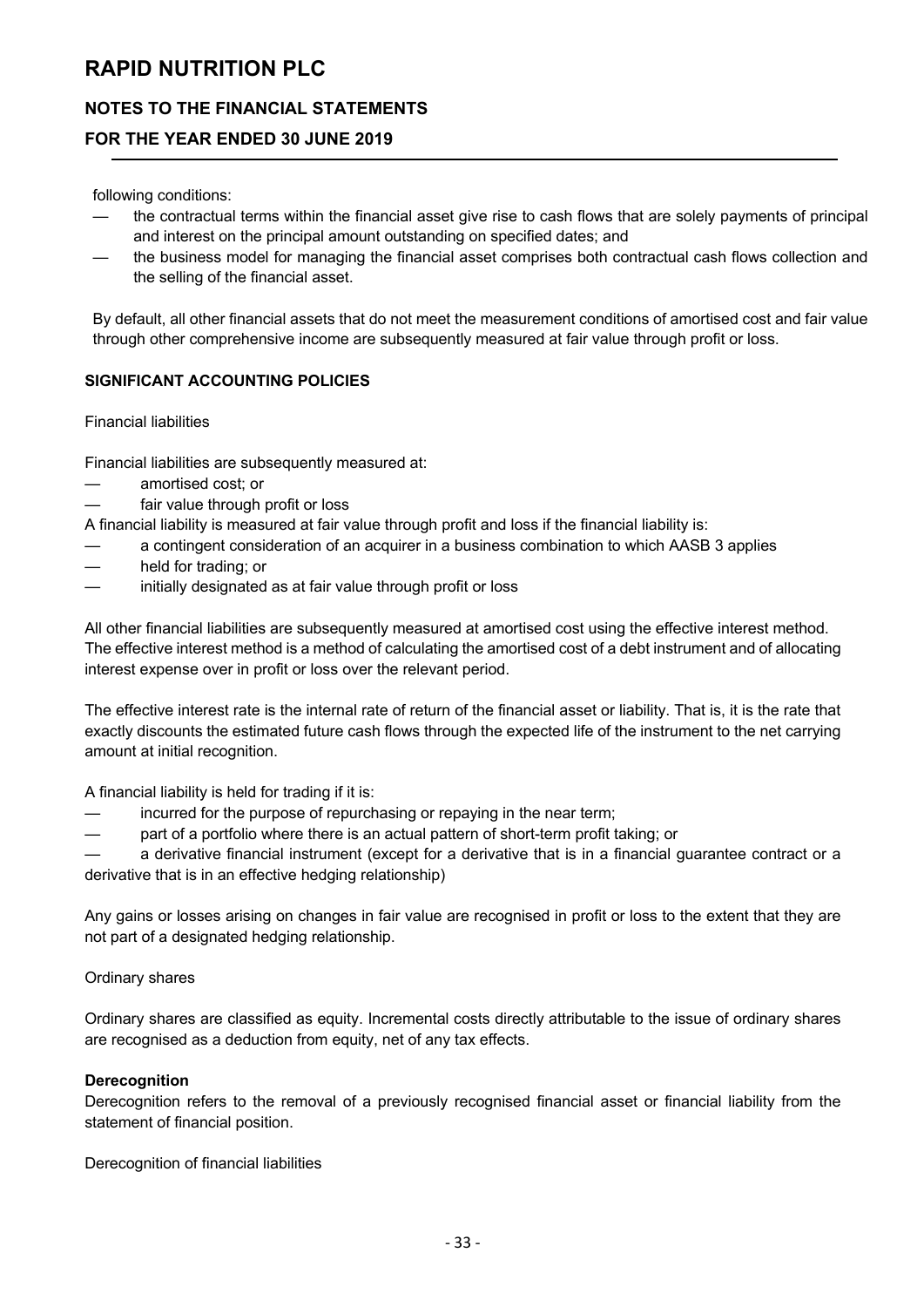# **NOTES TO THE FINANCIAL STATEMENTS**

## **FOR THE YEAR ENDED 30 JUNE 2019**

following conditions:

- the contractual terms within the financial asset give rise to cash flows that are solely payments of principal and interest on the principal amount outstanding on specified dates; and
- the business model for managing the financial asset comprises both contractual cash flows collection and the selling of the financial asset.

By default, all other financial assets that do not meet the measurement conditions of amortised cost and fair value through other comprehensive income are subsequently measured at fair value through profit or loss.

#### **SIGNIFICANT ACCOUNTING POLICIES**

#### Financial liabilities

Financial liabilities are subsequently measured at:

- amortised cost; or
- fair value through profit or loss

A financial liability is measured at fair value through profit and loss if the financial liability is:

- a contingent consideration of an acquirer in a business combination to which AASB 3 applies
- held for trading; or
- initially designated as at fair value through profit or loss

All other financial liabilities are subsequently measured at amortised cost using the effective interest method. The effective interest method is a method of calculating the amortised cost of a debt instrument and of allocating interest expense over in profit or loss over the relevant period.

The effective interest rate is the internal rate of return of the financial asset or liability. That is, it is the rate that exactly discounts the estimated future cash flows through the expected life of the instrument to the net carrying amount at initial recognition.

A financial liability is held for trading if it is:

- incurred for the purpose of repurchasing or repaying in the near term;
- part of a portfolio where there is an actual pattern of short-term profit taking; or

— a derivative financial instrument (except for a derivative that is in a financial guarantee contract or a derivative that is in an effective hedging relationship)

Any gains or losses arising on changes in fair value are recognised in profit or loss to the extent that they are not part of a designated hedging relationship.

#### Ordinary shares

Ordinary shares are classified as equity. Incremental costs directly attributable to the issue of ordinary shares are recognised as a deduction from equity, net of any tax effects.

#### **Derecognition**

Derecognition refers to the removal of a previously recognised financial asset or financial liability from the statement of financial position.

Derecognition of financial liabilities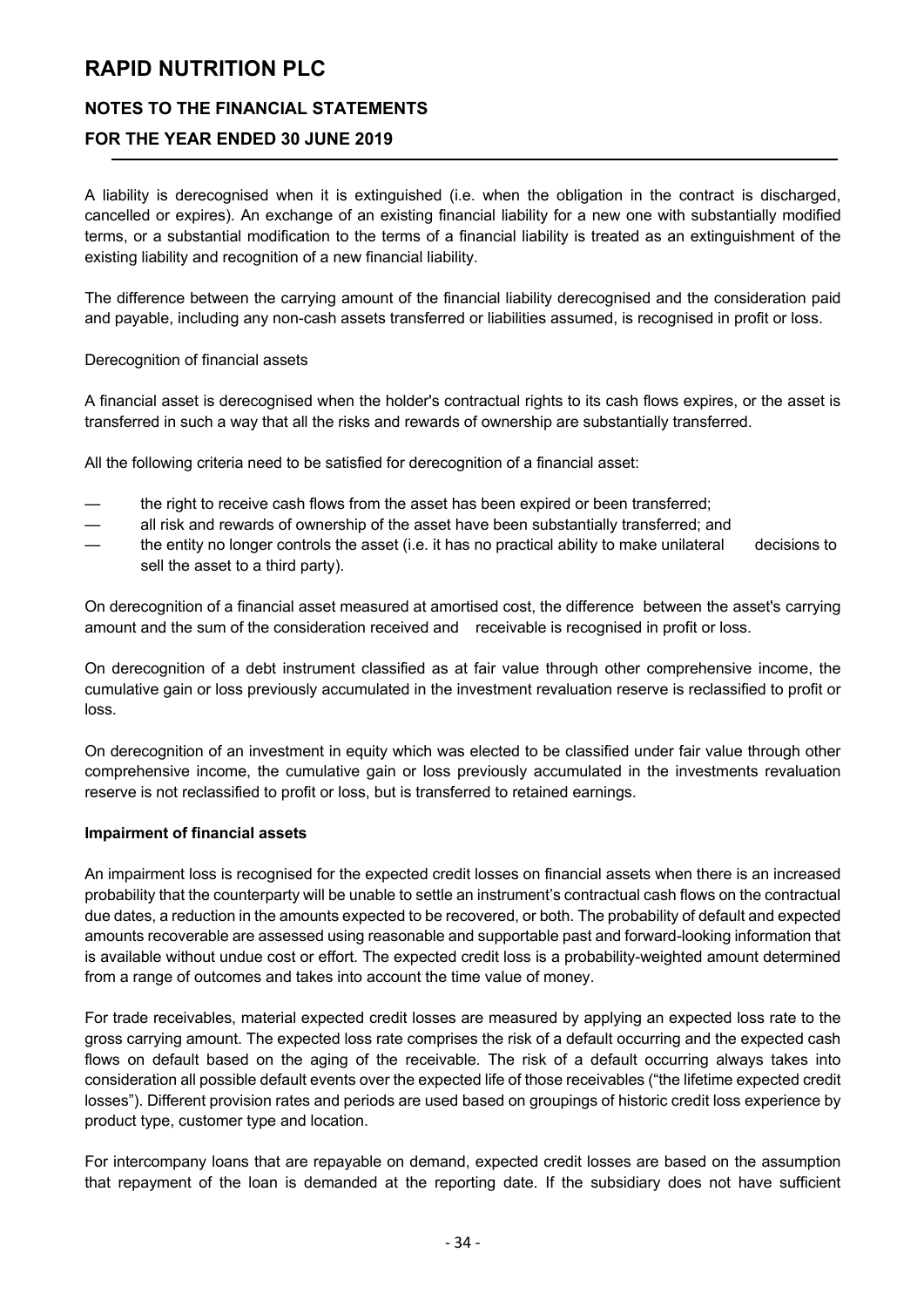# **NOTES TO THE FINANCIAL STATEMENTS**

# **FOR THE YEAR ENDED 30 JUNE 2019**

A liability is derecognised when it is extinguished (i.e. when the obligation in the contract is discharged, cancelled or expires). An exchange of an existing financial liability for a new one with substantially modified terms, or a substantial modification to the terms of a financial liability is treated as an extinguishment of the existing liability and recognition of a new financial liability.

The difference between the carrying amount of the financial liability derecognised and the consideration paid and payable, including any non-cash assets transferred or liabilities assumed, is recognised in profit or loss.

Derecognition of financial assets

A financial asset is derecognised when the holder's contractual rights to its cash flows expires, or the asset is transferred in such a way that all the risks and rewards of ownership are substantially transferred.

All the following criteria need to be satisfied for derecognition of a financial asset:

- the right to receive cash flows from the asset has been expired or been transferred;
- all risk and rewards of ownership of the asset have been substantially transferred; and
- the entity no longer controls the asset (i.e. it has no practical ability to make unilateral decisions to sell the asset to a third party).

On derecognition of a financial asset measured at amortised cost, the difference between the asset's carrying amount and the sum of the consideration received and receivable is recognised in profit or loss.

On derecognition of a debt instrument classified as at fair value through other comprehensive income, the cumulative gain or loss previously accumulated in the investment revaluation reserve is reclassified to profit or loss.

On derecognition of an investment in equity which was elected to be classified under fair value through other comprehensive income, the cumulative gain or loss previously accumulated in the investments revaluation reserve is not reclassified to profit or loss, but is transferred to retained earnings.

#### **Impairment of financial assets**

An impairment loss is recognised for the expected credit losses on financial assets when there is an increased probability that the counterparty will be unable to settle an instrument's contractual cash flows on the contractual due dates, a reduction in the amounts expected to be recovered, or both. The probability of default and expected amounts recoverable are assessed using reasonable and supportable past and forward-looking information that is available without undue cost or effort. The expected credit loss is a probability-weighted amount determined from a range of outcomes and takes into account the time value of money.

For trade receivables, material expected credit losses are measured by applying an expected loss rate to the gross carrying amount. The expected loss rate comprises the risk of a default occurring and the expected cash flows on default based on the aging of the receivable. The risk of a default occurring always takes into consideration all possible default events over the expected life of those receivables ("the lifetime expected credit losses"). Different provision rates and periods are used based on groupings of historic credit loss experience by product type, customer type and location.

For intercompany loans that are repayable on demand, expected credit losses are based on the assumption that repayment of the loan is demanded at the reporting date. If the subsidiary does not have sufficient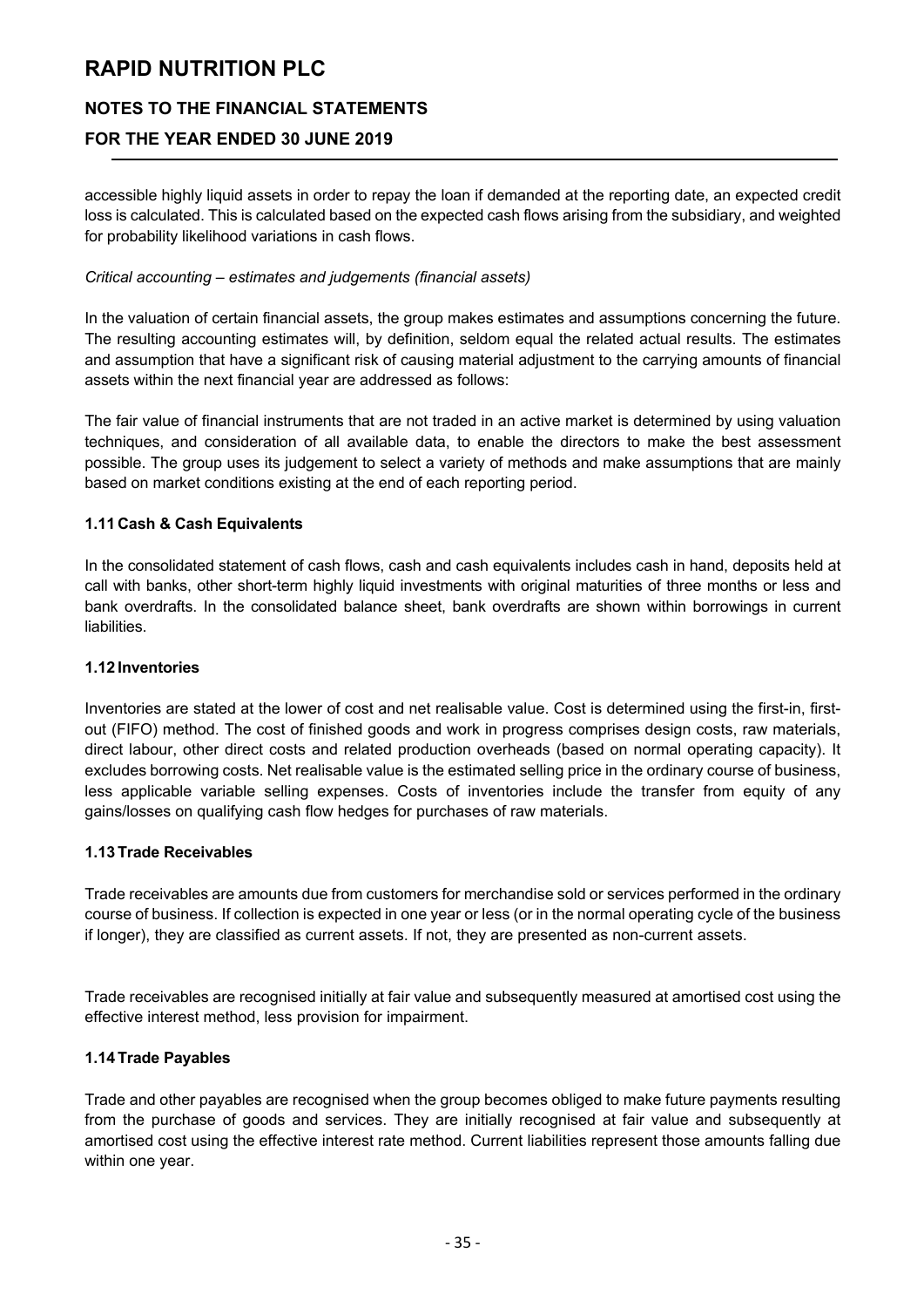# **NOTES TO THE FINANCIAL STATEMENTS**

# **FOR THE YEAR ENDED 30 JUNE 2019**

accessible highly liquid assets in order to repay the loan if demanded at the reporting date, an expected credit loss is calculated. This is calculated based on the expected cash flows arising from the subsidiary, and weighted for probability likelihood variations in cash flows.

#### *Critical accounting – estimates and judgements (financial assets)*

In the valuation of certain financial assets, the group makes estimates and assumptions concerning the future. The resulting accounting estimates will, by definition, seldom equal the related actual results. The estimates and assumption that have a significant risk of causing material adjustment to the carrying amounts of financial assets within the next financial year are addressed as follows:

The fair value of financial instruments that are not traded in an active market is determined by using valuation techniques, and consideration of all available data, to enable the directors to make the best assessment possible. The group uses its judgement to select a variety of methods and make assumptions that are mainly based on market conditions existing at the end of each reporting period.

#### **1.11 Cash & Cash Equivalents**

In the consolidated statement of cash flows, cash and cash equivalents includes cash in hand, deposits held at call with banks, other short-term highly liquid investments with original maturities of three months or less and bank overdrafts. In the consolidated balance sheet, bank overdrafts are shown within borrowings in current liabilities.

#### **1.12 Inventories**

Inventories are stated at the lower of cost and net realisable value. Cost is determined using the first-in, firstout (FIFO) method. The cost of finished goods and work in progress comprises design costs, raw materials, direct labour, other direct costs and related production overheads (based on normal operating capacity). It excludes borrowing costs. Net realisable value is the estimated selling price in the ordinary course of business, less applicable variable selling expenses. Costs of inventories include the transfer from equity of any gains/losses on qualifying cash flow hedges for purchases of raw materials.

#### **1.13 Trade Receivables**

Trade receivables are amounts due from customers for merchandise sold or services performed in the ordinary course of business. If collection is expected in one year or less (or in the normal operating cycle of the business if longer), they are classified as current assets. If not, they are presented as non-current assets.

Trade receivables are recognised initially at fair value and subsequently measured at amortised cost using the effective interest method, less provision for impairment.

### **1.14 Trade Payables**

Trade and other payables are recognised when the group becomes obliged to make future payments resulting from the purchase of goods and services. They are initially recognised at fair value and subsequently at amortised cost using the effective interest rate method. Current liabilities represent those amounts falling due within one year.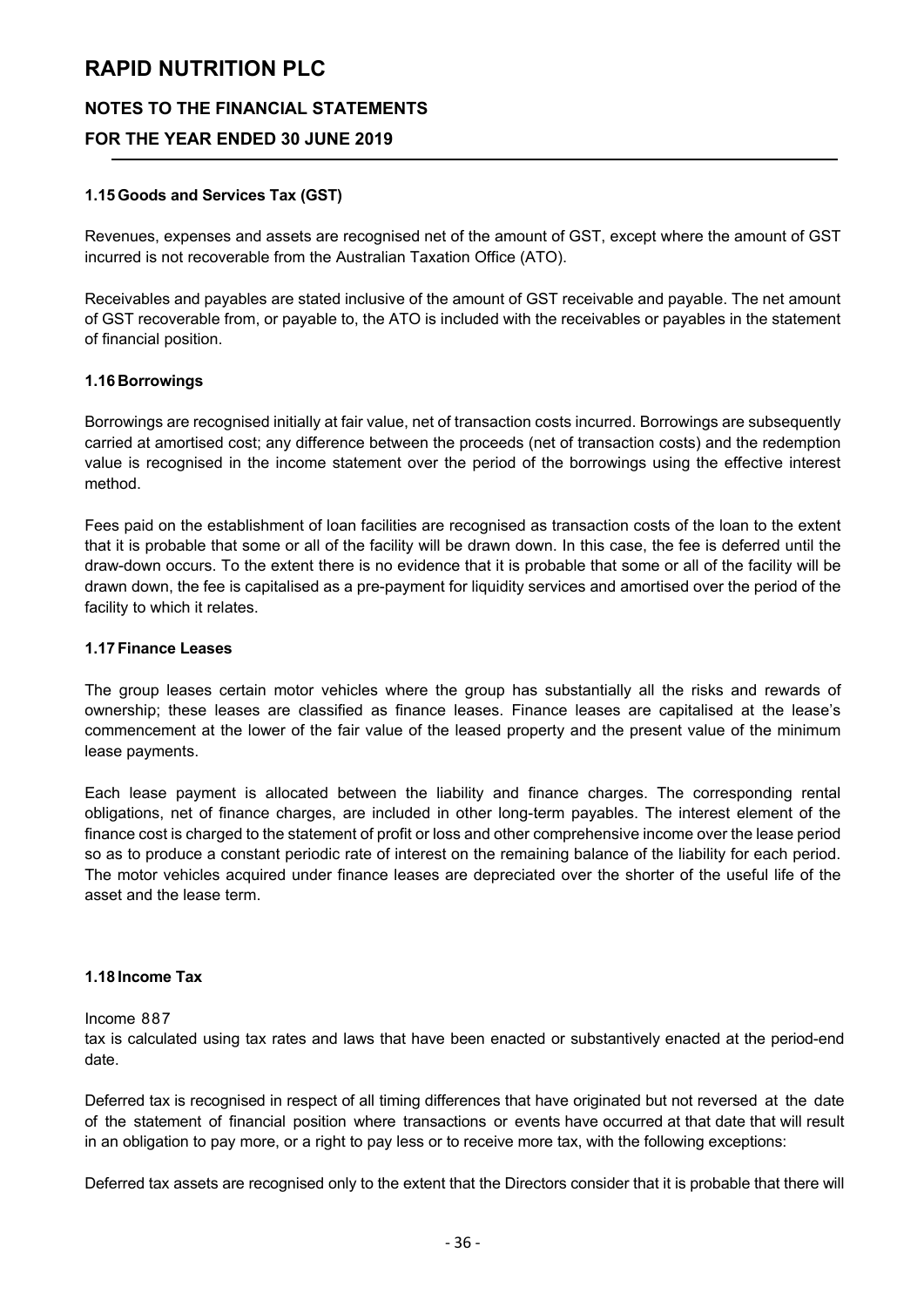# **NOTES TO THE FINANCIAL STATEMENTS**

# **FOR THE YEAR ENDED 30 JUNE 2019**

#### **1.15 Goods and Services Tax (GST)**

Revenues, expenses and assets are recognised net of the amount of GST, except where the amount of GST incurred is not recoverable from the Australian Taxation Office (ATO).

Receivables and payables are stated inclusive of the amount of GST receivable and payable. The net amount of GST recoverable from, or payable to, the ATO is included with the receivables or payables in the statement of financial position.

#### **1.16 Borrowings**

Borrowings are recognised initially at fair value, net of transaction costs incurred. Borrowings are subsequently carried at amortised cost; any difference between the proceeds (net of transaction costs) and the redemption value is recognised in the income statement over the period of the borrowings using the effective interest method.

Fees paid on the establishment of loan facilities are recognised as transaction costs of the loan to the extent that it is probable that some or all of the facility will be drawn down. In this case, the fee is deferred until the draw-down occurs. To the extent there is no evidence that it is probable that some or all of the facility will be drawn down, the fee is capitalised as a pre-payment for liquidity services and amortised over the period of the facility to which it relates.

#### **1.17 Finance Leases**

The group leases certain motor vehicles where the group has substantially all the risks and rewards of ownership; these leases are classified as finance leases. Finance leases are capitalised at the lease's commencement at the lower of the fair value of the leased property and the present value of the minimum lease payments.

Each lease payment is allocated between the liability and finance charges. The corresponding rental obligations, net of finance charges, are included in other long-term payables. The interest element of the finance cost is charged to the statement of profit or loss and other comprehensive income over the lease period so as to produce a constant periodic rate of interest on the remaining balance of the liability for each period. The motor vehicles acquired under finance leases are depreciated over the shorter of the useful life of the asset and the lease term.

#### **1.18 Income Tax**

#### Income 887

tax is calculated using tax rates and laws that have been enacted or substantively enacted at the period-end date.

Deferred tax is recognised in respect of all timing differences that have originated but not reversed at the date of the statement of financial position where transactions or events have occurred at that date that will result in an obligation to pay more, or a right to pay less or to receive more tax, with the following exceptions:

Deferred tax assets are recognised only to the extent that the Directors consider that it is probable that there will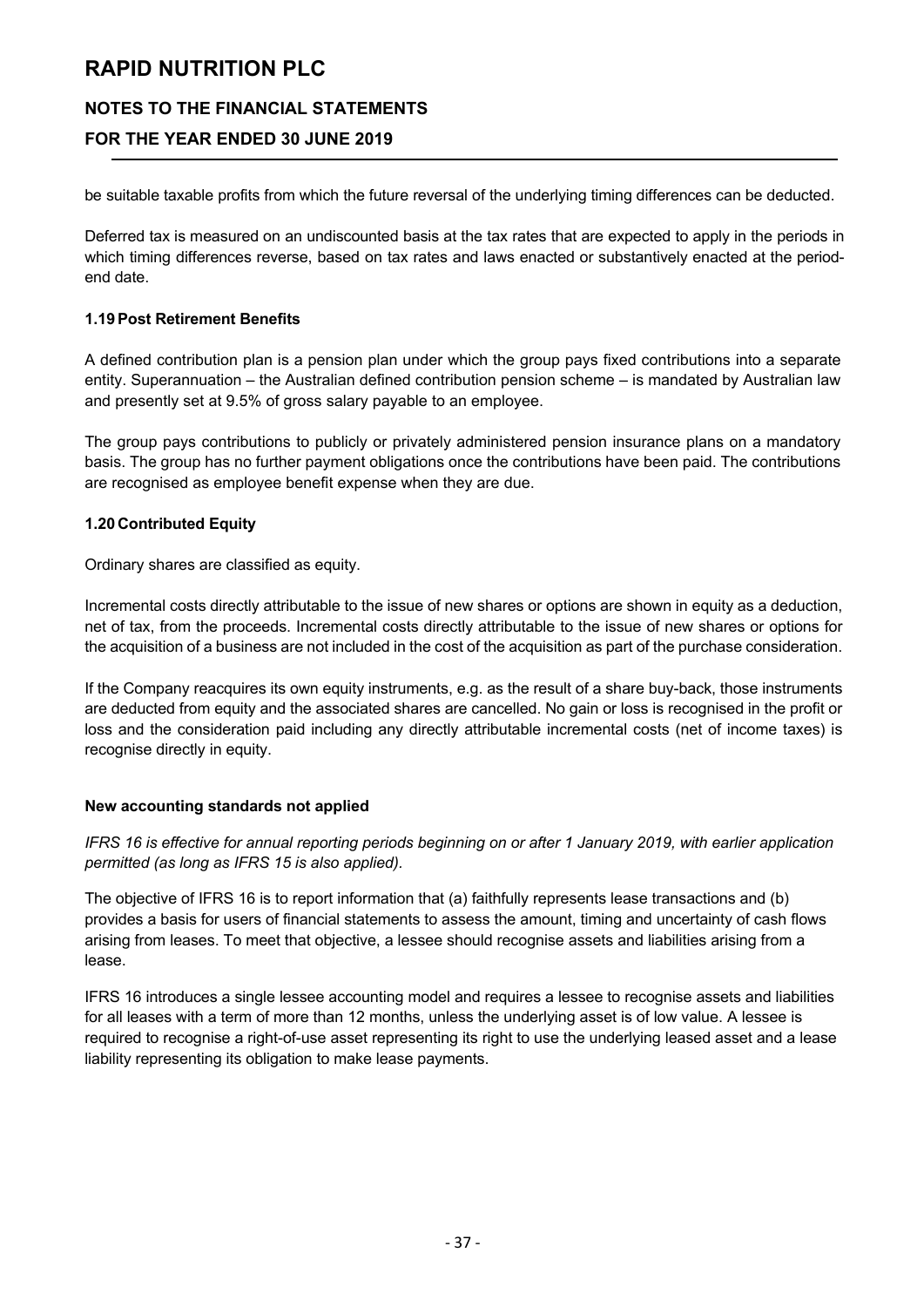# **NOTES TO THE FINANCIAL STATEMENTS**

# **FOR THE YEAR ENDED 30 JUNE 2019**

be suitable taxable profits from which the future reversal of the underlying timing differences can be deducted.

Deferred tax is measured on an undiscounted basis at the tax rates that are expected to apply in the periods in which timing differences reverse, based on tax rates and laws enacted or substantively enacted at the periodend date.

#### **1.19Post Retirement Benefits**

A defined contribution plan is a pension plan under which the group pays fixed contributions into a separate entity. Superannuation – the Australian defined contribution pension scheme – is mandated by Australian law and presently set at 9.5% of gross salary payable to an employee.

The group pays contributions to publicly or privately administered pension insurance plans on a mandatory basis. The group has no further payment obligations once the contributions have been paid. The contributions are recognised as employee benefit expense when they are due.

#### **1.20 Contributed Equity**

Ordinary shares are classified as equity.

Incremental costs directly attributable to the issue of new shares or options are shown in equity as a deduction, net of tax, from the proceeds. Incremental costs directly attributable to the issue of new shares or options for the acquisition of a business are not included in the cost of the acquisition as part of the purchase consideration.

If the Company reacquires its own equity instruments, e.g. as the result of a share buy-back, those instruments are deducted from equity and the associated shares are cancelled. No gain or loss is recognised in the profit or loss and the consideration paid including any directly attributable incremental costs (net of income taxes) is recognise directly in equity.

#### **New accounting standards not applied**

*IFRS 16 is effective for annual reporting periods beginning on or after 1 January 2019, with earlier application permitted (as long as IFRS 15 is also applied).*

The objective of IFRS 16 is to report information that (a) faithfully represents lease transactions and (b) provides a basis for users of financial statements to assess the amount, timing and uncertainty of cash flows arising from leases. To meet that objective, a lessee should recognise assets and liabilities arising from a lease.

IFRS 16 introduces a single lessee accounting model and requires a lessee to recognise assets and liabilities for all leases with a term of more than 12 months, unless the underlying asset is of low value. A lessee is required to recognise a right-of-use asset representing its right to use the underlying leased asset and a lease liability representing its obligation to make lease payments.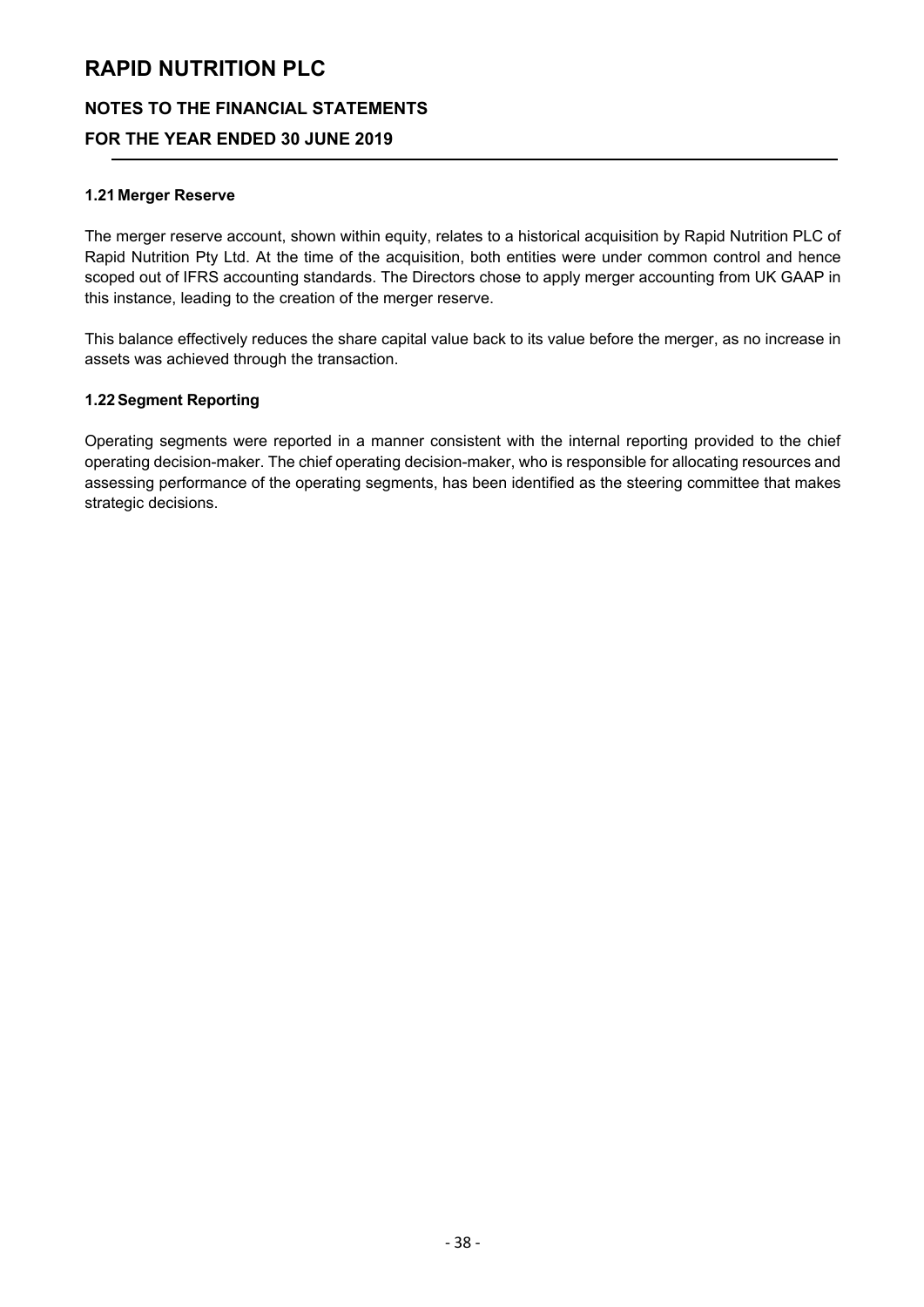# **NOTES TO THE FINANCIAL STATEMENTS**

# **FOR THE YEAR ENDED 30 JUNE 2019**

#### **1.21 Merger Reserve**

The merger reserve account, shown within equity, relates to a historical acquisition by Rapid Nutrition PLC of Rapid Nutrition Pty Ltd. At the time of the acquisition, both entities were under common control and hence scoped out of IFRS accounting standards. The Directors chose to apply merger accounting from UK GAAP in this instance, leading to the creation of the merger reserve.

This balance effectively reduces the share capital value back to its value before the merger, as no increase in assets was achieved through the transaction.

#### **1.22Segment Reporting**

Operating segments were reported in a manner consistent with the internal reporting provided to the chief operating decision-maker. The chief operating decision-maker, who is responsible for allocating resources and assessing performance of the operating segments, has been identified as the steering committee that makes strategic decisions.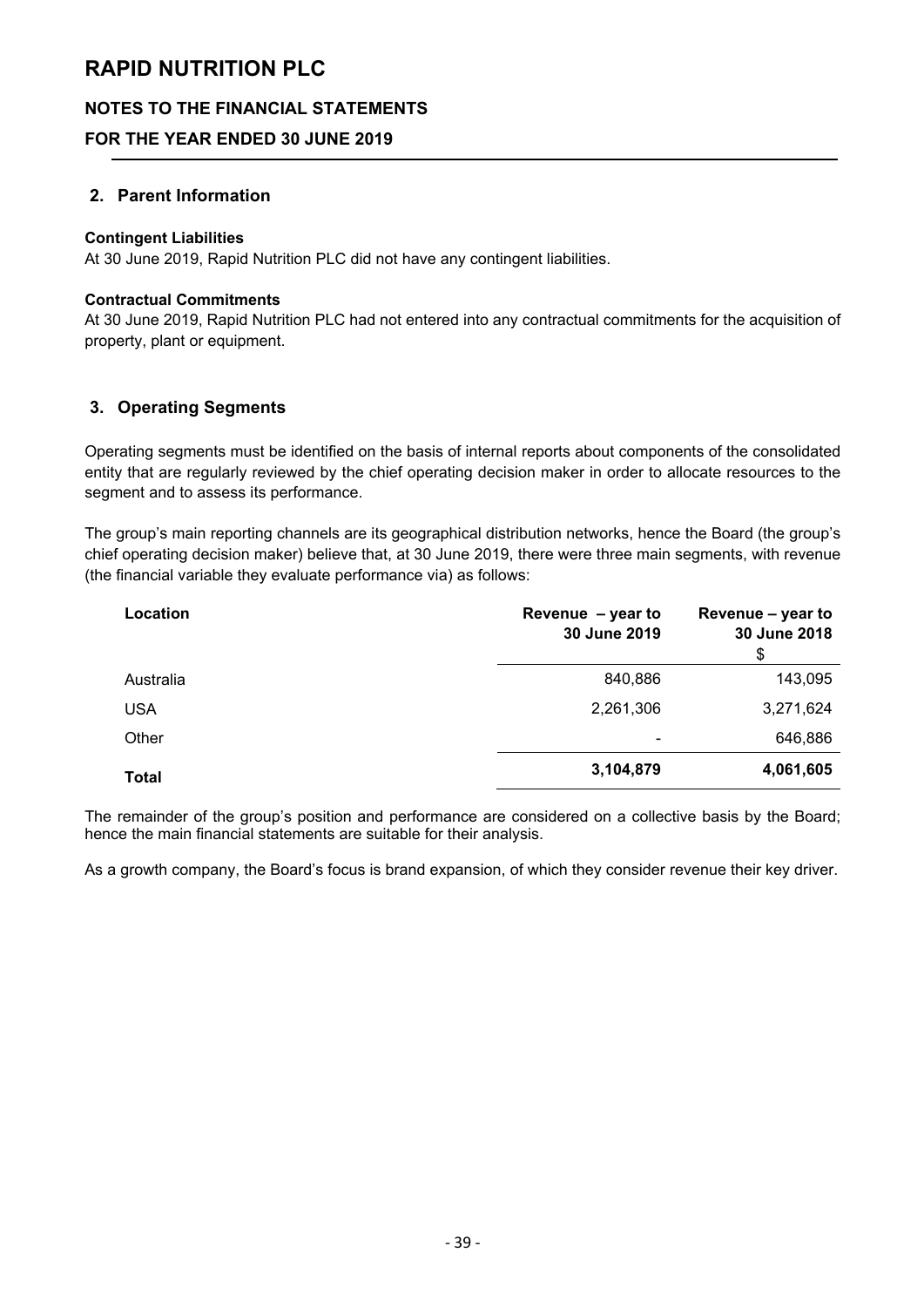# **NOTES TO THE FINANCIAL STATEMENTS**

# **FOR THE YEAR ENDED 30 JUNE 2019**

## **2. Parent Information**

#### **Contingent Liabilities**

At 30 June 2019, Rapid Nutrition PLC did not have any contingent liabilities.

#### **Contractual Commitments**

At 30 June 2019, Rapid Nutrition PLC had not entered into any contractual commitments for the acquisition of property, plant or equipment.

# **3. Operating Segments**

Operating segments must be identified on the basis of internal reports about components of the consolidated entity that are regularly reviewed by the chief operating decision maker in order to allocate resources to the segment and to assess its performance.

The group's main reporting channels are its geographical distribution networks, hence the Board (the group's chief operating decision maker) believe that, at 30 June 2019, there were three main segments, with revenue (the financial variable they evaluate performance via) as follows:

| Location     | Revenue $-$ year to<br>30 June 2019 | Revenue – year to<br>30 June 2018<br>\$ |
|--------------|-------------------------------------|-----------------------------------------|
| Australia    | 840,886                             | 143,095                                 |
| <b>USA</b>   | 2,261,306                           | 3,271,624                               |
| Other        | -                                   | 646,886                                 |
| <b>Total</b> | 3,104,879                           | 4,061,605                               |

The remainder of the group's position and performance are considered on a collective basis by the Board; hence the main financial statements are suitable for their analysis.

As a growth company, the Board's focus is brand expansion, of which they consider revenue their key driver.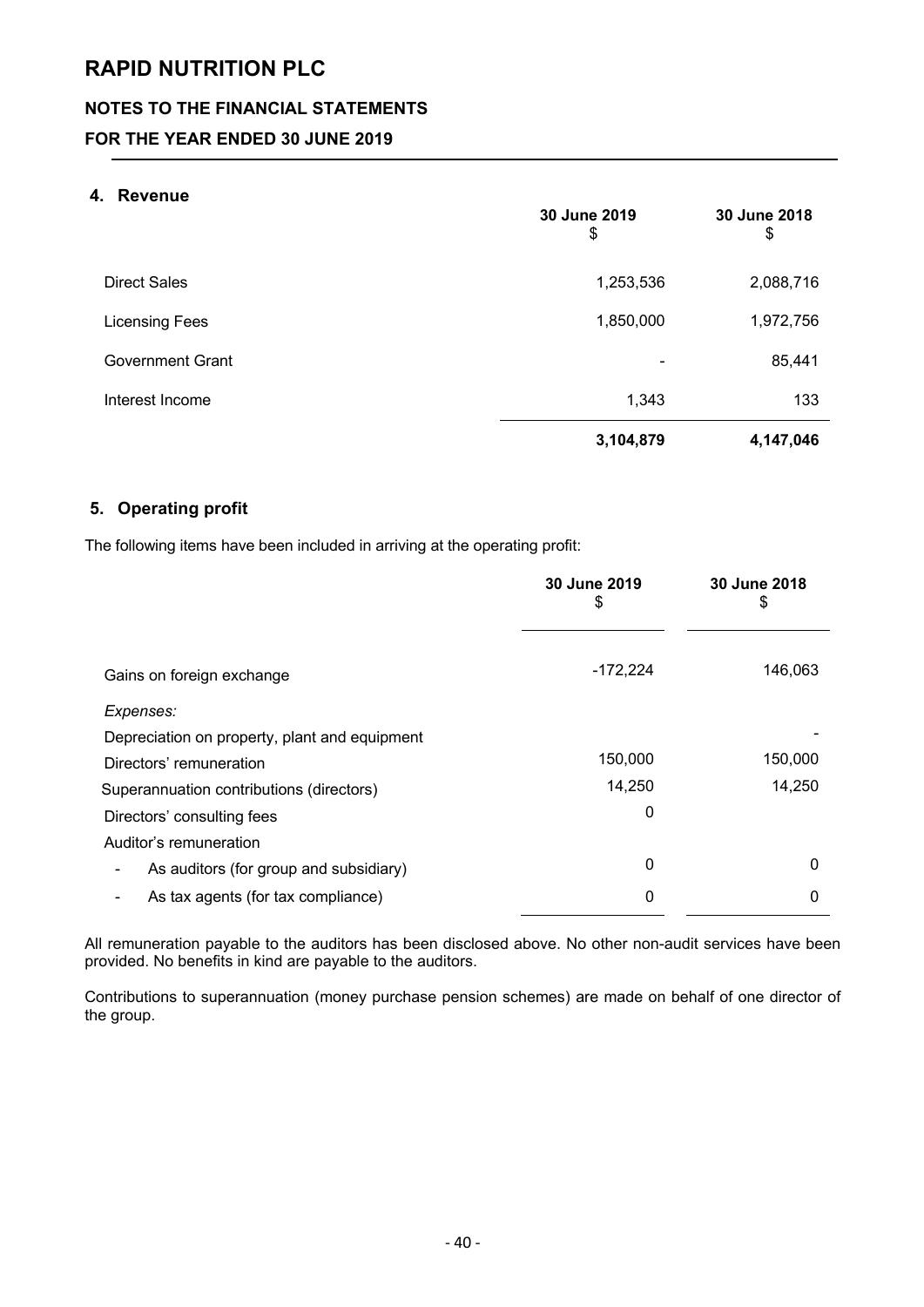# **NOTES TO THE FINANCIAL STATEMENTS**

# **FOR THE YEAR ENDED 30 JUNE 2019**

## **4. Revenue**

|                         | 30 June 2019<br>\$ | 30 June 2018<br>\$ |
|-------------------------|--------------------|--------------------|
| <b>Direct Sales</b>     | 1,253,536          | 2,088,716          |
| <b>Licensing Fees</b>   | 1,850,000          | 1,972,756          |
| <b>Government Grant</b> |                    | 85,441             |
| Interest Income         | 1,343              | 133                |
|                         | 3,104,879          | 4,147,046          |

## **5. Operating profit**

The following items have been included in arriving at the operating profit:

|                                               | 30 June 2019<br>\$ | 30 June 2018<br>\$ |
|-----------------------------------------------|--------------------|--------------------|
| Gains on foreign exchange                     | $-172,224$         | 146,063            |
| Expenses:                                     |                    |                    |
| Depreciation on property, plant and equipment |                    |                    |
| Directors' remuneration                       | 150,000            | 150,000            |
| Superannuation contributions (directors)      | 14,250             | 14,250             |
| Directors' consulting fees                    | 0                  |                    |
| Auditor's remuneration                        |                    |                    |
| As auditors (for group and subsidiary)        | 0                  | $\Omega$           |
| As tax agents (for tax compliance)            | 0                  | 0                  |

All remuneration payable to the auditors has been disclosed above. No other non-audit services have been provided. No benefits in kind are payable to the auditors.

Contributions to superannuation (money purchase pension schemes) are made on behalf of one director of the group.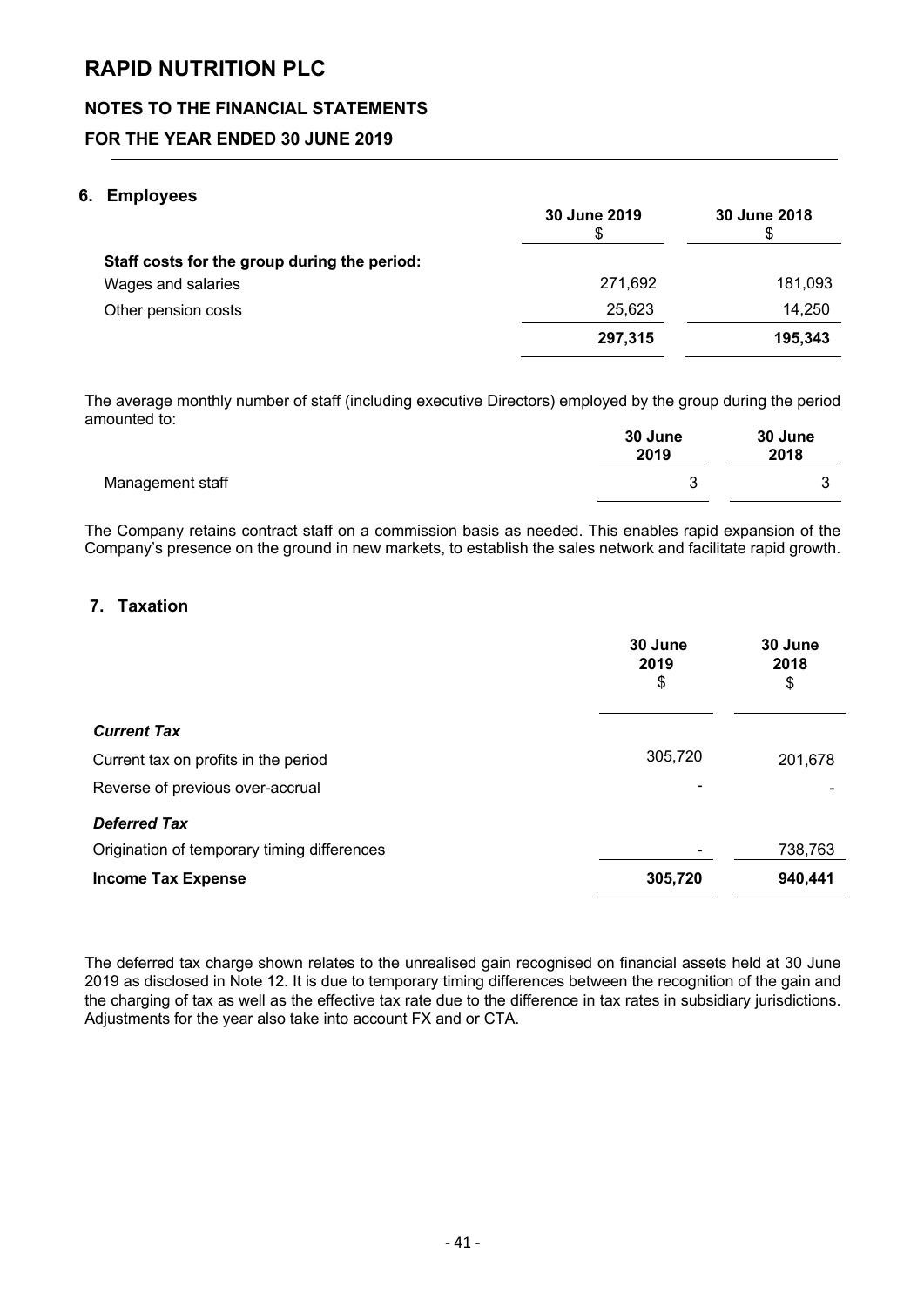# **NOTES TO THE FINANCIAL STATEMENTS**

# **FOR THE YEAR ENDED 30 JUNE 2019**

### **6. Employees**

|                                              | 30 June 2019 | 30 June 2018 |
|----------------------------------------------|--------------|--------------|
| Staff costs for the group during the period: |              |              |
| Wages and salaries                           | 271,692      | 181,093      |
| Other pension costs                          | 25,623       | 14,250       |
|                                              | 297,315      | 195,343      |

The average monthly number of staff (including executive Directors) employed by the group during the period amounted to:

|                  | 30 June<br>2019 | 30 June<br>2018 |
|------------------|-----------------|-----------------|
| Management staff |                 | ⌒               |

The Company retains contract staff on a commission basis as needed. This enables rapid expansion of the Company's presence on the ground in new markets, to establish the sales network and facilitate rapid growth.

# **7. Taxation**

|                                             | 30 June<br>2019<br>\$ | 30 June<br>2018<br>\$ |
|---------------------------------------------|-----------------------|-----------------------|
| <b>Current Tax</b>                          |                       |                       |
| Current tax on profits in the period        | 305,720               | 201,678               |
| Reverse of previous over-accrual            |                       |                       |
| <b>Deferred Tax</b>                         |                       |                       |
| Origination of temporary timing differences |                       | 738,763               |
| <b>Income Tax Expense</b>                   | 305,720               | 940,441               |

The deferred tax charge shown relates to the unrealised gain recognised on financial assets held at 30 June 2019 as disclosed in Note 12. It is due to temporary timing differences between the recognition of the gain and the charging of tax as well as the effective tax rate due to the difference in tax rates in subsidiary jurisdictions. Adjustments for the year also take into account FX and or CTA.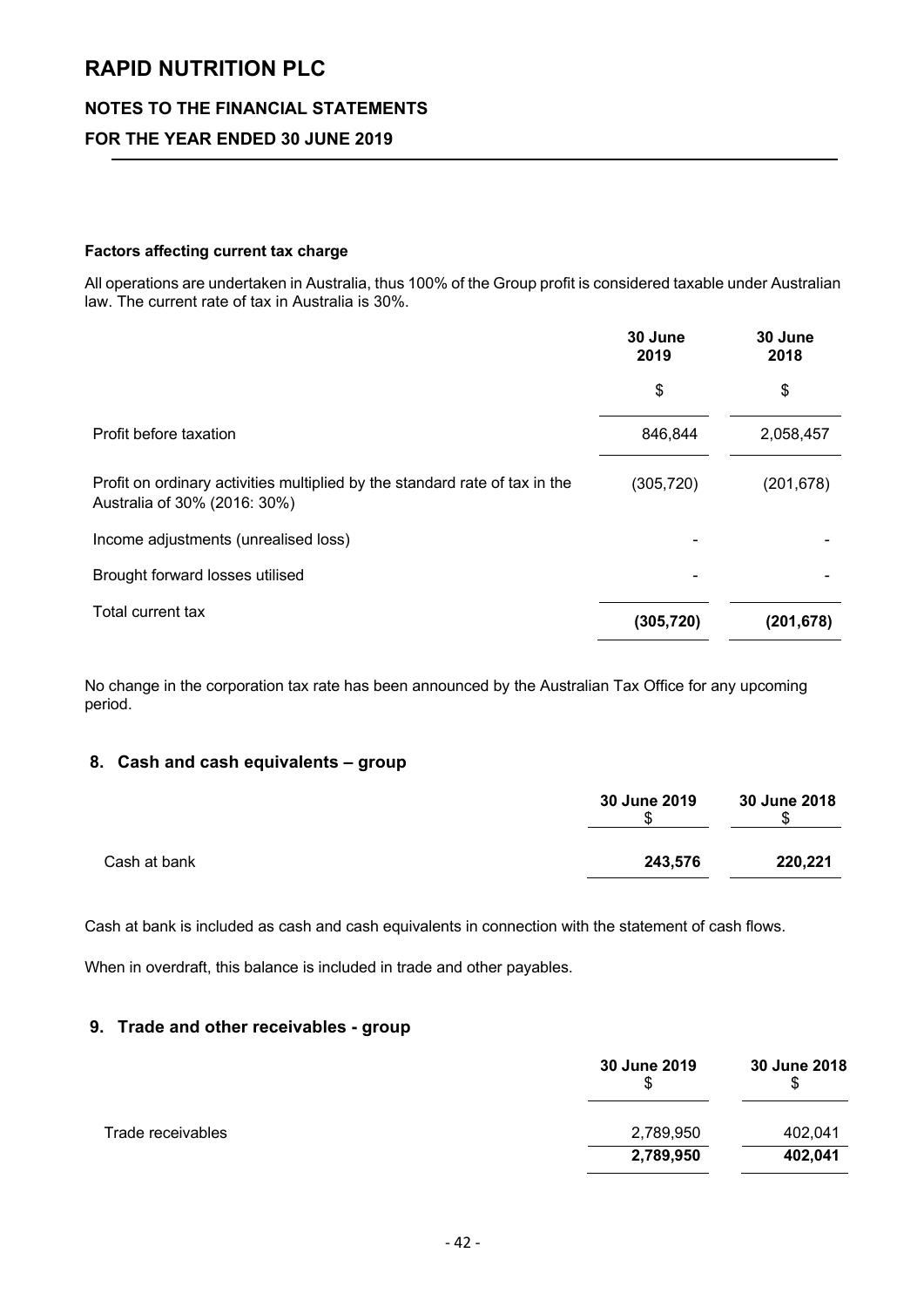## **NOTES TO THE FINANCIAL STATEMENTS**

# **FOR THE YEAR ENDED 30 JUNE 2019**

#### **Factors affecting current tax charge**

All operations are undertaken in Australia, thus 100% of the Group profit is considered taxable under Australian law. The current rate of tax in Australia is 30%.

|                                                                                                             | 30 June<br>2019 | 30 June<br>2018 |
|-------------------------------------------------------------------------------------------------------------|-----------------|-----------------|
|                                                                                                             | \$              | \$              |
| Profit before taxation                                                                                      | 846,844         | 2,058,457       |
| Profit on ordinary activities multiplied by the standard rate of tax in the<br>Australia of 30% (2016: 30%) | (305, 720)      | (201, 678)      |
| Income adjustments (unrealised loss)                                                                        |                 |                 |
| Brought forward losses utilised                                                                             |                 |                 |
| Total current tax                                                                                           | (305, 720)      | (201,678)       |

No change in the corporation tax rate has been announced by the Australian Tax Office for any upcoming period.

#### **8. Cash and cash equivalents – group**

|              | 30 June 2019 | 30 June 2018 |
|--------------|--------------|--------------|
| Cash at bank | 243,576      | 220,221      |

Cash at bank is included as cash and cash equivalents in connection with the statement of cash flows.

When in overdraft, this balance is included in trade and other payables.

#### **9. Trade and other receivables - group**

|                   | 30 June 2019<br>S | 30 June 2018<br>\$ |
|-------------------|-------------------|--------------------|
| Trade receivables | 2,789,950         | 402,041            |
|                   | 2,789,950         | 402,041            |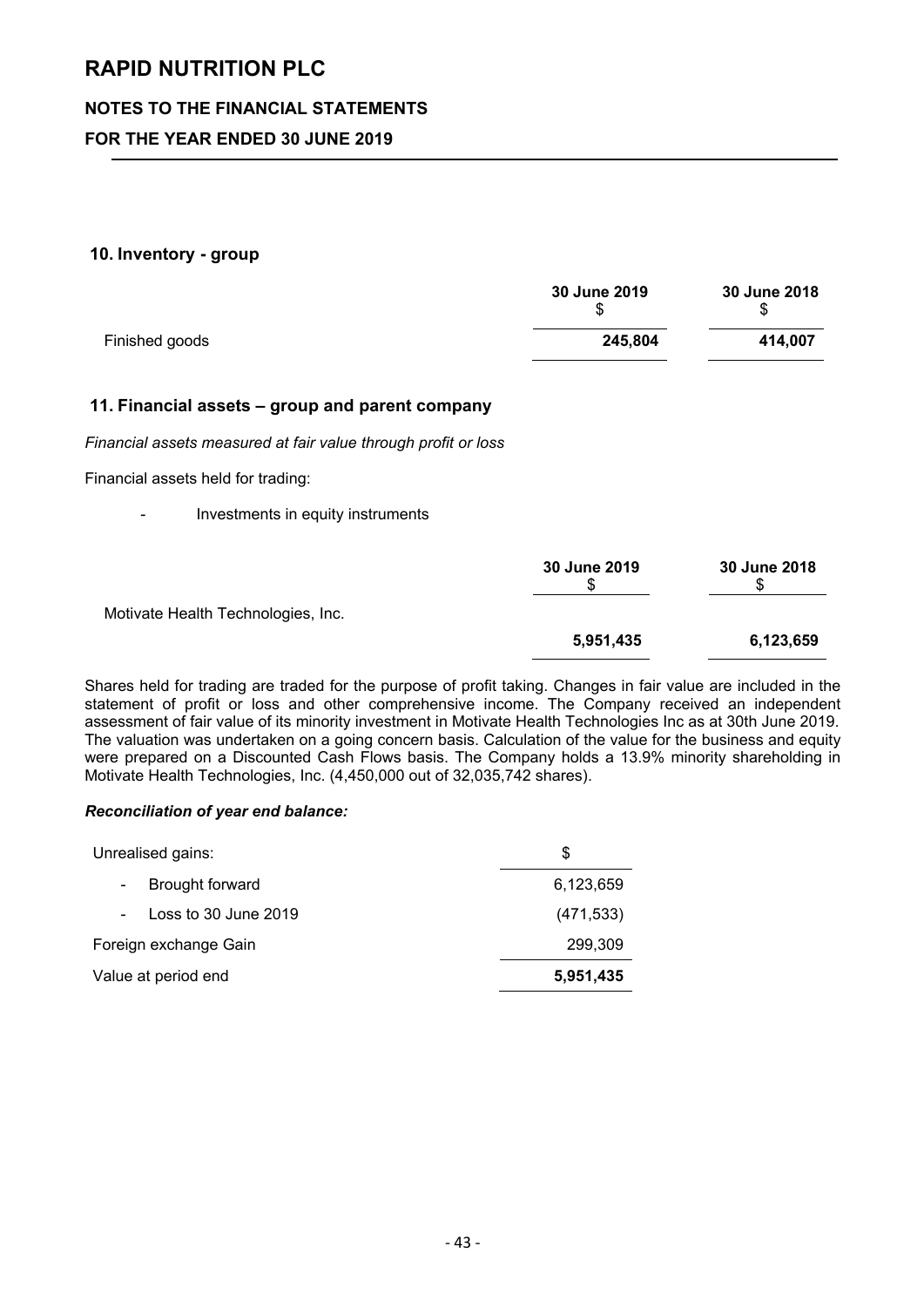# **NOTES TO THE FINANCIAL STATEMENTS**

# **FOR THE YEAR ENDED 30 JUNE 2019**

#### **10. Inventory - group**

|                | 30 June 2019 | 30 June 2018 |
|----------------|--------------|--------------|
| Finished goods | 245,804      | 414.007      |

### **11. Financial assets – group and parent company**

*Financial assets measured at fair value through profit or loss*

Financial assets held for trading:

- Investments in equity instruments

|                                    | 30 June 2019 | 30 June 2018 |
|------------------------------------|--------------|--------------|
| Motivate Health Technologies, Inc. |              |              |
|                                    | 5,951,435    | 6,123,659    |

Shares held for trading are traded for the purpose of profit taking. Changes in fair value are included in the statement of profit or loss and other comprehensive income. The Company received an independent assessment of fair value of its minority investment in Motivate Health Technologies Inc as at 30th June 2019. The valuation was undertaken on a going concern basis. Calculation of the value for the business and equity were prepared on a Discounted Cash Flows basis. The Company holds a 13.9% minority shareholding in Motivate Health Technologies, Inc. (4,450,000 out of 32,035,742 shares).

#### *Reconciliation of year end balance:*

| Unrealised gains:                           | S          |
|---------------------------------------------|------------|
| Brought forward<br>$\overline{\phantom{a}}$ | 6,123,659  |
| Loss to 30 June 2019                        | (471, 533) |
| Foreign exchange Gain                       | 299,309    |
| Value at period end                         | 5,951,435  |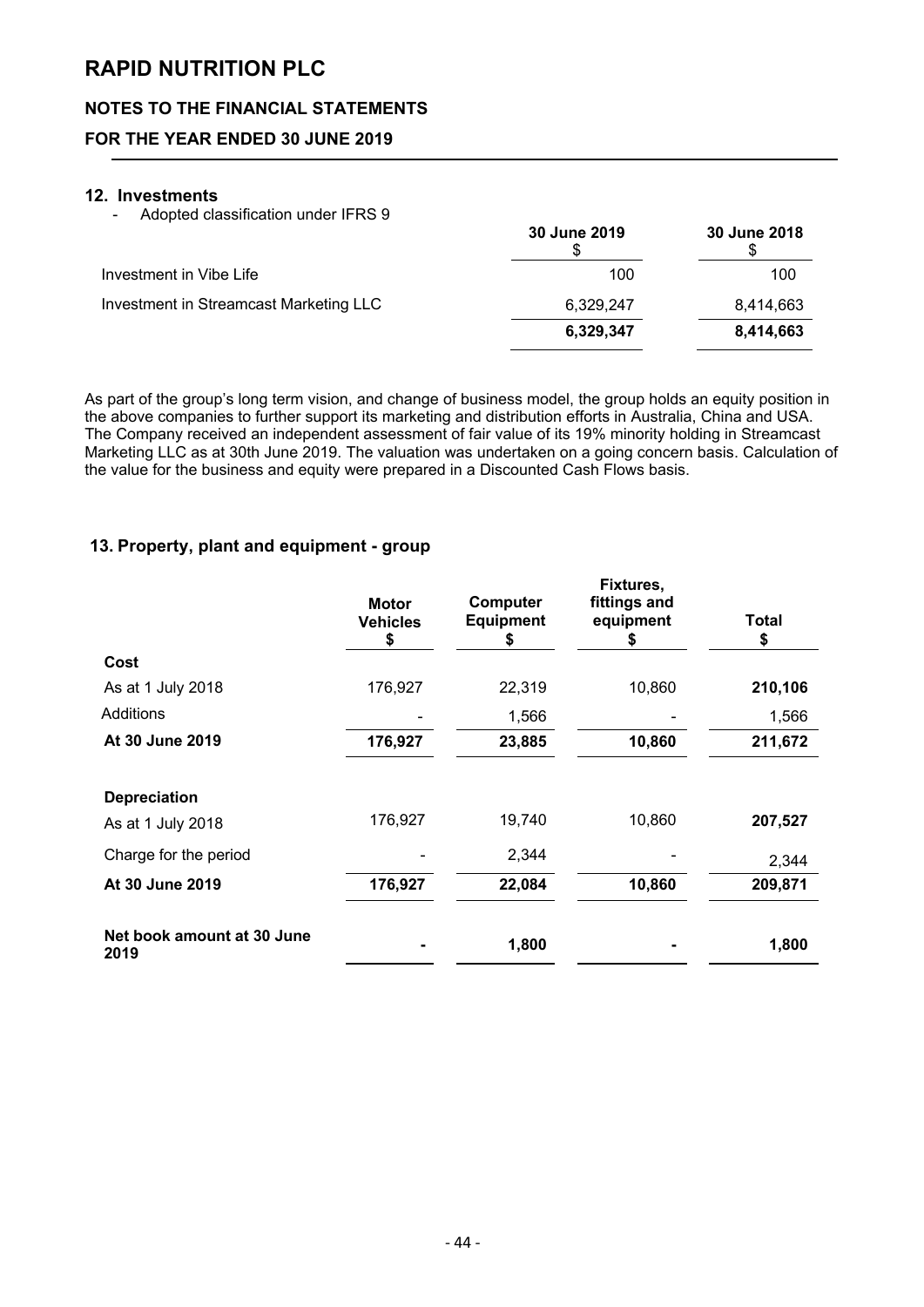# **NOTES TO THE FINANCIAL STATEMENTS**

# **FOR THE YEAR ENDED 30 JUNE 2019**

#### **12. Investments**

- Adopted classification under IFRS 9

|                                        | 30 June 2019 | 30 June 2018 |
|----------------------------------------|--------------|--------------|
| Investment in Vibe Life                | 100          | 100          |
| Investment in Streamcast Marketing LLC | 6,329,247    | 8,414,663    |
|                                        | 6,329,347    | 8,414,663    |

As part of the group's long term vision, and change of business model, the group holds an equity position in the above companies to further support its marketing and distribution efforts in Australia, China and USA. The Company received an independent assessment of fair value of its 19% minority holding in Streamcast Marketing LLC as at 30th June 2019. The valuation was undertaken on a going concern basis. Calculation of the value for the business and equity were prepared in a Discounted Cash Flows basis.

### **13. Property, plant and equipment - group**

|                                    | <b>Motor</b><br><b>Vehicles</b><br>\$ | <b>Computer</b><br><b>Equipment</b><br>\$ | Fixtures,<br>fittings and<br>equipment<br>æ. | Total<br>\$ |
|------------------------------------|---------------------------------------|-------------------------------------------|----------------------------------------------|-------------|
| Cost                               |                                       |                                           |                                              |             |
| As at 1 July 2018                  | 176,927                               | 22,319                                    | 10,860                                       | 210,106     |
| Additions                          |                                       | 1,566                                     |                                              | 1,566       |
| At 30 June 2019                    | 176,927                               | 23,885                                    | 10,860                                       | 211,672     |
| <b>Depreciation</b>                |                                       |                                           |                                              |             |
| As at 1 July 2018                  | 176,927                               | 19,740                                    | 10,860                                       | 207,527     |
| Charge for the period              |                                       | 2,344                                     |                                              | 2,344       |
| At 30 June 2019                    | 176,927                               | 22,084                                    | 10,860                                       | 209,871     |
| Net book amount at 30 June<br>2019 |                                       | 1,800                                     |                                              | 1,800       |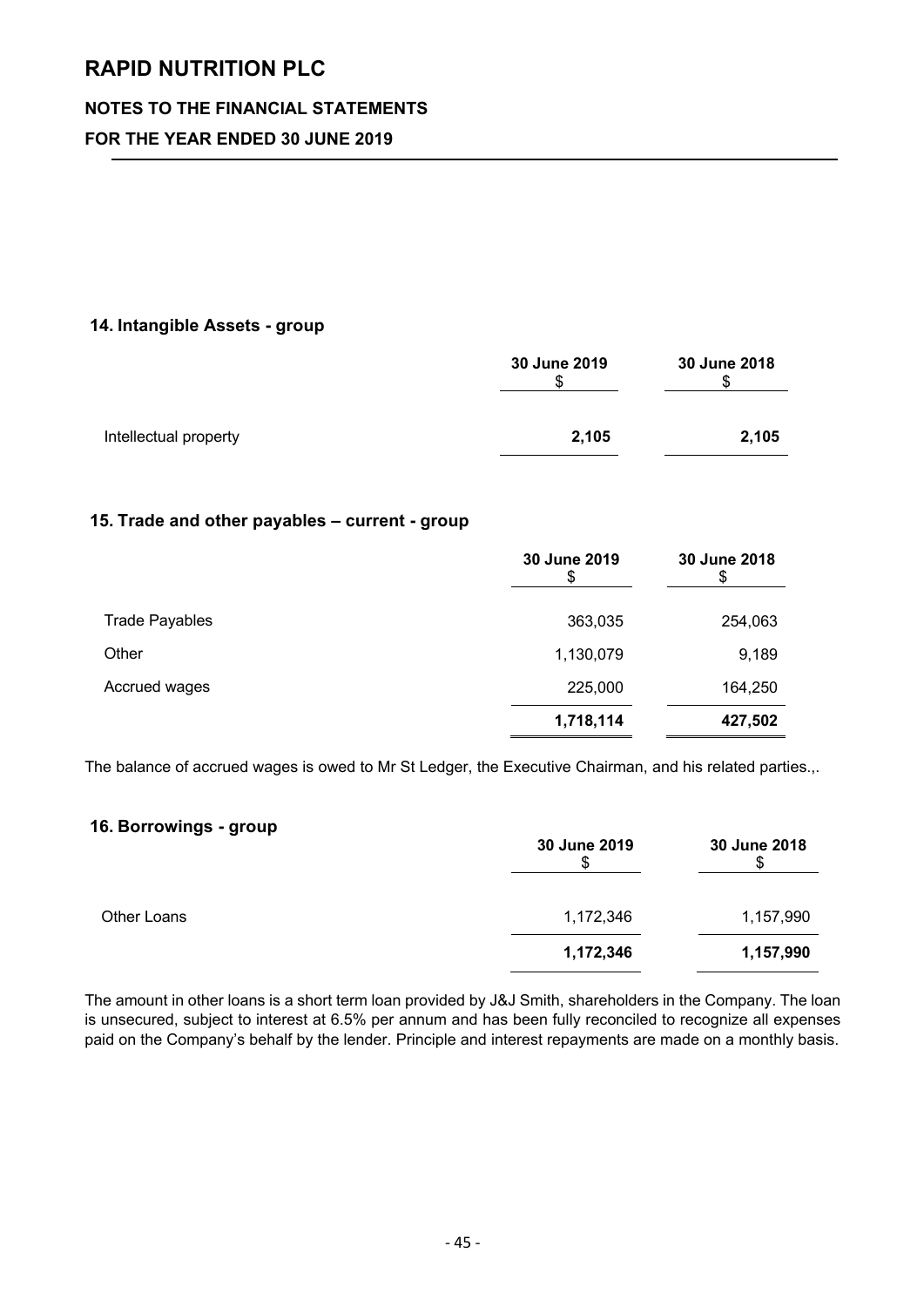# **NOTES TO THE FINANCIAL STATEMENTS**

# **FOR THE YEAR ENDED 30 JUNE 2019**

### **14. Intangible Assets - group**

|                       | 30 June 2019<br>Œ | 30 June 2018 |
|-----------------------|-------------------|--------------|
| Intellectual property | 2,105             | 2,105        |

### **15. Trade and other payables – current - group**

|                       | 30 June 2019 | 30 June 2018<br>\$ |
|-----------------------|--------------|--------------------|
| <b>Trade Payables</b> | 363,035      | 254,063            |
| Other                 | 1,130,079    | 9,189              |
| Accrued wages         | 225,000      | 164,250            |
|                       | 1,718,114    | 427,502            |

The balance of accrued wages is owed to Mr St Ledger, the Executive Chairman, and his related parties.,.

# **16. Borrowings - group**

|             | 30 June 2019 | 30 June 2018 |
|-------------|--------------|--------------|
| Other Loans | 1,172,346    | 1,157,990    |
|             | 1,172,346    | 1,157,990    |

The amount in other loans is a short term loan provided by J&J Smith, shareholders in the Company. The loan is unsecured, subject to interest at 6.5% per annum and has been fully reconciled to recognize all expenses paid on the Company's behalf by the lender. Principle and interest repayments are made on a monthly basis.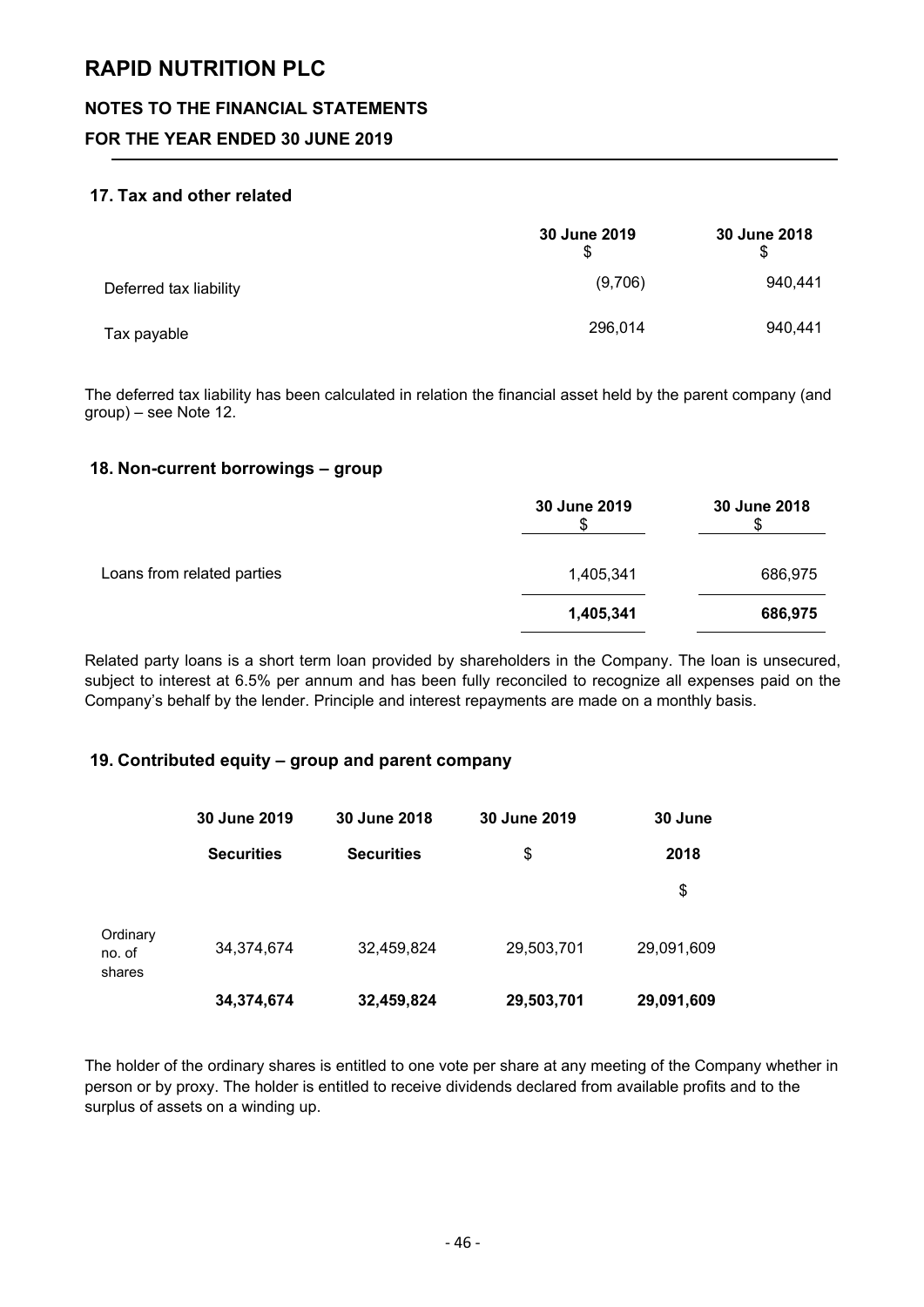## **NOTES TO THE FINANCIAL STATEMENTS**

# **FOR THE YEAR ENDED 30 JUNE 2019**

### **17. Tax and other related**

|                        | 30 June 2019 | 30 June 2018 |
|------------------------|--------------|--------------|
| Deferred tax liability | (9,706)      | 940,441      |
| Tax payable            | 296,014      | 940,441      |

The deferred tax liability has been calculated in relation the financial asset held by the parent company (and group) – see Note 12.

### **18. Non-current borrowings – group**

|                            | 30 June 2019 | 30 June 2018 |
|----------------------------|--------------|--------------|
| Loans from related parties | 1,405,341    | 686,975      |
|                            | 1,405,341    | 686,975      |

Related party loans is a short term loan provided by shareholders in the Company. The loan is unsecured, subject to interest at 6.5% per annum and has been fully reconciled to recognize all expenses paid on the Company's behalf by the lender. Principle and interest repayments are made on a monthly basis.

### **19. Contributed equity – group and parent company**

|                              | 30 June 2019      | 30 June 2018      | 30 June 2019 | 30 June    |
|------------------------------|-------------------|-------------------|--------------|------------|
|                              | <b>Securities</b> | <b>Securities</b> | \$           | 2018       |
|                              |                   |                   |              | \$         |
| Ordinary<br>no. of<br>shares | 34,374,674        | 32,459,824        | 29,503,701   | 29,091,609 |
|                              | 34,374,674        | 32,459,824        | 29,503,701   | 29,091,609 |

The holder of the ordinary shares is entitled to one vote per share at any meeting of the Company whether in person or by proxy. The holder is entitled to receive dividends declared from available profits and to the surplus of assets on a winding up.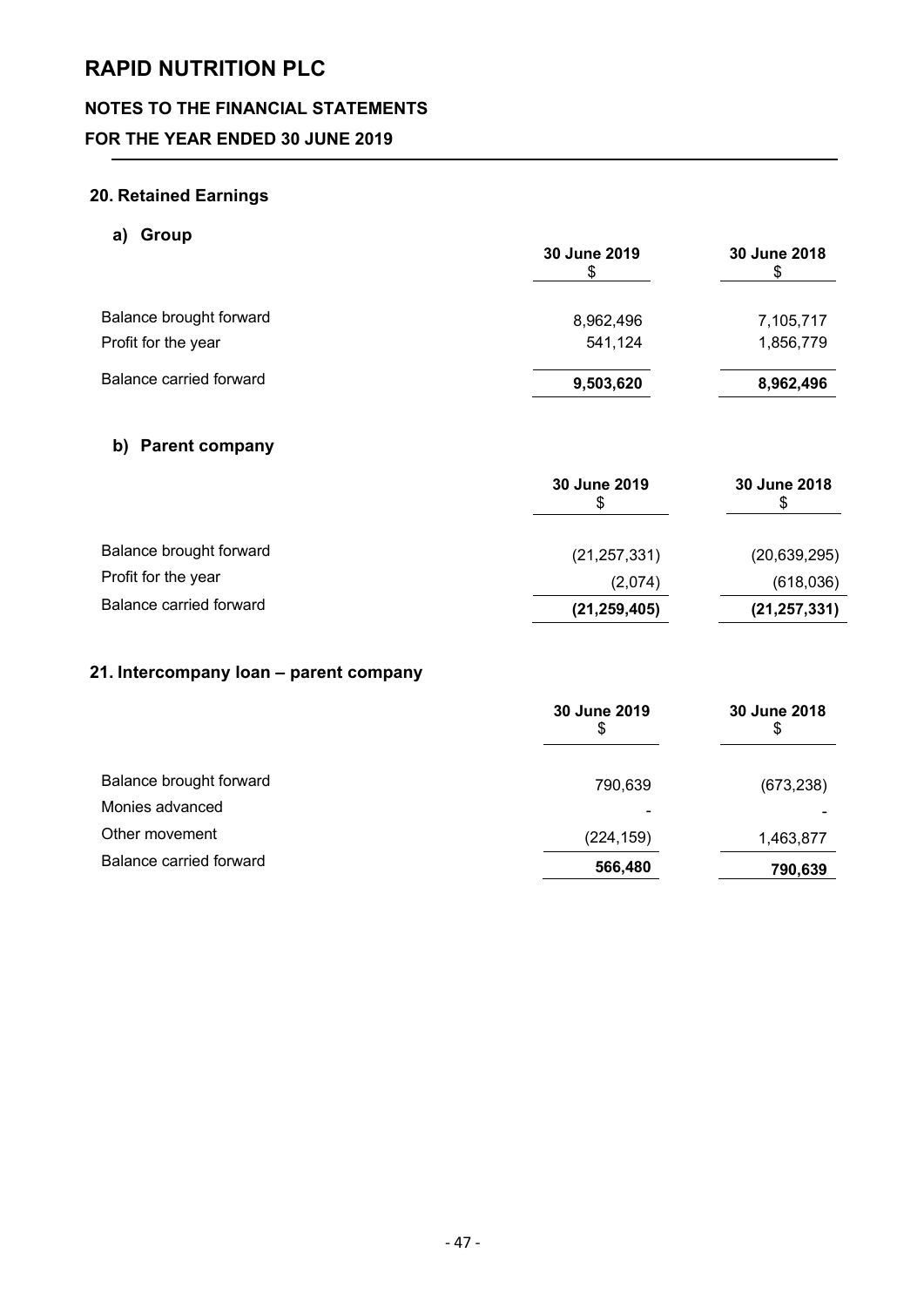# **NOTES TO THE FINANCIAL STATEMENTS**

# **FOR THE YEAR ENDED 30 JUNE 2019**

# **20. Retained Earnings**

# **a) Group**

|                         | 30 June 2019 | 30 June 2018 |
|-------------------------|--------------|--------------|
| Balance brought forward | 8,962,496    | 7,105,717    |
| Profit for the year     | 541,124      | 1,856,779    |
| Balance carried forward | 9,503,620    | 8,962,496    |

# **b) Parent company**

|                         | 30 June 2019   | 30 June 2018<br>S |
|-------------------------|----------------|-------------------|
| Balance brought forward | (21, 257, 331) | (20, 639, 295)    |
| Profit for the year     | (2,074)        | (618,036)         |
| Balance carried forward | (21, 259, 405) | (21, 257, 331)    |

# **21. Intercompany loan – parent company**

|                         | 30 June 2019<br>S | 30 June 2018<br>\$ |
|-------------------------|-------------------|--------------------|
| Balance brought forward | 790,639           | (673, 238)         |
| Monies advanced         |                   |                    |
| Other movement          | (224, 159)        | 1,463,877          |
| Balance carried forward | 566,480           | 790,639            |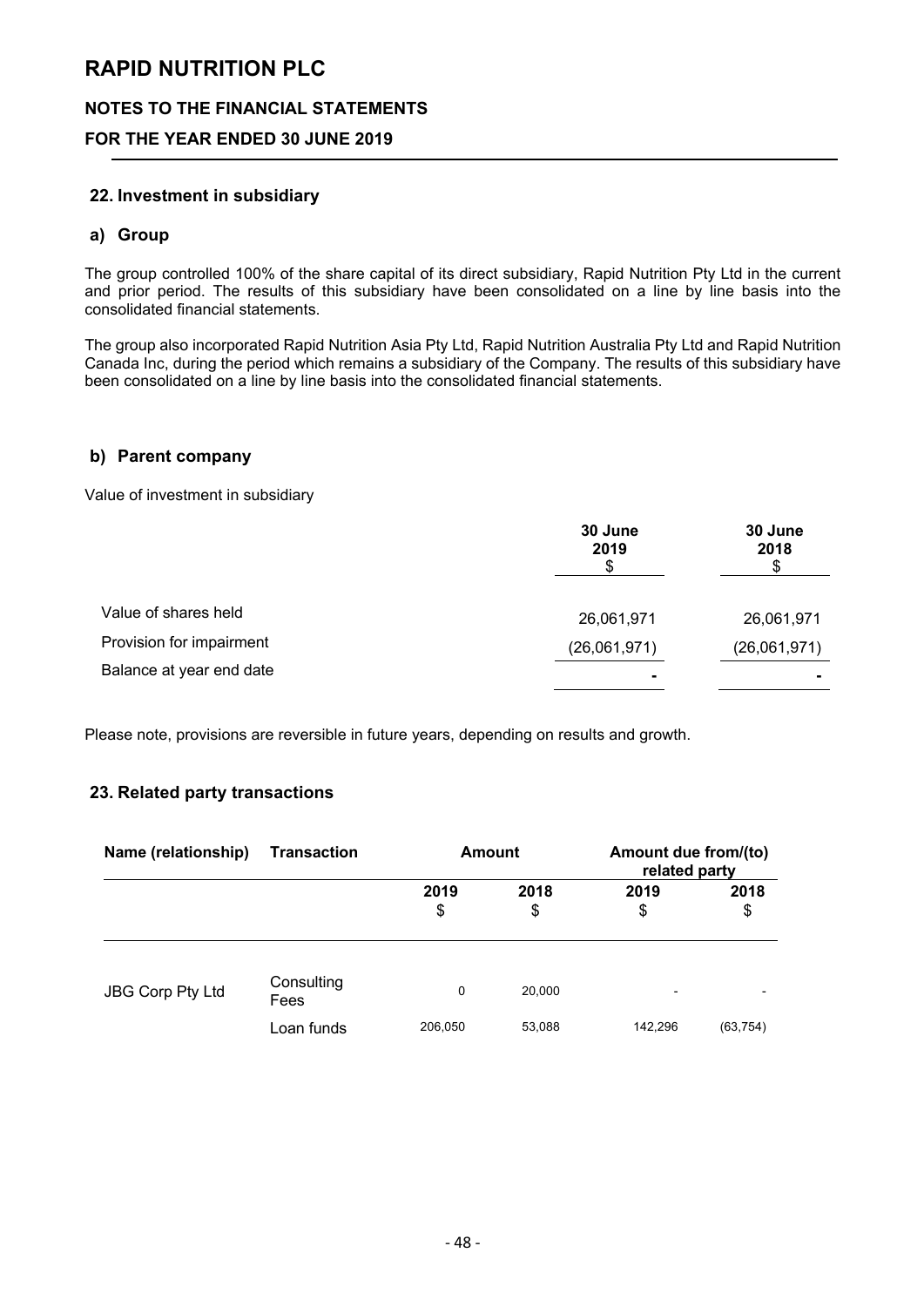### **NOTES TO THE FINANCIAL STATEMENTS**

### **FOR THE YEAR ENDED 30 JUNE 2019**

#### **22. Investment in subsidiary**

#### **a) Group**

The group controlled 100% of the share capital of its direct subsidiary, Rapid Nutrition Pty Ltd in the current and prior period. The results of this subsidiary have been consolidated on a line by line basis into the consolidated financial statements.

The group also incorporated Rapid Nutrition Asia Pty Ltd, Rapid Nutrition Australia Pty Ltd and Rapid Nutrition Canada Inc, during the period which remains a subsidiary of the Company. The results of this subsidiary have been consolidated on a line by line basis into the consolidated financial statements.

#### **b) Parent company**

Value of investment in subsidiary

|                          | 30 June<br>2019 | 30 June<br>2018 |
|--------------------------|-----------------|-----------------|
| Value of shares held     | 26,061,971      | 26,061,971      |
| Provision for impairment | (26,061,971)    | (26,061,971)    |
| Balance at year end date | $\blacksquare$  |                 |

Please note, provisions are reversible in future years, depending on results and growth.

### **23. Related party transactions**

| Name (relationship)     | Transaction        | <b>Amount</b> |            | Amount due from/(to)<br>related party |            |
|-------------------------|--------------------|---------------|------------|---------------------------------------|------------|
|                         |                    | 2019<br>\$    | 2018<br>\$ | 2019<br>\$                            | 2018<br>\$ |
| <b>JBG Corp Pty Ltd</b> | Consulting<br>Fees | $\Omega$      | 20,000     | $\overline{\phantom{0}}$              |            |
|                         | Loan funds         | 206,050       | 53,088     | 142,296                               | (63, 754)  |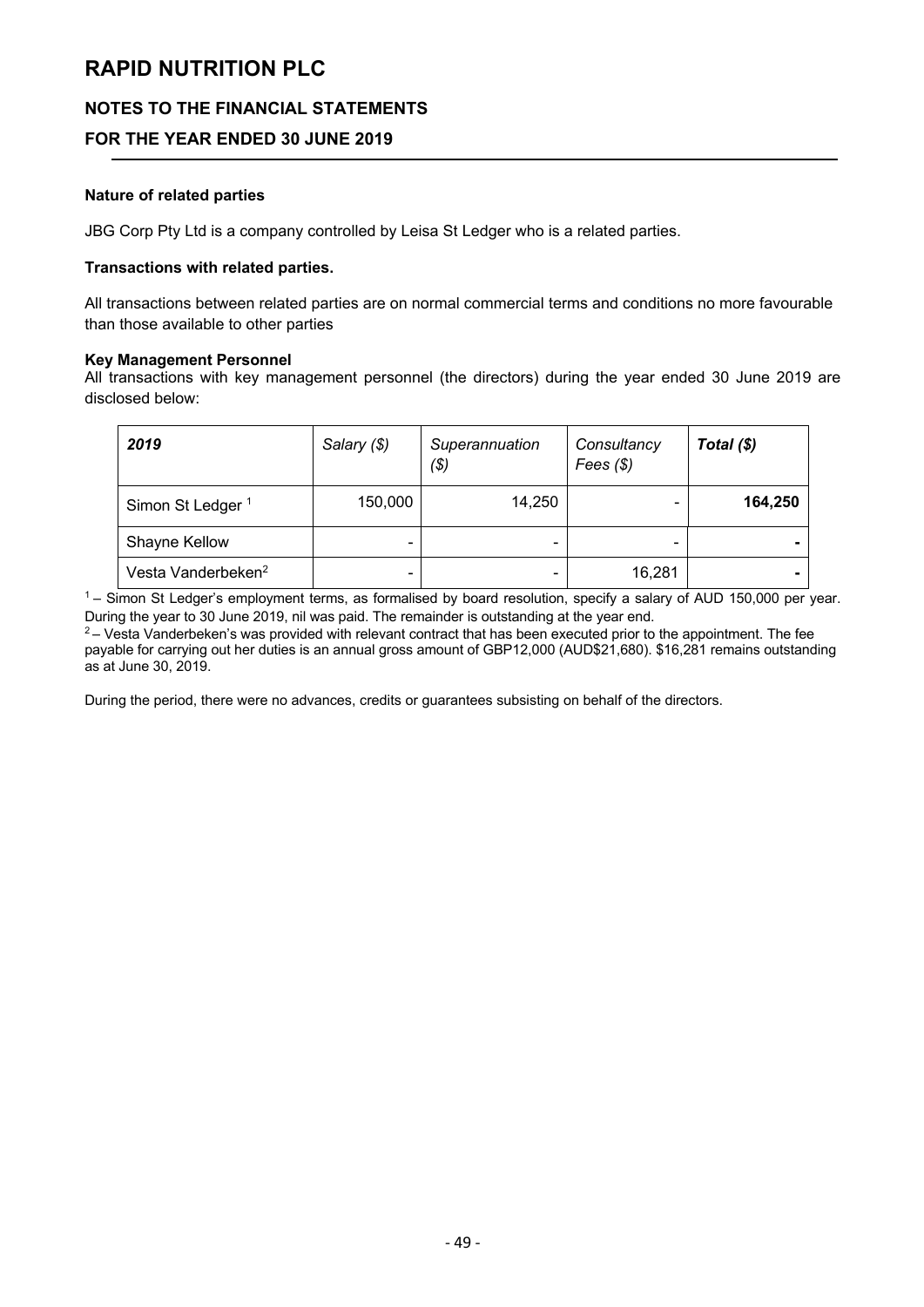# **NOTES TO THE FINANCIAL STATEMENTS**

# **FOR THE YEAR ENDED 30 JUNE 2019**

#### **Nature of related parties**

JBG Corp Pty Ltd is a company controlled by Leisa St Ledger who is a related parties.

#### **Transactions with related parties.**

All transactions between related parties are on normal commercial terms and conditions no more favourable than those available to other parties

#### **Key Management Personnel**

All transactions with key management personnel (the directors) during the year ended 30 June 2019 are disclosed below:

| 2019                           | Salary (\$) | Superannuation<br>( \$) | Consultancy<br>Fees $($ math) | Total $(\$)$ |
|--------------------------------|-------------|-------------------------|-------------------------------|--------------|
| Simon St Ledger <sup>1</sup>   | 150,000     | 14,250                  |                               | 164,250      |
| Shayne Kellow                  | -           |                         |                               |              |
| Vesta Vanderbeken <sup>2</sup> | -           |                         | 16,281                        |              |

<sup>1</sup> – Simon St Ledger's employment terms, as formalised by board resolution, specify a salary of AUD 150,000 per year. During the year to 30 June 2019, nil was paid. The remainder is outstanding at the year end.

 $2 -$  Vesta Vanderbeken's was provided with relevant contract that has been executed prior to the appointment. The fee payable for carrying out her duties is an annual gross amount of GBP12,000 (AUD\$21,680). \$16,281 remains outstanding as at June 30, 2019.

During the period, there were no advances, credits or guarantees subsisting on behalf of the directors.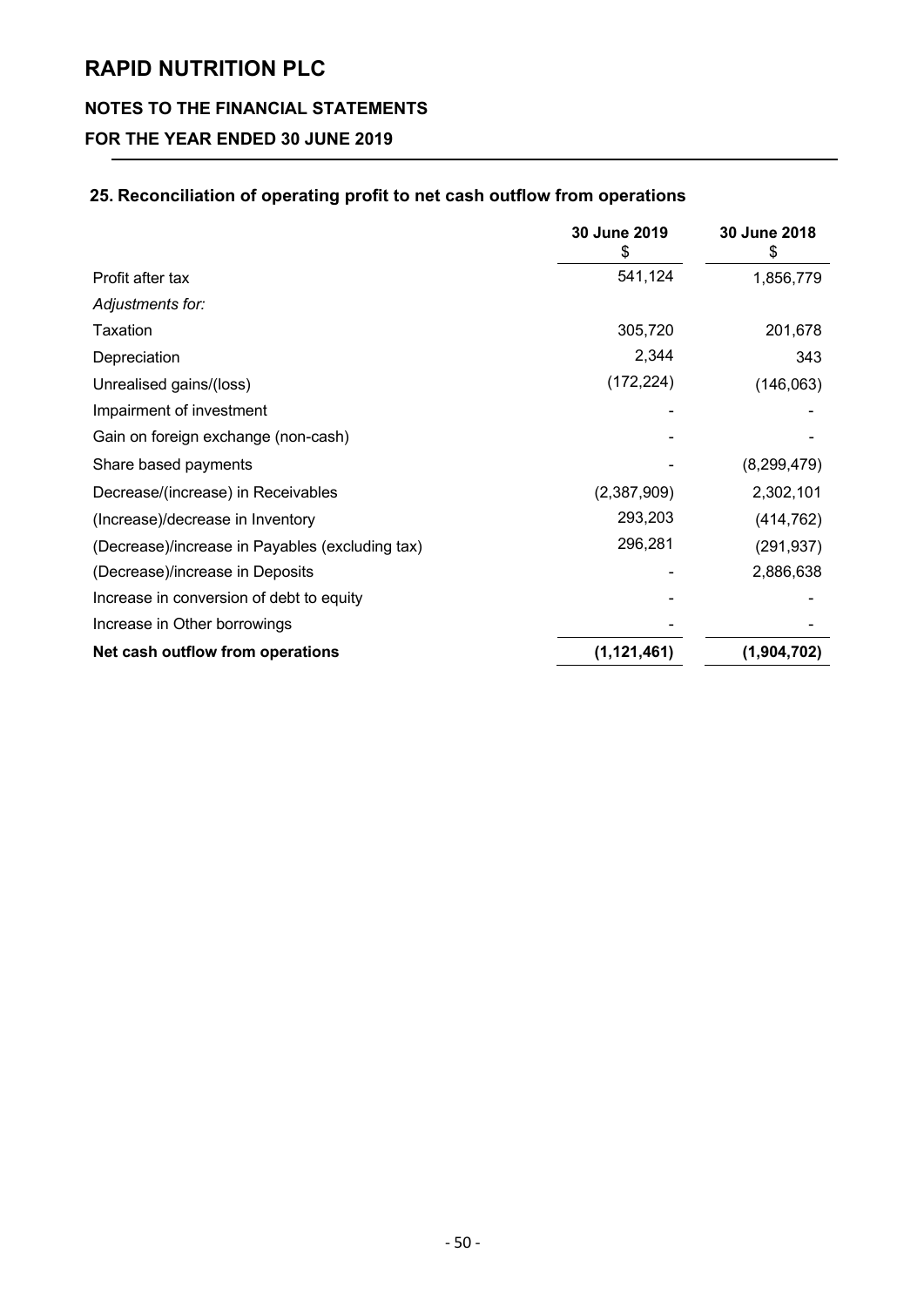# **NOTES TO THE FINANCIAL STATEMENTS**

# **FOR THE YEAR ENDED 30 JUNE 2019**

# **25. Reconciliation of operating profit to net cash outflow from operations**

|                                                 | 30 June 2019  | 30 June 2018<br>S |
|-------------------------------------------------|---------------|-------------------|
| Profit after tax                                | 541,124       | 1,856,779         |
| Adjustments for:                                |               |                   |
| Taxation                                        | 305,720       | 201,678           |
| Depreciation                                    | 2,344         | 343               |
| Unrealised gains/(loss)                         | (172, 224)    | (146, 063)        |
| Impairment of investment                        |               |                   |
| Gain on foreign exchange (non-cash)             |               |                   |
| Share based payments                            |               | (8,299,479)       |
| Decrease/(increase) in Receivables              | (2,387,909)   | 2,302,101         |
| (Increase)/decrease in Inventory                | 293,203       | (414, 762)        |
| (Decrease)/increase in Payables (excluding tax) | 296,281       | (291, 937)        |
| (Decrease)/increase in Deposits                 |               | 2,886,638         |
| Increase in conversion of debt to equity        |               |                   |
| Increase in Other borrowings                    |               |                   |
| Net cash outflow from operations                | (1, 121, 461) | (1,904,702)       |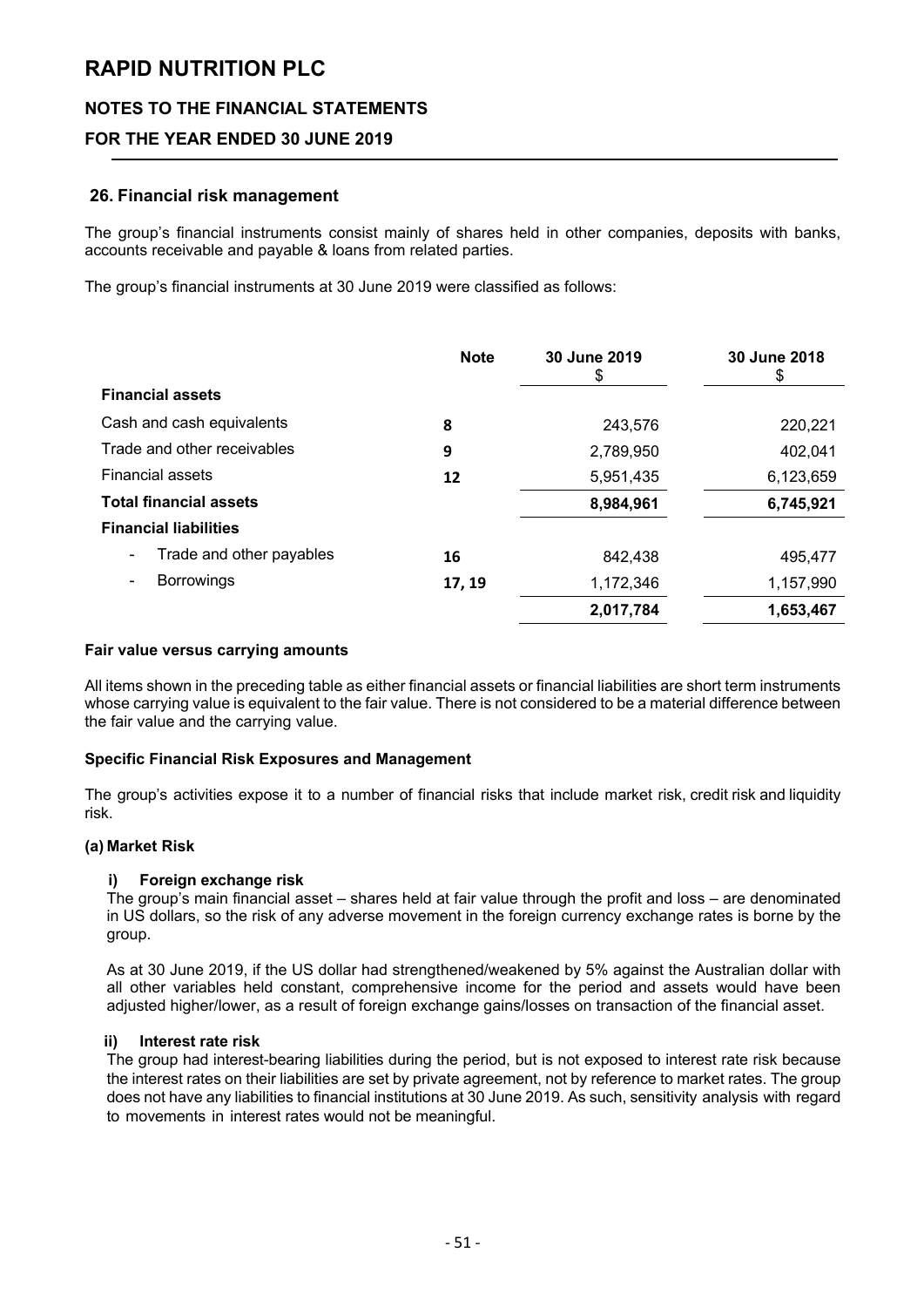# **NOTES TO THE FINANCIAL STATEMENTS**

# **FOR THE YEAR ENDED 30 JUNE 2019**

#### **26. Financial risk management**

The group's financial instruments consist mainly of shares held in other companies, deposits with banks, accounts receivable and payable & loans from related parties.

The group's financial instruments at 30 June 2019 were classified as follows:

|                                                      | <b>Note</b> | 30 June 2019<br>\$ | 30 June 2018<br>\$ |
|------------------------------------------------------|-------------|--------------------|--------------------|
| <b>Financial assets</b>                              |             |                    |                    |
| Cash and cash equivalents                            | 8           | 243,576            | 220,221            |
| Trade and other receivables                          | 9           | 2,789,950          | 402,041            |
| <b>Financial assets</b>                              | 12          | 5,951,435          | 6,123,659          |
| <b>Total financial assets</b>                        |             | 8,984,961          | 6,745,921          |
| <b>Financial liabilities</b>                         |             |                    |                    |
| Trade and other payables<br>$\overline{\phantom{a}}$ | 16          | 842,438            | 495.477            |
| <b>Borrowings</b>                                    | 17, 19      | 1,172,346          | 1,157,990          |
|                                                      |             | 2,017,784          | 1,653,467          |

#### **Fair value versus carrying amounts**

All items shown in the preceding table as either financial assets or financial liabilities are short term instruments whose carrying value is equivalent to the fair value. There is not considered to be a material difference between the fair value and the carrying value.

#### **Specific Financial Risk Exposures and Management**

The group's activities expose it to a number of financial risks that include market risk, credit risk and liquidity risk.

#### **(a) Market Risk**

#### **i) Foreign exchange risk**

The group's main financial asset – shares held at fair value through the profit and loss – are denominated in US dollars, so the risk of any adverse movement in the foreign currency exchange rates is borne by the group.

As at 30 June 2019, if the US dollar had strengthened/weakened by 5% against the Australian dollar with all other variables held constant, comprehensive income for the period and assets would have been adjusted higher/lower, as a result of foreign exchange gains/losses on transaction of the financial asset.

#### **ii) Interest rate risk**

The group had interest-bearing liabilities during the period, but is not exposed to interest rate risk because the interest rates on their liabilities are set by private agreement, not by reference to market rates. The group does not have any liabilities to financial institutions at 30 June 2019. As such, sensitivity analysis with regard to movements in interest rates would not be meaningful.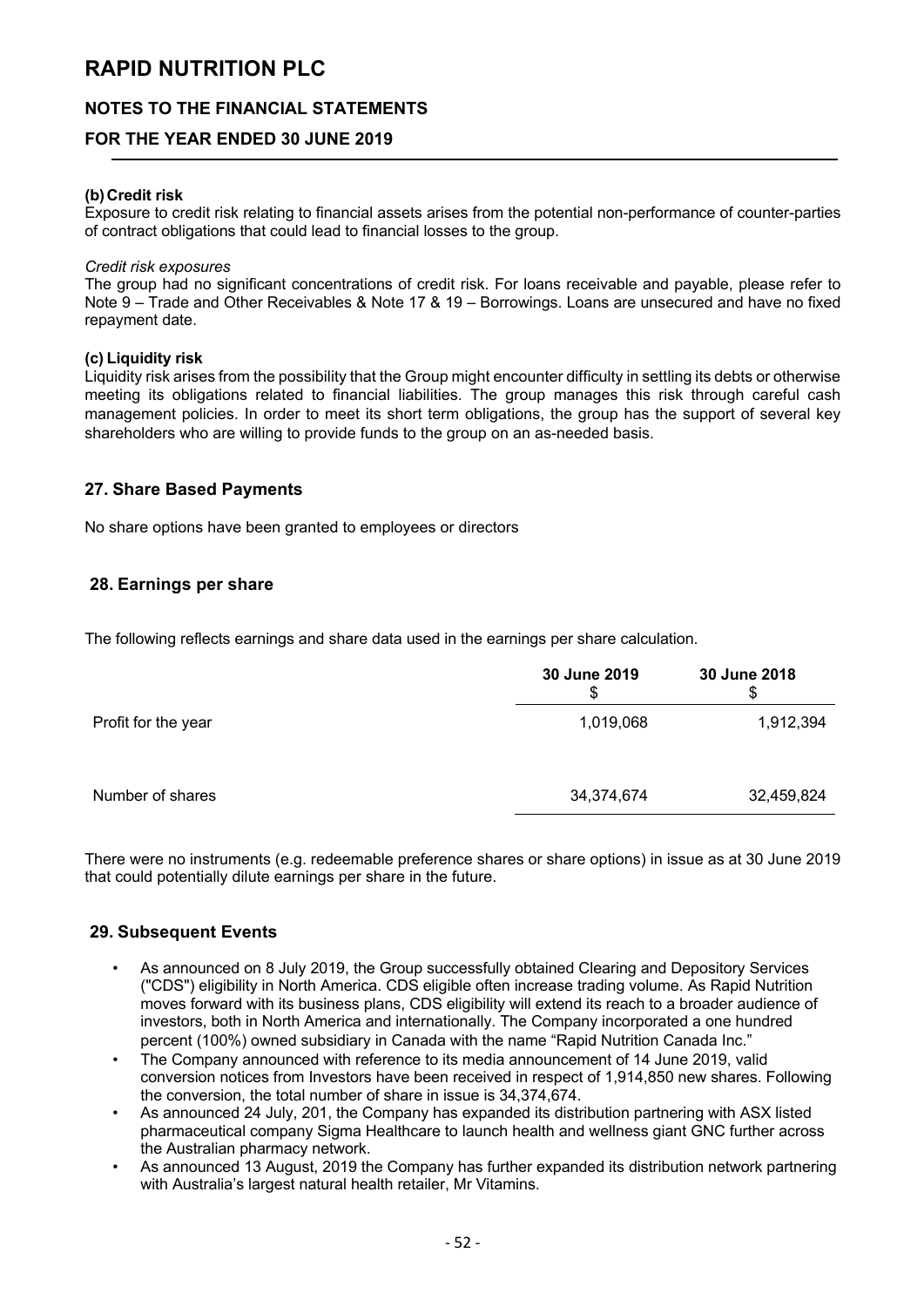## **NOTES TO THE FINANCIAL STATEMENTS**

### **FOR THE YEAR ENDED 30 JUNE 2019**

#### **(b)Credit risk**

Exposure to credit risk relating to financial assets arises from the potential non-performance of counter-parties of contract obligations that could lead to financial losses to the group.

#### *Credit risk exposures*

The group had no significant concentrations of credit risk. For loans receivable and payable, please refer to Note 9 – Trade and Other Receivables & Note 17 & 19 – Borrowings. Loans are unsecured and have no fixed repayment date.

#### **(c) Liquidity risk**

Liquidity risk arises from the possibility that the Group might encounter difficulty in settling its debts or otherwise meeting its obligations related to financial liabilities. The group manages this risk through careful cash management policies. In order to meet its short term obligations, the group has the support of several key shareholders who are willing to provide funds to the group on an as-needed basis.

#### **27. Share Based Payments**

No share options have been granted to employees or directors

### **28. Earnings per share**

The following reflects earnings and share data used in the earnings per share calculation.

|                     | 30 June 2019<br>\$ | 30 June 2018<br>\$ |
|---------------------|--------------------|--------------------|
| Profit for the year | 1,019,068          | 1,912,394          |
| Number of shares    | 34,374,674         | 32,459,824         |

There were no instruments (e.g. redeemable preference shares or share options) in issue as at 30 June 2019 that could potentially dilute earnings per share in the future.

### **29. Subsequent Events**

- As announced on 8 July 2019, the Group successfully obtained Clearing and Depository Services ("CDS") eligibility in North America. CDS eligible often increase trading volume. As Rapid Nutrition moves forward with its business plans, CDS eligibility will extend its reach to a broader audience of investors, both in North America and internationally. The Company incorporated a one hundred percent (100%) owned subsidiary in Canada with the name "Rapid Nutrition Canada Inc."
- The Company announced with reference to its media announcement of 14 June 2019, valid conversion notices from Investors have been received in respect of 1,914,850 new shares. Following the conversion, the total number of share in issue is 34,374,674.
- As announced 24 July, 201, the Company has expanded its distribution partnering with ASX listed pharmaceutical company Sigma Healthcare to launch health and wellness giant GNC further across the Australian pharmacy network.
- As announced 13 August, 2019 the Company has further expanded its distribution network partnering with Australia's largest natural health retailer. Mr Vitamins.